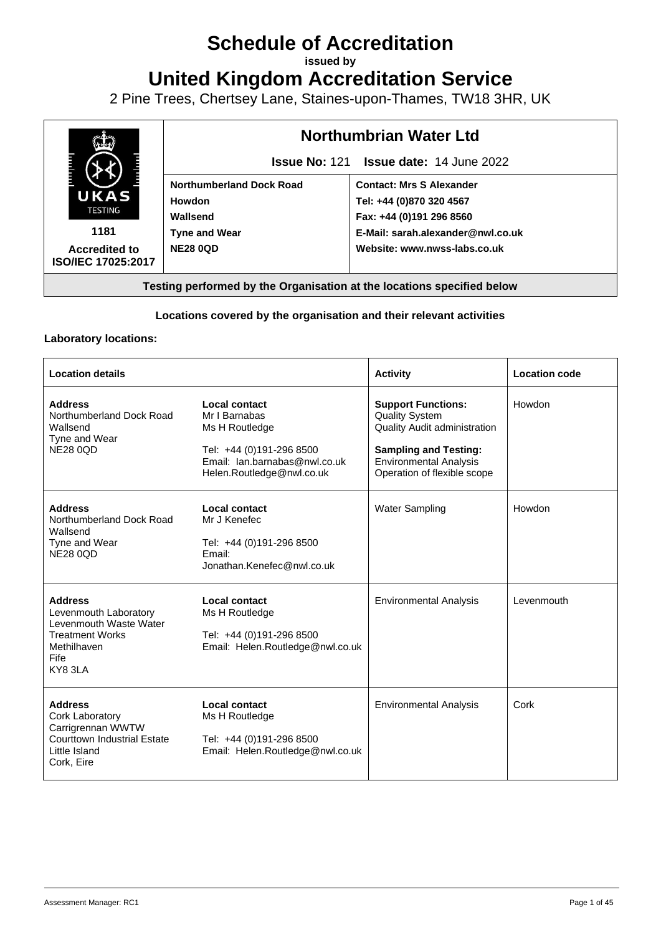# **Schedule of Accreditation**

**issued by**

**United Kingdom Accreditation Service**

2 Pine Trees, Chertsey Lane, Staines-upon-Thames, TW18 3HR, UK



# **Locations covered by the organisation and their relevant activities**

## **Laboratory locations:**

| <b>Location details</b>                                                                                                      |                                                                                                                                            | <b>Activity</b>                                                                                                                                                                           | <b>Location code</b> |
|------------------------------------------------------------------------------------------------------------------------------|--------------------------------------------------------------------------------------------------------------------------------------------|-------------------------------------------------------------------------------------------------------------------------------------------------------------------------------------------|----------------------|
| <b>Address</b><br>Northumberland Dock Road<br>Wallsend<br>Tyne and Wear<br><b>NE28 0QD</b>                                   | Local contact<br>Mr I Barnabas<br>Ms H Routledge<br>Tel: +44 (0)191-296 8500<br>Email: lan.barnabas@nwl.co.uk<br>Helen.Routledge@nwl.co.uk | <b>Support Functions:</b><br><b>Quality System</b><br><b>Quality Audit administration</b><br><b>Sampling and Testing:</b><br><b>Environmental Analysis</b><br>Operation of flexible scope | Howdon               |
| <b>Address</b><br>Northumberland Dock Road<br>Wallsend<br>Tyne and Wear<br><b>NE28 0QD</b>                                   | Local contact<br>Mr J Kenefec<br>Tel: +44 (0)191-296 8500<br>Email:<br>Jonathan.Kenefec@nwl.co.uk                                          | <b>Water Sampling</b>                                                                                                                                                                     | Howdon               |
| <b>Address</b><br>Levenmouth Laboratory<br>Levenmouth Waste Water<br><b>Treatment Works</b><br>Methilhaven<br>Fife<br>KY83LA | Local contact<br>Ms H Routledge<br>Tel: +44 (0)191-296 8500<br>Email: Helen.Routledge@nwl.co.uk                                            | <b>Environmental Analysis</b>                                                                                                                                                             | Levenmouth           |
| <b>Address</b><br>Cork Laboratory<br>Carrigrennan WWTW<br><b>Courttown Industrial Estate</b><br>Little Island<br>Cork, Eire  | Local contact<br>Ms H Routledge<br>Tel: +44 (0)191-296 8500<br>Email: Helen.Routledge@nwl.co.uk                                            | <b>Environmental Analysis</b>                                                                                                                                                             | Cork                 |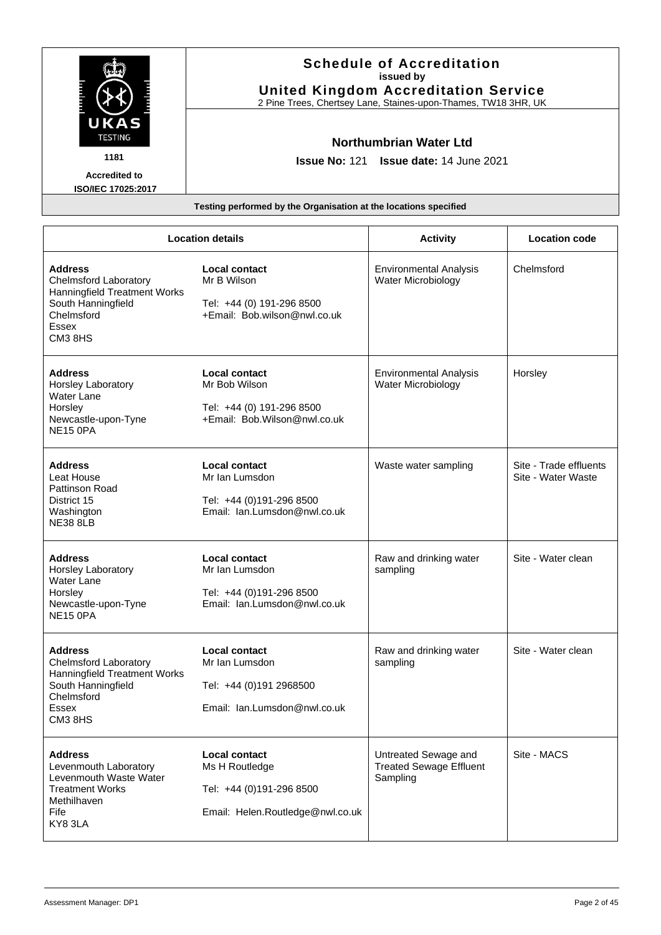|                        | <b>Schedule of Accreditation</b><br>issued by<br><b>United Kingdom Accreditation Service</b><br>2 Pine Trees, Chertsey Lane, Staines-upon-Thames, TW18 3HR, UK |
|------------------------|----------------------------------------------------------------------------------------------------------------------------------------------------------------|
| UKAS<br><b>TESTING</b> | Northumbrian Water Ltd                                                                                                                                         |
| 1181                   | <b>Issue No: 121 Issue date: 14 June 2021</b>                                                                                                                  |
| <b>Accredited to</b>   |                                                                                                                                                                |
| ISO/IEC 17025:2017     |                                                                                                                                                                |
|                        | Testing performed by the Organisation at the locations specified                                                                                               |

| <b>Location details</b>                                                                                                                |                                                                                                        | <b>Activity</b>                                                    | <b>Location code</b>                         |
|----------------------------------------------------------------------------------------------------------------------------------------|--------------------------------------------------------------------------------------------------------|--------------------------------------------------------------------|----------------------------------------------|
| <b>Address</b><br><b>Chelmsford Laboratory</b><br>Hanningfield Treatment Works<br>South Hanningfield<br>Chelmsford<br>Essex<br>CM3 8HS | Local contact<br>Mr B Wilson<br>Tel: +44 (0) 191-296 8500<br>+Email: Bob.wilson@nwl.co.uk              | <b>Environmental Analysis</b><br>Water Microbiology                | Chelmsford                                   |
| <b>Address</b><br>Horsley Laboratory<br><b>Water Lane</b><br>Horsley<br>Newcastle-upon-Tyne<br><b>NE15 0PA</b>                         | <b>Local contact</b><br>Mr Bob Wilson<br>Tel: +44 (0) 191-296 8500<br>+Email: Bob.Wilson@nwl.co.uk     | <b>Environmental Analysis</b><br><b>Water Microbiology</b>         | Horsley                                      |
| <b>Address</b><br>Leat House<br><b>Pattinson Road</b><br>District 15<br>Washington<br><b>NE38 8LB</b>                                  | <b>Local contact</b><br>Mr Ian Lumsdon<br>Tel: +44 (0)191-296 8500<br>Email: Ian.Lumsdon@nwl.co.uk     | Waste water sampling                                               | Site - Trade effluents<br>Site - Water Waste |
| <b>Address</b><br>Horsley Laboratory<br><b>Water Lane</b><br>Horsley<br>Newcastle-upon-Tyne<br><b>NE15 0PA</b>                         | <b>Local contact</b><br>Mr Ian Lumsdon<br>Tel: +44 (0)191-296 8500<br>Email: Ian.Lumsdon@nwl.co.uk     | Raw and drinking water<br>sampling                                 | Site - Water clean                           |
| <b>Address</b><br><b>Chelmsford Laboratory</b><br>Hanningfield Treatment Works<br>South Hanningfield<br>Chelmsford<br>Essex<br>CM3 8HS | <b>Local contact</b><br>Mr Ian Lumsdon<br>Tel: +44 (0)191 2968500<br>Email: Ian.Lumsdon@nwl.co.uk      | Raw and drinking water<br>sampling                                 | Site - Water clean                           |
| <b>Address</b><br>Levenmouth Laboratory<br>Levenmouth Waste Water<br><b>Treatment Works</b><br>Methilhaven<br>Fife<br>KY83LA           | <b>Local contact</b><br>Ms H Routledge<br>Tel: +44 (0)191-296 8500<br>Email: Helen.Routledge@nwl.co.uk | Untreated Sewage and<br><b>Treated Sewage Effluent</b><br>Sampling | Site - MACS                                  |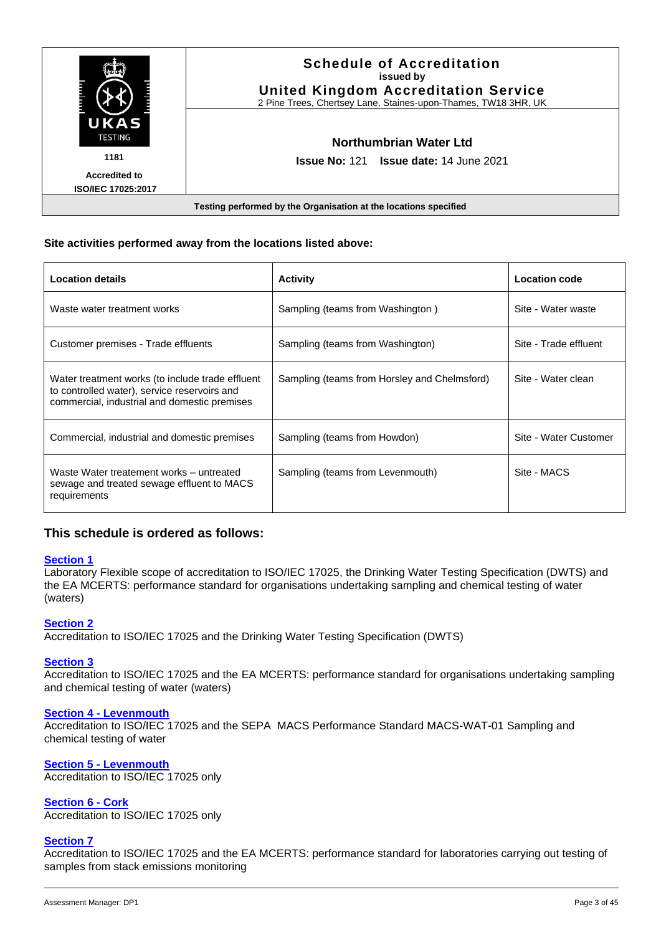|                        | <b>Schedule of Accreditation</b><br>issued by<br><b>United Kingdom Accreditation Service</b><br>2 Pine Trees, Chertsey Lane, Staines-upon-Thames, TW18 3HR, UK |
|------------------------|----------------------------------------------------------------------------------------------------------------------------------------------------------------|
| UKAS<br><b>TESTING</b> | Northumbrian Water Ltd                                                                                                                                         |
| 1181                   | <b>Issue No: 121 Issue date: 14 June 2021</b>                                                                                                                  |
| <b>Accredited to</b>   |                                                                                                                                                                |
| ISO/IEC 17025:2017     |                                                                                                                                                                |
|                        | Testing performed by the Organisation at the locations specified                                                                                               |

## **Site activities performed away from the locations listed above:**

| <b>Location details</b>                                                                                                                          | <b>Activity</b>                              | <b>Location code</b>  |
|--------------------------------------------------------------------------------------------------------------------------------------------------|----------------------------------------------|-----------------------|
| Waste water treatment works                                                                                                                      | Sampling (teams from Washington)             | Site - Water waste    |
| Customer premises - Trade effluents                                                                                                              | Sampling (teams from Washington)             | Site - Trade effluent |
| Water treatment works (to include trade effluent<br>to controlled water), service reservoirs and<br>commercial, industrial and domestic premises | Sampling (teams from Horsley and Chelmsford) | Site - Water clean    |
| Commercial, industrial and domestic premises                                                                                                     | Sampling (teams from Howdon)                 | Site - Water Customer |
| Waste Water treatement works - untreated<br>sewage and treated sewage effluent to MACS<br>requirements                                           | Sampling (teams from Levenmouth)             | Site - MACS           |

# **This schedule is ordered as follows:**

## **[Section 1](#page-4-0)**

Laboratory Flexible scope of accreditation to ISO/IEC 17025, the Drinking Water Testing Specification (DWTS) and the EA MCERTS: performance standard for organisations undertaking sampling and chemical testing of water (waters)

## **[Section 2](#page-5-0)**

Accreditation to ISO/IEC 17025 and the Drinking Water Testing Specification (DWTS)

#### **[Section 3](#page-18-0)**

Accreditation to ISO/IEC 17025 and the EA MCERTS: performance standard for organisations undertaking sampling and chemical testing of water (waters)

#### **Section 4 - [Levenmouth](#page-21-0)**

Accreditation to ISO/IEC 17025 and the SEPA MACS Performance Standard MACS-WAT-01 Sampling and chemical testing of water

## **Section 5 - [Levenmouth](#page-22-0)**

Accreditation to ISO/IEC 17025 only

## **[Section 6](#page-23-0) - Cork**

Accreditation to ISO/IEC 17025 only

## **[Section 7](#page-24-0)**

Accreditation to ISO/IEC 17025 and the EA MCERTS: performance standard for laboratories carrying out testing of samples from stack emissions monitoring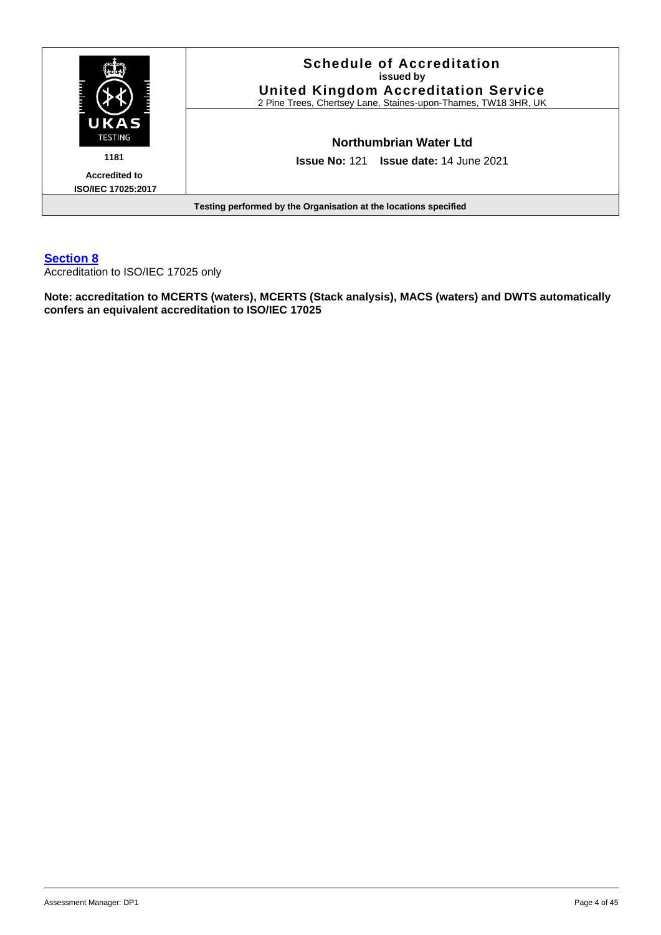

# **[Section 8](#page-26-0)**

Accreditation to ISO/IEC 17025 only

**Note: accreditation to MCERTS (waters), MCERTS (Stack analysis), MACS (waters) and DWTS automatically confers an equivalent accreditation to ISO/IEC 17025**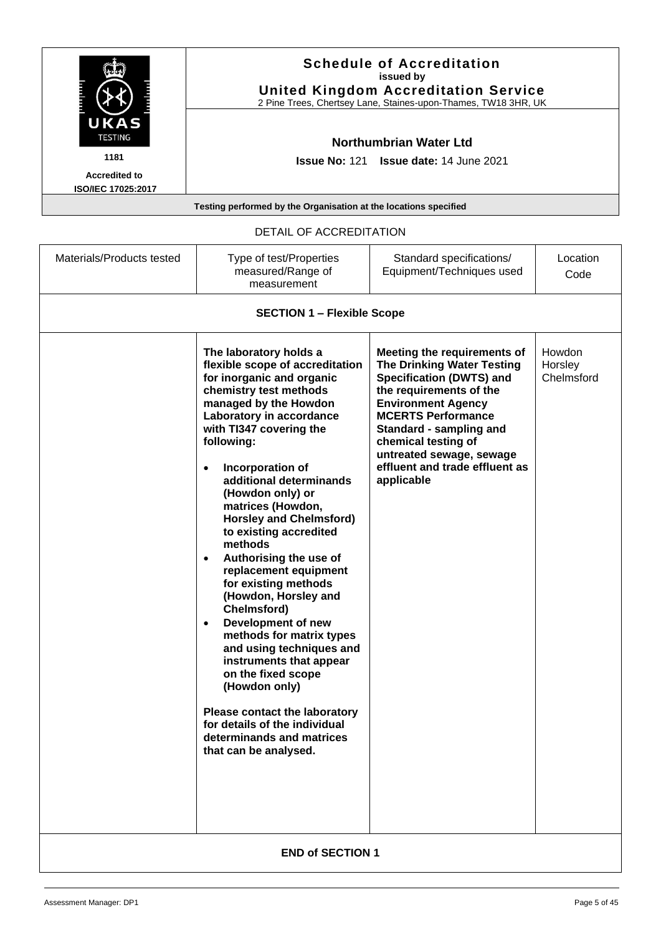|                        | <b>Schedule of Accreditation</b><br>issued by<br><b>United Kingdom Accreditation Service</b><br>2 Pine Trees, Chertsey Lane, Staines-upon-Thames, TW18 3HR, UK |
|------------------------|----------------------------------------------------------------------------------------------------------------------------------------------------------------|
| UKAS<br><b>TESTING</b> | Northumbrian Water Ltd                                                                                                                                         |
| 1181                   | <b>Issue No: 121 Issue date: 14 June 2021</b>                                                                                                                  |
| <b>Accredited to</b>   |                                                                                                                                                                |
| ISO/IEC 17025:2017     |                                                                                                                                                                |

DETAIL OF ACCREDITATION

<span id="page-4-0"></span>

| Materials/Products tested | Type of test/Properties<br>measured/Range of<br>measurement                                                                                                                                                                                                                                                                                                                                                                                                                                                                                                                                                                                                                                                                                                                                              | Standard specifications/<br>Equipment/Techniques used                                                                                                                                                                                                                                                                  | Location<br>Code                |  |  |
|---------------------------|----------------------------------------------------------------------------------------------------------------------------------------------------------------------------------------------------------------------------------------------------------------------------------------------------------------------------------------------------------------------------------------------------------------------------------------------------------------------------------------------------------------------------------------------------------------------------------------------------------------------------------------------------------------------------------------------------------------------------------------------------------------------------------------------------------|------------------------------------------------------------------------------------------------------------------------------------------------------------------------------------------------------------------------------------------------------------------------------------------------------------------------|---------------------------------|--|--|
|                           | <b>SECTION 1 - Flexible Scope</b>                                                                                                                                                                                                                                                                                                                                                                                                                                                                                                                                                                                                                                                                                                                                                                        |                                                                                                                                                                                                                                                                                                                        |                                 |  |  |
|                           | The laboratory holds a<br>flexible scope of accreditation<br>for inorganic and organic<br>chemistry test methods<br>managed by the Howdon<br>Laboratory in accordance<br>with TI347 covering the<br>following:<br>Incorporation of<br>additional determinands<br>(Howdon only) or<br>matrices (Howdon,<br><b>Horsley and Chelmsford)</b><br>to existing accredited<br>methods<br>Authorising the use of<br>$\bullet$<br>replacement equipment<br>for existing methods<br>(Howdon, Horsley and<br>Chelmsford)<br>Development of new<br>$\bullet$<br>methods for matrix types<br>and using techniques and<br>instruments that appear<br>on the fixed scope<br>(Howdon only)<br><b>Please contact the laboratory</b><br>for details of the individual<br>determinands and matrices<br>that can be analysed. | Meeting the requirements of<br><b>The Drinking Water Testing</b><br><b>Specification (DWTS) and</b><br>the requirements of the<br><b>Environment Agency</b><br><b>MCERTS Performance</b><br>Standard - sampling and<br>chemical testing of<br>untreated sewage, sewage<br>effluent and trade effluent as<br>applicable | Howdon<br>Horsley<br>Chelmsford |  |  |
|                           | <b>END of SECTION 1</b>                                                                                                                                                                                                                                                                                                                                                                                                                                                                                                                                                                                                                                                                                                                                                                                  |                                                                                                                                                                                                                                                                                                                        |                                 |  |  |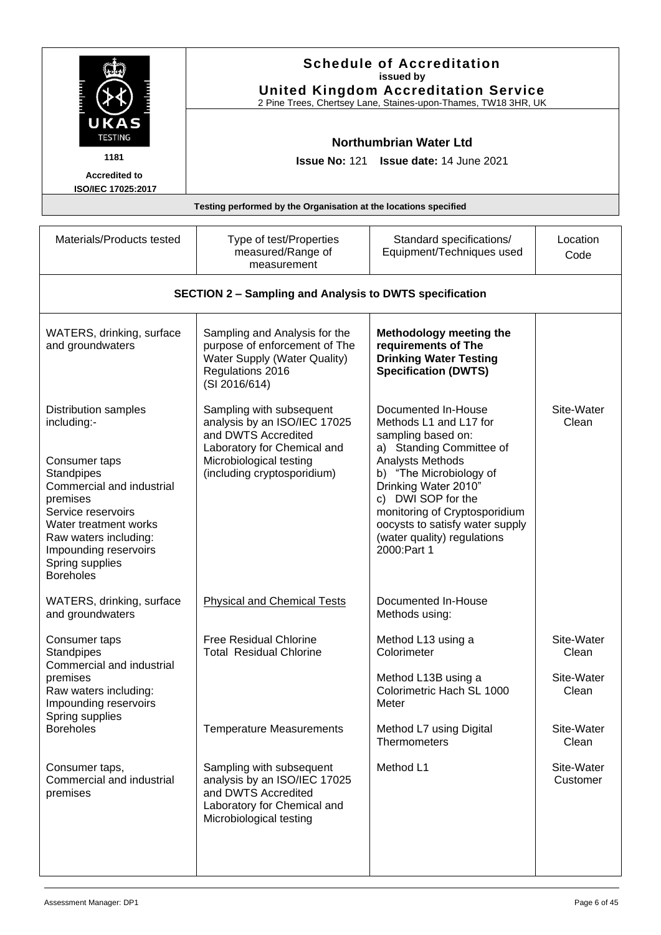<span id="page-5-0"></span>

|                                                                                                                                                                                                                                                            | <b>Schedule of Accreditation</b><br>issued by<br><b>United Kingdom Accreditation Service</b><br>2 Pine Trees, Chertsey Lane, Staines-upon-Thames, TW18 3HR, UK<br><b>Northumbrian Water Ltd</b><br><b>Issue No: 121</b><br>Issue date: 14 June 2021 |                                                                                                                                                                                                                                                                                                                |                        |
|------------------------------------------------------------------------------------------------------------------------------------------------------------------------------------------------------------------------------------------------------------|-----------------------------------------------------------------------------------------------------------------------------------------------------------------------------------------------------------------------------------------------------|----------------------------------------------------------------------------------------------------------------------------------------------------------------------------------------------------------------------------------------------------------------------------------------------------------------|------------------------|
| <b>KAS</b><br><b>TESTING</b><br>1181<br><b>Accredited to</b><br>ISO/IEC 17025:2017                                                                                                                                                                         |                                                                                                                                                                                                                                                     |                                                                                                                                                                                                                                                                                                                |                        |
|                                                                                                                                                                                                                                                            | Testing performed by the Organisation at the locations specified                                                                                                                                                                                    |                                                                                                                                                                                                                                                                                                                |                        |
| Materials/Products tested                                                                                                                                                                                                                                  | Type of test/Properties<br>measured/Range of<br>measurement                                                                                                                                                                                         | Standard specifications/<br>Equipment/Techniques used                                                                                                                                                                                                                                                          | Location<br>Code       |
|                                                                                                                                                                                                                                                            | <b>SECTION 2 - Sampling and Analysis to DWTS specification</b>                                                                                                                                                                                      |                                                                                                                                                                                                                                                                                                                |                        |
| WATERS, drinking, surface<br>and groundwaters                                                                                                                                                                                                              | Sampling and Analysis for the<br>purpose of enforcement of The<br>Water Supply (Water Quality)<br>Regulations 2016<br>(SI 2016/614)                                                                                                                 | Methodology meeting the<br>requirements of The<br><b>Drinking Water Testing</b><br><b>Specification (DWTS)</b>                                                                                                                                                                                                 |                        |
| <b>Distribution samples</b><br>including:-<br>Consumer taps<br>Standpipes<br>Commercial and industrial<br>premises<br>Service reservoirs<br>Water treatment works<br>Raw waters including:<br>Impounding reservoirs<br>Spring supplies<br><b>Boreholes</b> | Sampling with subsequent<br>analysis by an ISO/IEC 17025<br>and DWTS Accredited<br>Laboratory for Chemical and<br>Microbiological testing<br>(including cryptosporidium)                                                                            | Documented In-House<br>Methods L1 and L17 for<br>sampling based on:<br>a) Standing Committee of<br>Analysts Methods<br>b) "The Microbiology of<br>Drinking Water 2010"<br>c) DWI SOP for the<br>monitoring of Cryptosporidium<br>oocysts to satisfy water supply<br>(water quality) regulations<br>2000:Part 1 | Site-Water<br>Clean    |
| WATERS, drinking, surface<br>and groundwaters                                                                                                                                                                                                              | <b>Physical and Chemical Tests</b>                                                                                                                                                                                                                  | Documented In-House<br>Methods using:                                                                                                                                                                                                                                                                          |                        |
| Consumer taps<br>Standpipes<br>Commercial and industrial                                                                                                                                                                                                   | <b>Free Residual Chlorine</b><br><b>Total Residual Chlorine</b>                                                                                                                                                                                     | Method L13 using a<br>Colorimeter                                                                                                                                                                                                                                                                              | Site-Water<br>Clean    |
| premises<br>Raw waters including:<br>Impounding reservoirs<br>Spring supplies                                                                                                                                                                              |                                                                                                                                                                                                                                                     | Method L13B using a<br>Colorimetric Hach SL 1000<br>Meter                                                                                                                                                                                                                                                      | Site-Water<br>Clean    |
| <b>Boreholes</b>                                                                                                                                                                                                                                           | <b>Temperature Measurements</b>                                                                                                                                                                                                                     | Method L7 using Digital<br>Thermometers                                                                                                                                                                                                                                                                        | Site-Water<br>Clean    |
| Consumer taps,<br>Commercial and industrial<br>premises                                                                                                                                                                                                    | Sampling with subsequent<br>analysis by an ISO/IEC 17025<br>and DWTS Accredited<br>Laboratory for Chemical and<br>Microbiological testing                                                                                                           | Method L1                                                                                                                                                                                                                                                                                                      | Site-Water<br>Customer |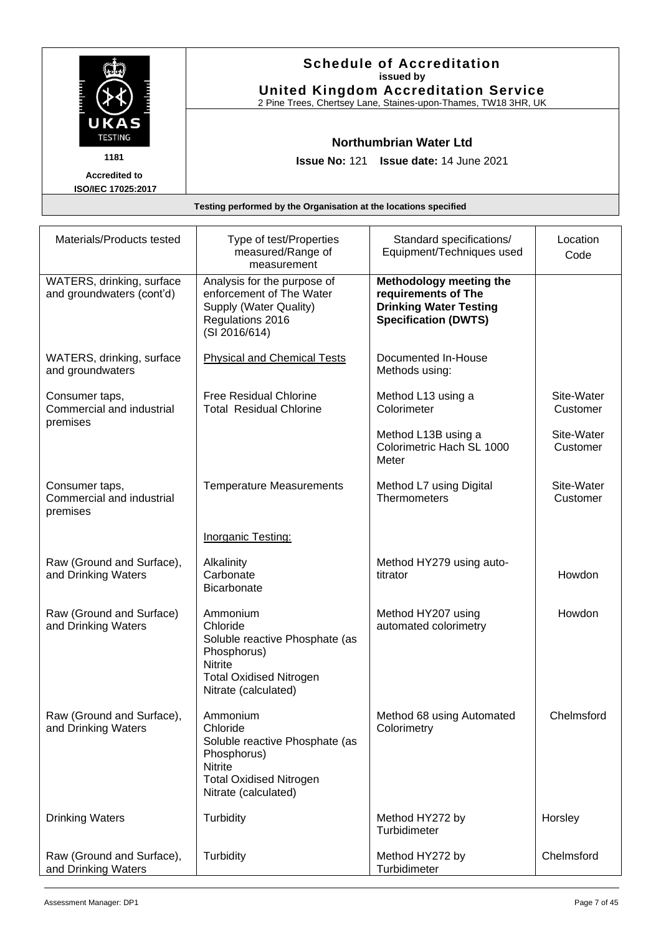|                                            | <b>Schedule of Accreditation</b><br>issued by<br><b>United Kingdom Accreditation Service</b><br>2 Pine Trees, Chertsey Lane, Staines-upon-Thames, TW18 3HR, UK |  |
|--------------------------------------------|----------------------------------------------------------------------------------------------------------------------------------------------------------------|--|
| UKAS<br><b>TESTING</b>                     | Northumbrian Water Ltd                                                                                                                                         |  |
| 1181                                       | <b>Issue No: 121 Issue date: 14 June 2021</b>                                                                                                                  |  |
| <b>Accredited to</b><br>ISO/IEC 17025:2017 |                                                                                                                                                                |  |
|                                            | Testing performed by the Organisation at the locations specified                                                                                               |  |

| Materials/Products tested                               | Type of test/Properties<br>measured/Range of<br>measurement                                                                                       | Standard specifications/<br>Equipment/Techniques used                                                          | Location<br>Code       |
|---------------------------------------------------------|---------------------------------------------------------------------------------------------------------------------------------------------------|----------------------------------------------------------------------------------------------------------------|------------------------|
| WATERS, drinking, surface<br>and groundwaters (cont'd)  | Analysis for the purpose of<br>enforcement of The Water<br>Supply (Water Quality)<br>Regulations 2016<br>(SI 2016/614)                            | Methodology meeting the<br>requirements of The<br><b>Drinking Water Testing</b><br><b>Specification (DWTS)</b> |                        |
| WATERS, drinking, surface<br>and groundwaters           | <b>Physical and Chemical Tests</b>                                                                                                                | Documented In-House<br>Methods using:                                                                          |                        |
| Consumer taps,<br>Commercial and industrial<br>premises | <b>Free Residual Chlorine</b><br><b>Total Residual Chlorine</b>                                                                                   | Method L13 using a<br>Colorimeter                                                                              | Site-Water<br>Customer |
|                                                         |                                                                                                                                                   | Method L13B using a<br>Colorimetric Hach SL 1000<br>Meter                                                      | Site-Water<br>Customer |
| Consumer taps,<br>Commercial and industrial<br>premises | <b>Temperature Measurements</b>                                                                                                                   | Method L7 using Digital<br>Thermometers                                                                        | Site-Water<br>Customer |
|                                                         | <b>Inorganic Testing:</b>                                                                                                                         |                                                                                                                |                        |
| Raw (Ground and Surface),<br>and Drinking Waters        | Alkalinity<br>Carbonate<br>Bicarbonate                                                                                                            | Method HY279 using auto-<br>titrator                                                                           | Howdon                 |
| Raw (Ground and Surface)<br>and Drinking Waters         | Ammonium<br>Chloride<br>Soluble reactive Phosphate (as<br>Phosphorus)<br><b>Nitrite</b><br><b>Total Oxidised Nitrogen</b><br>Nitrate (calculated) | Method HY207 using<br>automated colorimetry                                                                    | Howdon                 |
| Raw (Ground and Surface),<br>and Drinking Waters        | Ammonium<br>Chloride<br>Soluble reactive Phosphate (as<br>Phosphorus)<br><b>Nitrite</b><br><b>Total Oxidised Nitrogen</b><br>Nitrate (calculated) | Method 68 using Automated<br>Colorimetry                                                                       | Chelmsford             |
| <b>Drinking Waters</b>                                  | Turbidity                                                                                                                                         | Method HY272 by<br>Turbidimeter                                                                                | Horsley                |
| Raw (Ground and Surface),<br>and Drinking Waters        | Turbidity                                                                                                                                         | Method HY272 by<br>Turbidimeter                                                                                | Chelmsford             |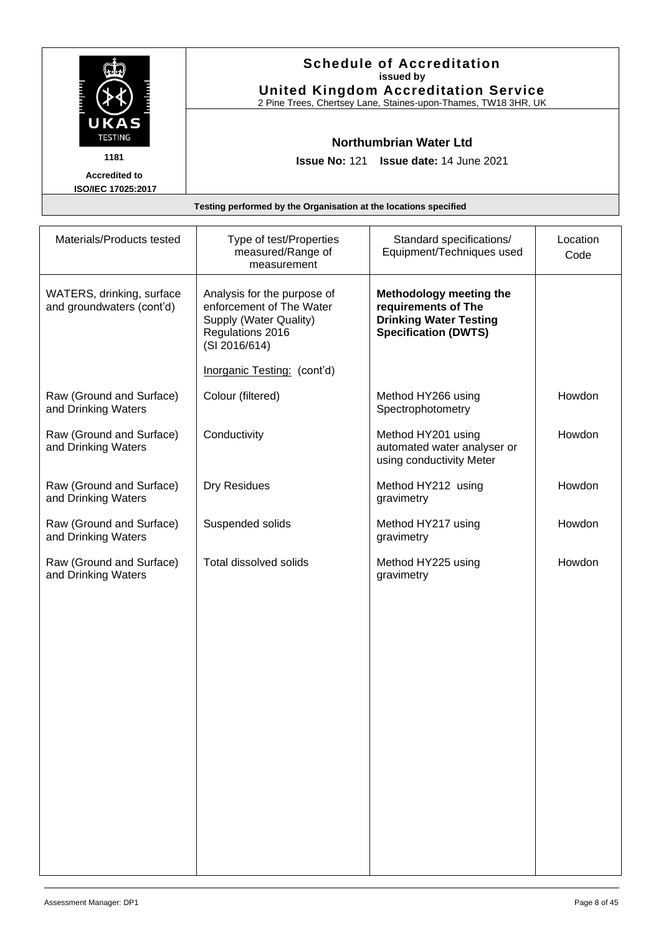|                                            | <b>Schedule of Accreditation</b><br>issued by<br><b>United Kingdom Accreditation Service</b><br>2 Pine Trees, Chertsey Lane, Staines-upon-Thames, TW18 3HR, UK |  |
|--------------------------------------------|----------------------------------------------------------------------------------------------------------------------------------------------------------------|--|
| UKAS<br><b>TESTING</b>                     | Northumbrian Water Ltd                                                                                                                                         |  |
| 1181                                       | <b>Issue No: 121 Issue date: 14 June 2021</b>                                                                                                                  |  |
| <b>Accredited to</b><br>ISO/IEC 17025:2017 |                                                                                                                                                                |  |
|                                            | Testing performed by the Organisation at the locations specified                                                                                               |  |

| Materials/Products tested                              | Type of test/Properties<br>measured/Range of<br>measurement                                                            | Standard specifications/<br>Equipment/Techniques used                                                          | Location<br>Code |
|--------------------------------------------------------|------------------------------------------------------------------------------------------------------------------------|----------------------------------------------------------------------------------------------------------------|------------------|
| WATERS, drinking, surface<br>and groundwaters (cont'd) | Analysis for the purpose of<br>enforcement of The Water<br>Supply (Water Quality)<br>Regulations 2016<br>(SI 2016/614) | Methodology meeting the<br>requirements of The<br><b>Drinking Water Testing</b><br><b>Specification (DWTS)</b> |                  |
|                                                        | Inorganic Testing: (cont'd)                                                                                            |                                                                                                                |                  |
| Raw (Ground and Surface)<br>and Drinking Waters        | Colour (filtered)                                                                                                      | Method HY266 using<br>Spectrophotometry                                                                        | Howdon           |
| Raw (Ground and Surface)<br>and Drinking Waters        | Conductivity                                                                                                           | Method HY201 using<br>automated water analyser or<br>using conductivity Meter                                  | Howdon           |
| Raw (Ground and Surface)<br>and Drinking Waters        | Dry Residues                                                                                                           | Method HY212 using<br>gravimetry                                                                               | Howdon           |
| Raw (Ground and Surface)<br>and Drinking Waters        | Suspended solids                                                                                                       | Method HY217 using<br>gravimetry                                                                               | Howdon           |
| Raw (Ground and Surface)<br>and Drinking Waters        | Total dissolved solids                                                                                                 | Method HY225 using<br>gravimetry                                                                               | Howdon           |
|                                                        |                                                                                                                        |                                                                                                                |                  |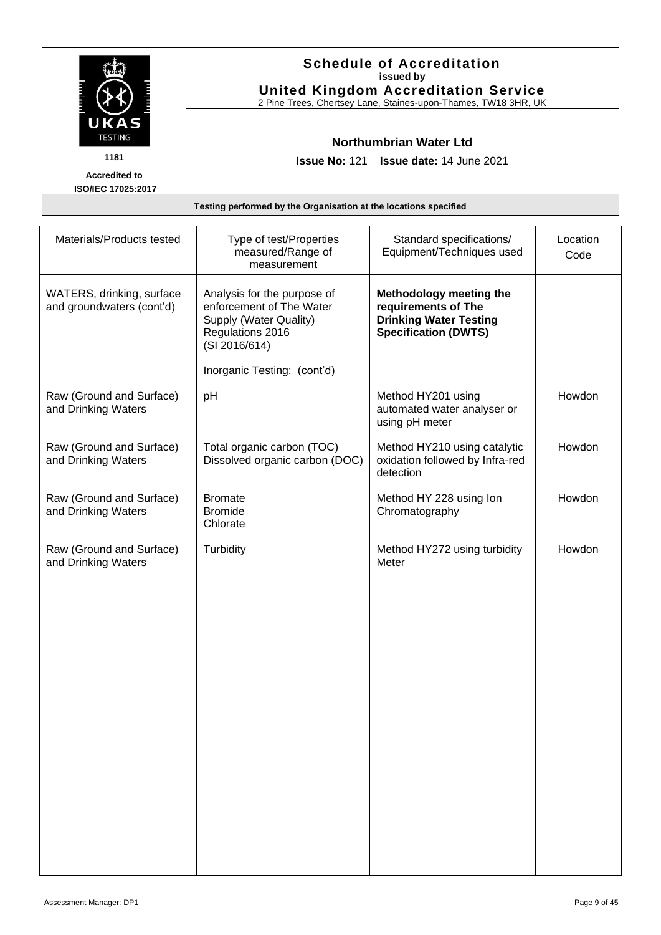|                                            | <b>Schedule of Accreditation</b><br>issued by<br><b>United Kingdom Accreditation Service</b><br>2 Pine Trees, Chertsey Lane, Staines-upon-Thames, TW18 3HR, UK |  |
|--------------------------------------------|----------------------------------------------------------------------------------------------------------------------------------------------------------------|--|
| UKAS<br><b>TESTING</b>                     | Northumbrian Water Ltd                                                                                                                                         |  |
| 1181                                       | <b>Issue No: 121 Issue date: 14 June 2021</b>                                                                                                                  |  |
| <b>Accredited to</b><br>ISO/IEC 17025:2017 |                                                                                                                                                                |  |
|                                            | Testing performed by the Organisation at the locations specified                                                                                               |  |

| Materials/Products tested                              | Type of test/Properties<br>measured/Range of<br>measurement                                                            | Standard specifications/<br>Equipment/Techniques used                                                          | Location<br>Code |
|--------------------------------------------------------|------------------------------------------------------------------------------------------------------------------------|----------------------------------------------------------------------------------------------------------------|------------------|
| WATERS, drinking, surface<br>and groundwaters (cont'd) | Analysis for the purpose of<br>enforcement of The Water<br>Supply (Water Quality)<br>Regulations 2016<br>(SI 2016/614) | Methodology meeting the<br>requirements of The<br><b>Drinking Water Testing</b><br><b>Specification (DWTS)</b> |                  |
|                                                        | Inorganic Testing: (cont'd)                                                                                            |                                                                                                                |                  |
| Raw (Ground and Surface)<br>and Drinking Waters        | pH                                                                                                                     | Method HY201 using<br>automated water analyser or<br>using pH meter                                            | Howdon           |
| Raw (Ground and Surface)<br>and Drinking Waters        | Total organic carbon (TOC)<br>Dissolved organic carbon (DOC)                                                           | Method HY210 using catalytic<br>oxidation followed by Infra-red<br>detection                                   | Howdon           |
| Raw (Ground and Surface)<br>and Drinking Waters        | <b>Bromate</b><br><b>Bromide</b><br>Chlorate                                                                           | Method HY 228 using lon<br>Chromatography                                                                      | Howdon           |
| Raw (Ground and Surface)<br>and Drinking Waters        | Turbidity                                                                                                              | Method HY272 using turbidity<br>Meter                                                                          | Howdon           |
|                                                        |                                                                                                                        |                                                                                                                |                  |
|                                                        |                                                                                                                        |                                                                                                                |                  |
|                                                        |                                                                                                                        |                                                                                                                |                  |
|                                                        |                                                                                                                        |                                                                                                                |                  |
|                                                        |                                                                                                                        |                                                                                                                |                  |
|                                                        |                                                                                                                        |                                                                                                                |                  |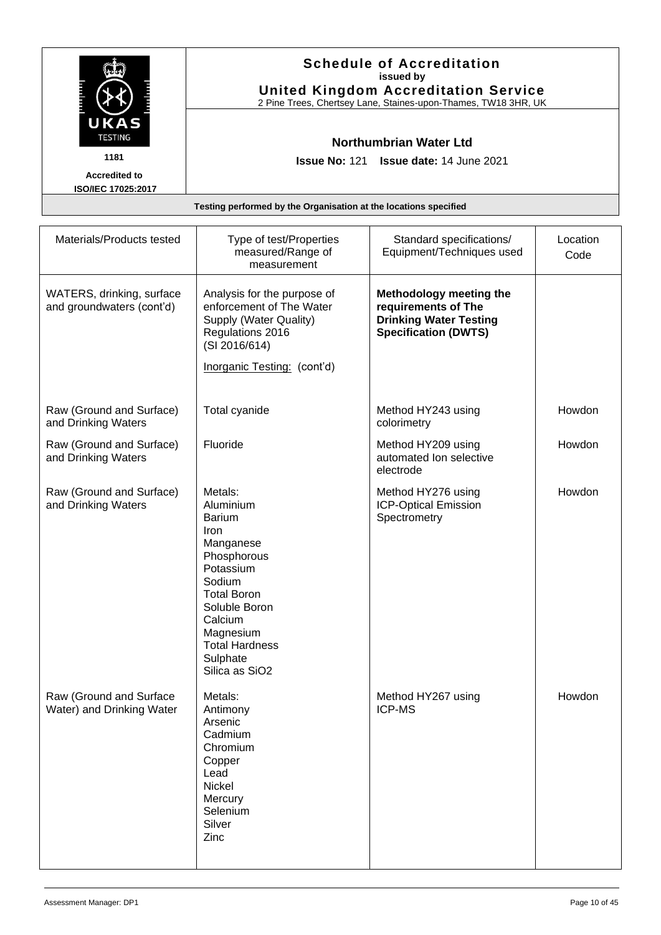|                        | <b>Schedule of Accreditation</b><br>issued by<br><b>United Kingdom Accreditation Service</b><br>2 Pine Trees, Chertsey Lane, Staines-upon-Thames, TW18 3HR, UK |
|------------------------|----------------------------------------------------------------------------------------------------------------------------------------------------------------|
| UKAS<br><b>TESTING</b> | Northumbrian Water Ltd                                                                                                                                         |
| 1181                   | <b>Issue No: 121 Issue date: 14 June 2021</b>                                                                                                                  |
| <b>Accredited to</b>   |                                                                                                                                                                |
| ISO/IEC 17025:2017     |                                                                                                                                                                |
|                        | Teather performed butter Opperlaation at the least can appelled.                                                                                               |

| Testing performed by the Organisation at the locations specified |                                                                                                                                                                                                                                    |                                                                                                                       |                  |  |
|------------------------------------------------------------------|------------------------------------------------------------------------------------------------------------------------------------------------------------------------------------------------------------------------------------|-----------------------------------------------------------------------------------------------------------------------|------------------|--|
| Materials/Products tested                                        | Type of test/Properties<br>measured/Range of<br>measurement                                                                                                                                                                        | Standard specifications/<br>Equipment/Techniques used                                                                 | Location<br>Code |  |
| WATERS, drinking, surface<br>and groundwaters (cont'd)           | Analysis for the purpose of<br>enforcement of The Water<br>Supply (Water Quality)<br>Regulations 2016<br>(SI 2016/614)<br>Inorganic Testing: (cont'd)                                                                              | <b>Methodology meeting the</b><br>requirements of The<br><b>Drinking Water Testing</b><br><b>Specification (DWTS)</b> |                  |  |
| Raw (Ground and Surface)<br>and Drinking Waters                  | Total cyanide                                                                                                                                                                                                                      | Method HY243 using<br>colorimetry                                                                                     | Howdon           |  |
| Raw (Ground and Surface)<br>and Drinking Waters                  | Fluoride                                                                                                                                                                                                                           | Method HY209 using<br>automated Ion selective<br>electrode                                                            | Howdon           |  |
| Raw (Ground and Surface)<br>and Drinking Waters                  | Metals:<br>Aluminium<br><b>Barium</b><br>Iron<br>Manganese<br>Phosphorous<br>Potassium<br>Sodium<br><b>Total Boron</b><br>Soluble Boron<br>Calcium<br>Magnesium<br><b>Total Hardness</b><br>Sulphate<br>Silica as SiO <sub>2</sub> | Method HY276 using<br><b>ICP-Optical Emission</b><br>Spectrometry                                                     | Howdon           |  |
| Raw (Ground and Surface<br>Water) and Drinking Water             | Metals:<br>Antimony<br>Arsenic<br>Cadmium<br>Chromium<br>Copper<br>Lead<br>Nickel<br>Mercury<br>Selenium                                                                                                                           | Method HY267 using<br><b>ICP-MS</b>                                                                                   | Howdon           |  |

Silver Zinc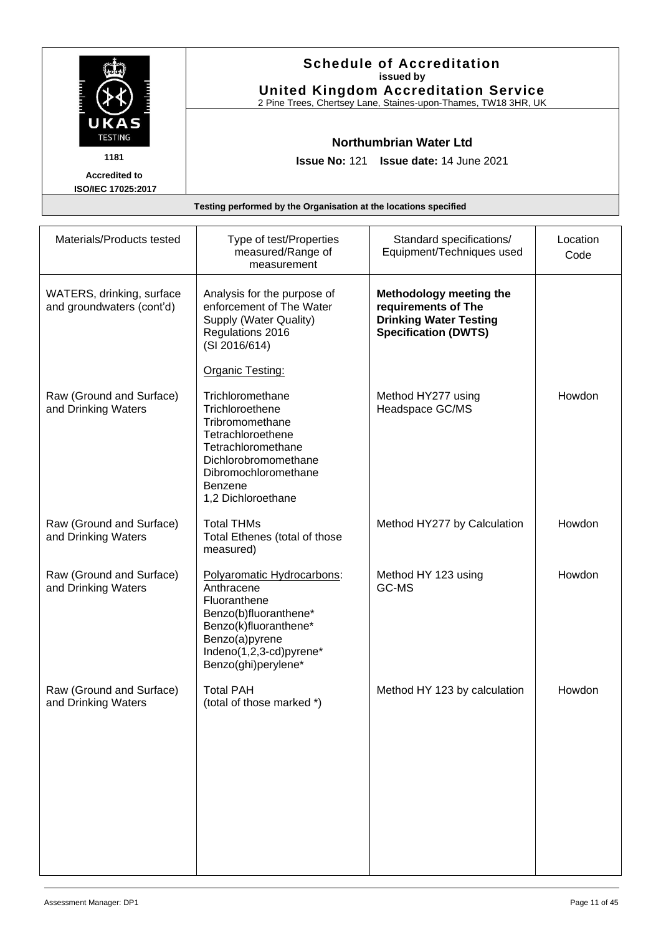|                                            | <b>Schedule of Accreditation</b><br>issued by<br><b>United Kingdom Accreditation Service</b><br>2 Pine Trees, Chertsey Lane, Staines-upon-Thames, TW18 3HR, UK |
|--------------------------------------------|----------------------------------------------------------------------------------------------------------------------------------------------------------------|
| UKAS<br><b>TESTING</b>                     | Northumbrian Water Ltd                                                                                                                                         |
| 1181                                       | <b>Issue No: 121 Issue date: 14 June 2021</b>                                                                                                                  |
| <b>Accredited to</b><br>ISO/IEC 17025:2017 |                                                                                                                                                                |
|                                            | Testing performed by the Organisation at the locations specified                                                                                               |

| Materials/Products tested                              | Type of test/Properties<br>measured/Range of<br>measurement                                                                                                                        | Standard specifications/<br>Equipment/Techniques used                                                                 | Location<br>Code |
|--------------------------------------------------------|------------------------------------------------------------------------------------------------------------------------------------------------------------------------------------|-----------------------------------------------------------------------------------------------------------------------|------------------|
| WATERS, drinking, surface<br>and groundwaters (cont'd) | Analysis for the purpose of<br>enforcement of The Water<br>Supply (Water Quality)<br>Regulations 2016<br>(SI 2016/614)                                                             | <b>Methodology meeting the</b><br>requirements of The<br><b>Drinking Water Testing</b><br><b>Specification (DWTS)</b> |                  |
|                                                        | <b>Organic Testing:</b>                                                                                                                                                            |                                                                                                                       |                  |
| Raw (Ground and Surface)<br>and Drinking Waters        | Trichloromethane<br>Trichloroethene<br>Tribromomethane<br>Tetrachloroethene<br>Tetrachloromethane<br>Dichlorobromomethane<br>Dibromochloromethane<br>Benzene<br>1,2 Dichloroethane | Method HY277 using<br>Headspace GC/MS                                                                                 | Howdon           |
| Raw (Ground and Surface)<br>and Drinking Waters        | <b>Total THMs</b><br>Total Ethenes (total of those<br>measured)                                                                                                                    | Method HY277 by Calculation                                                                                           | Howdon           |
| Raw (Ground and Surface)<br>and Drinking Waters        | Polyaromatic Hydrocarbons:<br>Anthracene<br>Fluoranthene<br>Benzo(b)fluoranthene*<br>Benzo(k)fluoranthene*<br>Benzo(a)pyrene<br>Indeno(1,2,3-cd)pyrene*<br>Benzo(ghi)perylene*     | Method HY 123 using<br>GC-MS                                                                                          | Howdon           |
| Raw (Ground and Surface)<br>and Drinking Waters        | <b>Total PAH</b><br>(total of those marked *)                                                                                                                                      | Method HY 123 by calculation                                                                                          | Howdon           |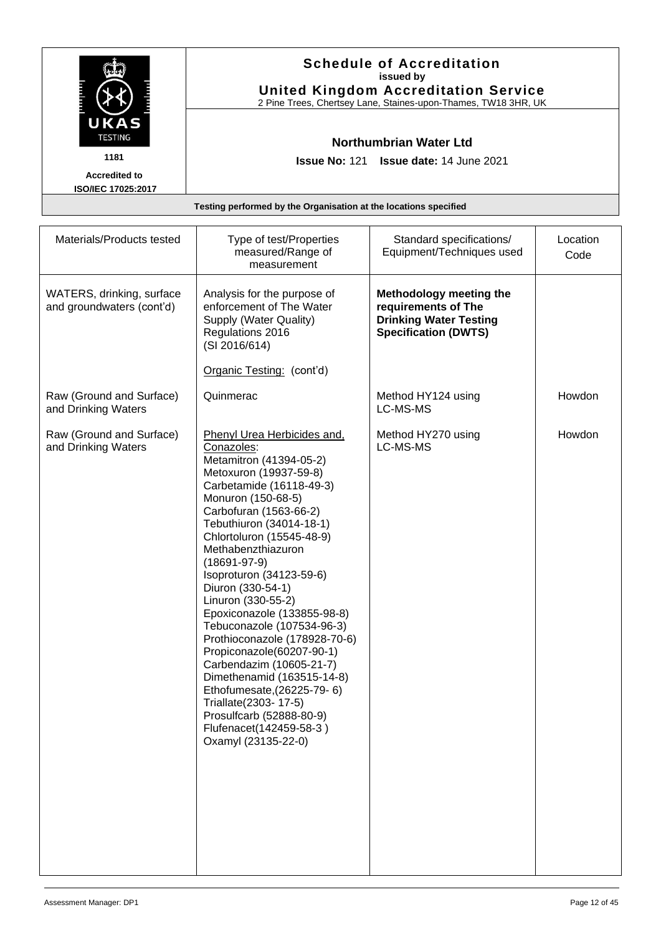|                        | <b>Schedule of Accreditation</b><br>issued by<br><b>United Kingdom Accreditation Service</b><br>2 Pine Trees, Chertsey Lane, Staines-upon-Thames, TW18 3HR, UK |
|------------------------|----------------------------------------------------------------------------------------------------------------------------------------------------------------|
| UKAS<br><b>TESTING</b> | <b>Northumbrian Water Ltd</b>                                                                                                                                  |
| 1181                   | <b>Issue No: 121 Issue date: 14 June 2021</b>                                                                                                                  |
| <b>Accredited to</b>   |                                                                                                                                                                |
| ISO/IEC 17025:2017     |                                                                                                                                                                |
|                        | Testing performed by the Organisation at the locations specified                                                                                               |

| Materials/Products tested                              | Type of test/Properties<br>measured/Range of<br>measurement                                                                                                                                                                                                                                                                                                                                                                                                                                                                                                                                                                                                                            | Standard specifications/<br>Equipment/Techniques used                                                                 | Location<br>Code |
|--------------------------------------------------------|----------------------------------------------------------------------------------------------------------------------------------------------------------------------------------------------------------------------------------------------------------------------------------------------------------------------------------------------------------------------------------------------------------------------------------------------------------------------------------------------------------------------------------------------------------------------------------------------------------------------------------------------------------------------------------------|-----------------------------------------------------------------------------------------------------------------------|------------------|
| WATERS, drinking, surface<br>and groundwaters (cont'd) | Analysis for the purpose of<br>enforcement of The Water<br>Supply (Water Quality)<br>Regulations 2016<br>(SI 2016/614)                                                                                                                                                                                                                                                                                                                                                                                                                                                                                                                                                                 | <b>Methodology meeting the</b><br>requirements of The<br><b>Drinking Water Testing</b><br><b>Specification (DWTS)</b> |                  |
|                                                        | Organic Testing: (cont'd)                                                                                                                                                                                                                                                                                                                                                                                                                                                                                                                                                                                                                                                              |                                                                                                                       |                  |
| Raw (Ground and Surface)<br>and Drinking Waters        | Quinmerac                                                                                                                                                                                                                                                                                                                                                                                                                                                                                                                                                                                                                                                                              | Method HY124 using<br>LC-MS-MS                                                                                        | Howdon           |
| Raw (Ground and Surface)<br>and Drinking Waters        | <b>Phenyl Urea Herbicides and,</b><br>Conazoles:<br>Metamitron (41394-05-2)<br>Metoxuron (19937-59-8)<br>Carbetamide (16118-49-3)<br>Monuron (150-68-5)<br>Carbofuran (1563-66-2)<br>Tebuthiuron (34014-18-1)<br>Chlortoluron (15545-48-9)<br>Methabenzthiazuron<br>$(18691 - 97 - 9)$<br>Isoproturon (34123-59-6)<br>Diuron (330-54-1)<br>Linuron (330-55-2)<br>Epoxiconazole (133855-98-8)<br>Tebuconazole (107534-96-3)<br>Prothioconazole (178928-70-6)<br>Propiconazole(60207-90-1)<br>Carbendazim (10605-21-7)<br>Dimethenamid (163515-14-8)<br>Ethofumesate, (26225-79-6)<br>Triallate(2303-17-5)<br>Prosulfcarb (52888-80-9)<br>Flufenacet(142459-58-3)<br>Oxamyl (23135-22-0) | Method HY270 using<br>LC-MS-MS                                                                                        | Howdon           |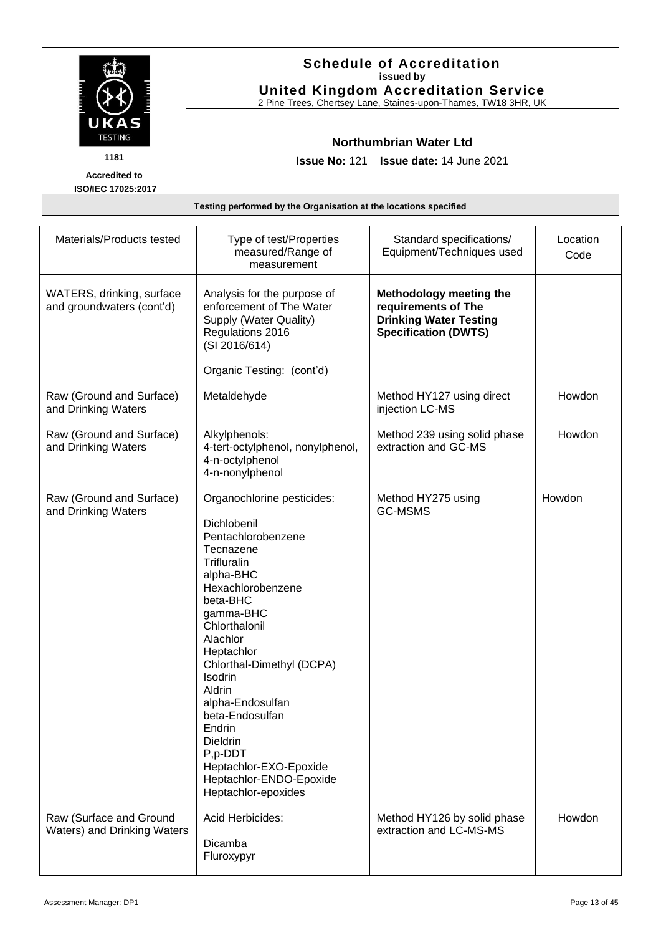|                                            | <b>Schedule of Accreditation</b><br>issued by<br><b>United Kingdom Accreditation Service</b><br>2 Pine Trees, Chertsey Lane, Staines-upon-Thames, TW18 3HR, UK |
|--------------------------------------------|----------------------------------------------------------------------------------------------------------------------------------------------------------------|
| <b>UKAS</b><br><b>TESTING</b>              | <b>Northumbrian Water Ltd</b>                                                                                                                                  |
| 1181                                       | <b>Issue No: 121 Issue date: 14 June 2021</b>                                                                                                                  |
| <b>Accredited to</b><br>ISO/IEC 17025:2017 |                                                                                                                                                                |
|                                            | Testing performed by the Organisation at the locations specified                                                                                               |

| Materials/Products tested                              | Type of test/Properties<br>measured/Range of<br>measurement                                                                                                                                                                                                                                                                                                                                             | Standard specifications/<br>Equipment/Techniques used                                                          | Location<br>Code |
|--------------------------------------------------------|---------------------------------------------------------------------------------------------------------------------------------------------------------------------------------------------------------------------------------------------------------------------------------------------------------------------------------------------------------------------------------------------------------|----------------------------------------------------------------------------------------------------------------|------------------|
| WATERS, drinking, surface<br>and groundwaters (cont'd) | Analysis for the purpose of<br>enforcement of The Water<br>Supply (Water Quality)<br>Regulations 2016<br>(SI 2016/614)                                                                                                                                                                                                                                                                                  | Methodology meeting the<br>requirements of The<br><b>Drinking Water Testing</b><br><b>Specification (DWTS)</b> |                  |
|                                                        | Organic Testing: (cont'd)                                                                                                                                                                                                                                                                                                                                                                               |                                                                                                                |                  |
| Raw (Ground and Surface)<br>and Drinking Waters        | Metaldehyde                                                                                                                                                                                                                                                                                                                                                                                             | Method HY127 using direct<br>injection LC-MS                                                                   | Howdon           |
| Raw (Ground and Surface)<br>and Drinking Waters        | Alkylphenols:<br>4-tert-octylphenol, nonylphenol,<br>4-n-octylphenol<br>4-n-nonylphenol                                                                                                                                                                                                                                                                                                                 | Method 239 using solid phase<br>extraction and GC-MS                                                           | Howdon           |
| Raw (Ground and Surface)<br>and Drinking Waters        | Organochlorine pesticides:<br>Dichlobenil<br>Pentachlorobenzene<br>Tecnazene<br>Trifluralin<br>alpha-BHC<br>Hexachlorobenzene<br>beta-BHC<br>gamma-BHC<br>Chlorthalonil<br>Alachlor<br>Heptachlor<br>Chlorthal-Dimethyl (DCPA)<br>Isodrin<br>Aldrin<br>alpha-Endosulfan<br>beta-Endosulfan<br>Endrin<br>Dieldrin<br>P,p-DDT<br>Heptachlor-EXO-Epoxide<br>Heptachlor-ENDO-Epoxide<br>Heptachlor-epoxides | Method HY275 using<br><b>GC-MSMS</b>                                                                           | Howdon           |
| Raw (Surface and Ground<br>Waters) and Drinking Waters | Acid Herbicides:<br>Dicamba<br>Fluroxypyr                                                                                                                                                                                                                                                                                                                                                               | Method HY126 by solid phase<br>extraction and LC-MS-MS                                                         | Howdon           |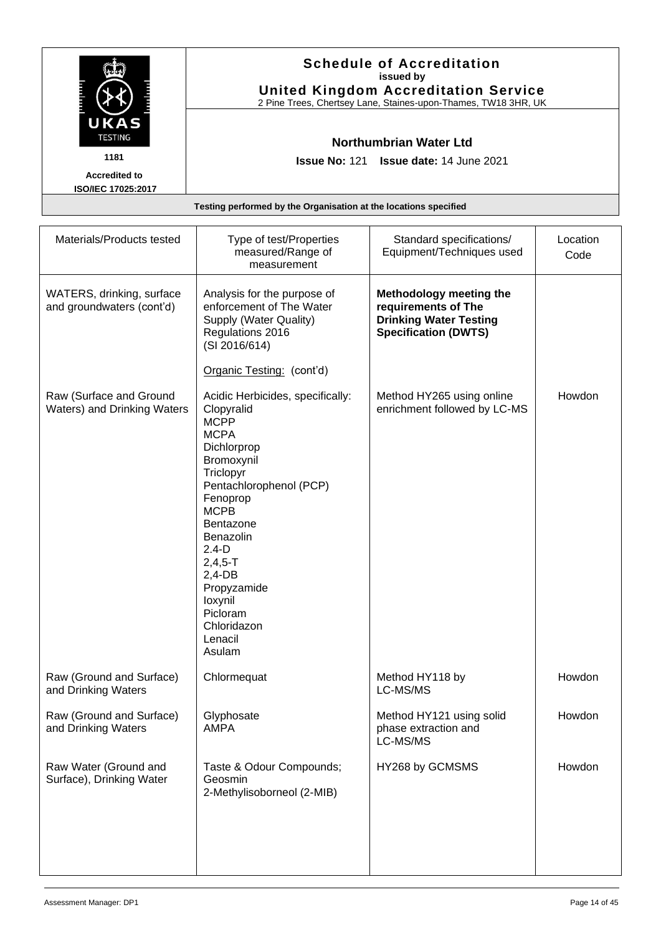|                                            | <b>Schedule of Accreditation</b><br>issued by<br><b>United Kingdom Accreditation Service</b><br>2 Pine Trees, Chertsey Lane, Staines-upon-Thames, TW18 3HR, UK |
|--------------------------------------------|----------------------------------------------------------------------------------------------------------------------------------------------------------------|
| UKAS<br><b>TESTING</b>                     | Northumbrian Water Ltd                                                                                                                                         |
| 1181                                       | <b>Issue No: 121 Issue date: 14 June 2021</b>                                                                                                                  |
| <b>Accredited to</b><br>ISO/IEC 17025:2017 |                                                                                                                                                                |
|                                            | Testing performed by the Organisation at the locations specified                                                                                               |

| Testing performed by the Organisation at the locations specified |  |
|------------------------------------------------------------------|--|
|                                                                  |  |

| Materials/Products tested                              | Type of test/Properties<br>measured/Range of<br>measurement                                                                                                                                                                                                                                                            | Standard specifications/<br>Equipment/Techniques used                                                          | Location<br>Code |
|--------------------------------------------------------|------------------------------------------------------------------------------------------------------------------------------------------------------------------------------------------------------------------------------------------------------------------------------------------------------------------------|----------------------------------------------------------------------------------------------------------------|------------------|
| WATERS, drinking, surface<br>and groundwaters (cont'd) | Analysis for the purpose of<br>enforcement of The Water<br>Supply (Water Quality)<br>Regulations 2016<br>(SI 2016/614)                                                                                                                                                                                                 | Methodology meeting the<br>requirements of The<br><b>Drinking Water Testing</b><br><b>Specification (DWTS)</b> |                  |
|                                                        | Organic Testing: (cont'd)                                                                                                                                                                                                                                                                                              |                                                                                                                |                  |
| Raw (Surface and Ground<br>Waters) and Drinking Waters | Acidic Herbicides, specifically:<br>Clopyralid<br><b>MCPP</b><br><b>MCPA</b><br>Dichlorprop<br>Bromoxynil<br>Triclopyr<br>Pentachlorophenol (PCP)<br>Fenoprop<br><b>MCPB</b><br>Bentazone<br>Benazolin<br>$2.4-D$<br>$2,4,5 - T$<br>$2,4-DB$<br>Propyzamide<br>loxynil<br>Picloram<br>Chloridazon<br>Lenacil<br>Asulam | Method HY265 using online<br>enrichment followed by LC-MS                                                      | Howdon           |
| Raw (Ground and Surface)<br>and Drinking Waters        | Chlormequat                                                                                                                                                                                                                                                                                                            | Method HY118 by<br>LC-MS/MS                                                                                    | Howdon           |
| Raw (Ground and Surface)<br>and Drinking Waters        | Glyphosate<br>AMPA                                                                                                                                                                                                                                                                                                     | Method HY121 using solid<br>phase extraction and<br>LC-MS/MS                                                   | Howdon           |
| Raw Water (Ground and<br>Surface), Drinking Water      | Taste & Odour Compounds;<br>Geosmin<br>2-Methylisoborneol (2-MIB)                                                                                                                                                                                                                                                      | HY268 by GCMSMS                                                                                                | Howdon           |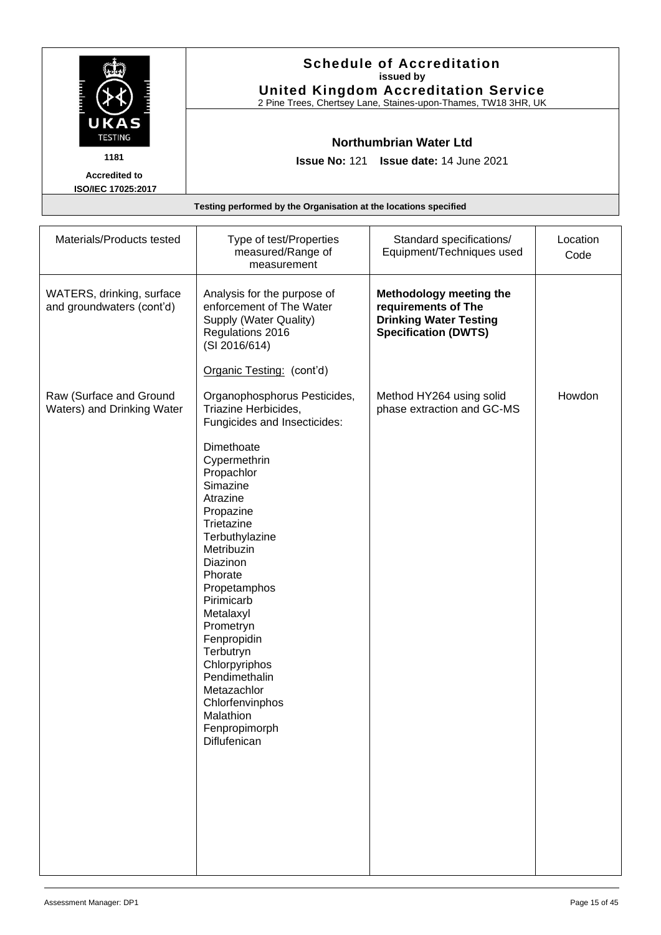|                                            | <b>Schedule of Accreditation</b><br>issued by<br><b>United Kingdom Accreditation Service</b><br>2 Pine Trees, Chertsey Lane, Staines-upon-Thames, TW18 3HR, UK |
|--------------------------------------------|----------------------------------------------------------------------------------------------------------------------------------------------------------------|
| UKAS<br><b>TESTING</b>                     | <b>Northumbrian Water Ltd</b>                                                                                                                                  |
| 1181                                       | <b>Issue No: 121 Issue date: 14 June 2021</b>                                                                                                                  |
| <b>Accredited to</b><br>ISO/IEC 17025:2017 |                                                                                                                                                                |
|                                            | Testing performed by the Organisation at the locations specified                                                                                               |

| Materials/Products tested                              | Type of test/Properties<br>measured/Range of<br>measurement                                                                                                                                                                                                                                                                                                                                                                                                                   | Standard specifications/<br>Equipment/Techniques used                                                          | Location<br>Code |
|--------------------------------------------------------|-------------------------------------------------------------------------------------------------------------------------------------------------------------------------------------------------------------------------------------------------------------------------------------------------------------------------------------------------------------------------------------------------------------------------------------------------------------------------------|----------------------------------------------------------------------------------------------------------------|------------------|
| WATERS, drinking, surface<br>and groundwaters (cont'd) | Analysis for the purpose of<br>enforcement of The Water<br>Supply (Water Quality)<br>Regulations 2016<br>(SI 2016/614)                                                                                                                                                                                                                                                                                                                                                        | Methodology meeting the<br>requirements of The<br><b>Drinking Water Testing</b><br><b>Specification (DWTS)</b> |                  |
| Raw (Surface and Ground<br>Waters) and Drinking Water  | Organic Testing: (cont'd)<br>Organophosphorus Pesticides,<br>Triazine Herbicides,<br>Fungicides and Insecticides:<br>Dimethoate<br>Cypermethrin<br>Propachlor<br>Simazine<br>Atrazine<br>Propazine<br>Trietazine<br>Terbuthylazine<br>Metribuzin<br>Diazinon<br>Phorate<br>Propetamphos<br>Pirimicarb<br>Metalaxyl<br>Prometryn<br>Fenpropidin<br>Terbutryn<br>Chlorpyriphos<br>Pendimethalin<br>Metazachlor<br>Chlorfenvinphos<br>Malathion<br>Fenpropimorph<br>Diflufenican | Method HY264 using solid<br>phase extraction and GC-MS                                                         | Howdon           |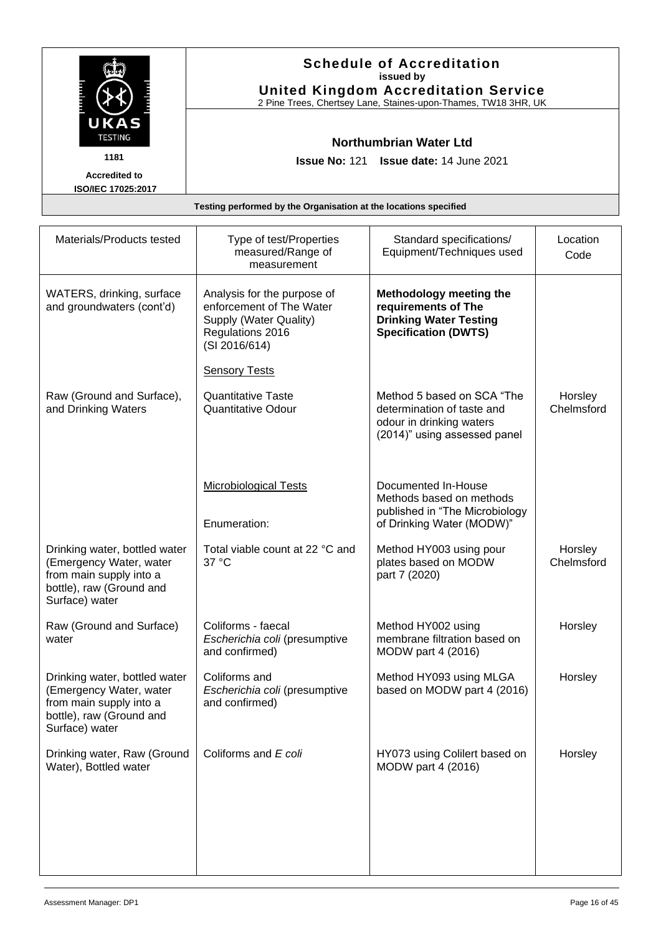|                                            | <b>Schedule of Accreditation</b><br>issued by<br><b>United Kingdom Accreditation Service</b><br>2 Pine Trees, Chertsey Lane, Staines-upon-Thames, TW18 3HR, UK |
|--------------------------------------------|----------------------------------------------------------------------------------------------------------------------------------------------------------------|
| UKAS<br><b>TESTING</b>                     | Northumbrian Water Ltd                                                                                                                                         |
| 1181                                       | <b>Issue No: 121 Issue date: 14 June 2021</b>                                                                                                                  |
| <b>Accredited to</b><br>ISO/IEC 17025:2017 |                                                                                                                                                                |
|                                            | Testing performed by the Organisation at the locations specified                                                                                               |

| Materials/Products tested                                                                                                         | Type of test/Properties<br>measured/Range of<br>measurement                                                            | Standard specifications/<br>Equipment/Techniques used                                                                | Location<br>Code      |
|-----------------------------------------------------------------------------------------------------------------------------------|------------------------------------------------------------------------------------------------------------------------|----------------------------------------------------------------------------------------------------------------------|-----------------------|
| WATERS, drinking, surface<br>and groundwaters (cont'd)                                                                            | Analysis for the purpose of<br>enforcement of The Water<br>Supply (Water Quality)<br>Regulations 2016<br>(SI 2016/614) | Methodology meeting the<br>requirements of The<br><b>Drinking Water Testing</b><br><b>Specification (DWTS)</b>       |                       |
|                                                                                                                                   | <b>Sensory Tests</b>                                                                                                   |                                                                                                                      |                       |
| Raw (Ground and Surface),<br>and Drinking Waters                                                                                  | <b>Quantitative Taste</b><br><b>Quantitative Odour</b>                                                                 | Method 5 based on SCA "The<br>determination of taste and<br>odour in drinking waters<br>(2014)" using assessed panel | Horsley<br>Chelmsford |
|                                                                                                                                   | <b>Microbiological Tests</b><br>Enumeration:                                                                           | Documented In-House<br>Methods based on methods<br>published in "The Microbiology<br>of Drinking Water (MODW)"       |                       |
| Drinking water, bottled water<br>(Emergency Water, water<br>from main supply into a<br>bottle), raw (Ground and<br>Surface) water | Total viable count at 22 °C and<br>37 °C                                                                               | Method HY003 using pour<br>plates based on MODW<br>part 7 (2020)                                                     | Horsley<br>Chelmsford |
| Raw (Ground and Surface)<br>water                                                                                                 | Coliforms - faecal<br>Escherichia coli (presumptive<br>and confirmed)                                                  | Method HY002 using<br>membrane filtration based on<br>MODW part 4 (2016)                                             | Horsley               |
| Drinking water, bottled water<br>(Emergency Water, water<br>from main supply into a<br>bottle), raw (Ground and<br>Surface) water | Coliforms and<br>Escherichia coli (presumptive<br>and confirmed)                                                       | Method HY093 using MLGA<br>based on MODW part 4 (2016)                                                               | Horsley               |
| Drinking water, Raw (Ground                                                                                                       | Coliforms and E coli                                                                                                   | HY073 using Colilert based on                                                                                        | Horsley               |

MODW part 4 (2016)

Water), Bottled water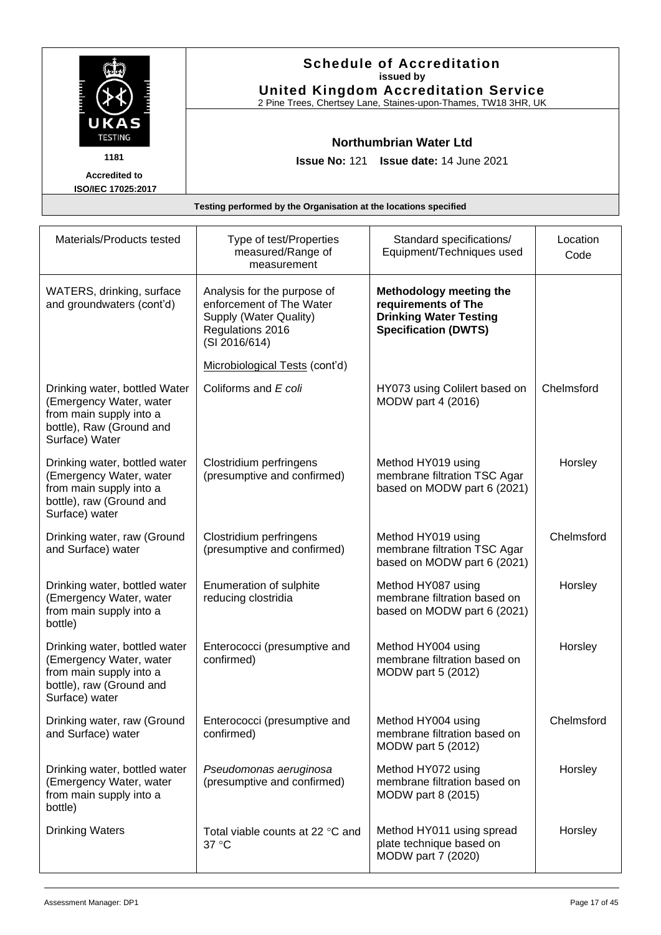|                        | <b>Schedule of Accreditation</b><br>issued by<br><b>United Kingdom Accreditation Service</b><br>2 Pine Trees, Chertsey Lane, Staines-upon-Thames, TW18 3HR, UK |
|------------------------|----------------------------------------------------------------------------------------------------------------------------------------------------------------|
| UKAS<br><b>TESTING</b> | Northumbrian Water Ltd                                                                                                                                         |
| 1181                   | <b>Issue No: 121 Issue date: 14 June 2021</b>                                                                                                                  |
| <b>Accredited to</b>   |                                                                                                                                                                |
| ISO/IEC 17025:2017     |                                                                                                                                                                |
|                        | Testing performed by the Organisation at the locations specified                                                                                               |

| Materials/Products tested                                                                                                         | Type of test/Properties<br>measured/Range of<br>measurement                                                            | Standard specifications/<br>Equipment/Techniques used                                                          | Location<br>Code |
|-----------------------------------------------------------------------------------------------------------------------------------|------------------------------------------------------------------------------------------------------------------------|----------------------------------------------------------------------------------------------------------------|------------------|
| WATERS, drinking, surface<br>and groundwaters (cont'd)                                                                            | Analysis for the purpose of<br>enforcement of The Water<br>Supply (Water Quality)<br>Regulations 2016<br>(SI 2016/614) | Methodology meeting the<br>requirements of The<br><b>Drinking Water Testing</b><br><b>Specification (DWTS)</b> |                  |
|                                                                                                                                   | Microbiological Tests (cont'd)                                                                                         |                                                                                                                |                  |
| Drinking water, bottled Water<br>(Emergency Water, water<br>from main supply into a<br>bottle), Raw (Ground and<br>Surface) Water | Coliforms and E coli                                                                                                   | HY073 using Colilert based on<br>MODW part 4 (2016)                                                            | Chelmsford       |
| Drinking water, bottled water<br>(Emergency Water, water<br>from main supply into a<br>bottle), raw (Ground and<br>Surface) water | Clostridium perfringens<br>(presumptive and confirmed)                                                                 | Method HY019 using<br>membrane filtration TSC Agar<br>based on MODW part 6 (2021)                              | Horsley          |
| Drinking water, raw (Ground<br>and Surface) water                                                                                 | Clostridium perfringens<br>(presumptive and confirmed)                                                                 | Method HY019 using<br>membrane filtration TSC Agar<br>based on MODW part 6 (2021)                              | Chelmsford       |
| Drinking water, bottled water<br>(Emergency Water, water<br>from main supply into a<br>bottle)                                    | Enumeration of sulphite<br>reducing clostridia                                                                         | Method HY087 using<br>membrane filtration based on<br>based on MODW part 6 (2021)                              | Horsley          |
| Drinking water, bottled water<br>(Emergency Water, water<br>from main supply into a<br>bottle), raw (Ground and<br>Surface) water | Enterococci (presumptive and<br>confirmed)                                                                             | Method HY004 using<br>membrane filtration based on<br>MODW part 5 (2012)                                       | Horsley          |
| Drinking water, raw (Ground<br>and Surface) water                                                                                 | Enterococci (presumptive and<br>confirmed)                                                                             | Method HY004 using<br>membrane filtration based on<br>MODW part 5 (2012)                                       | Chelmsford       |
| Drinking water, bottled water<br>(Emergency Water, water<br>from main supply into a<br>bottle)                                    | Pseudomonas aeruginosa<br>(presumptive and confirmed)                                                                  | Method HY072 using<br>membrane filtration based on<br>MODW part 8 (2015)                                       | Horsley          |
| <b>Drinking Waters</b>                                                                                                            | Total viable counts at 22 °C and<br>37 °C                                                                              | Method HY011 using spread<br>plate technique based on<br>MODW part 7 (2020)                                    | Horsley          |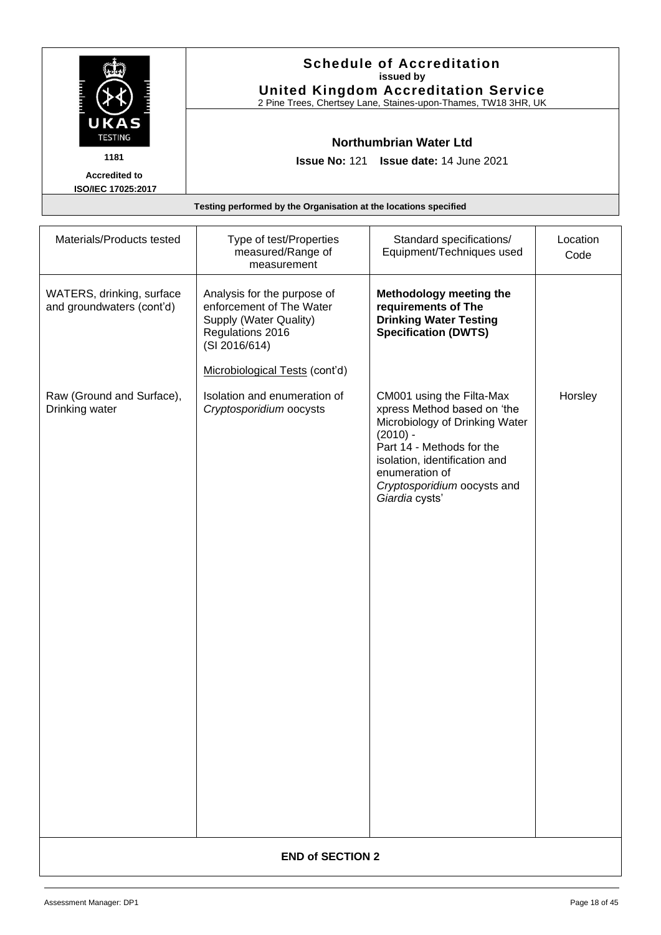|                                                   | <b>Schedule of Accreditation</b><br>issued by<br><b>United Kingdom Accreditation Service</b><br>2 Pine Trees, Chertsey Lane, Staines-upon-Thames, TW18 3HR, UK |
|---------------------------------------------------|----------------------------------------------------------------------------------------------------------------------------------------------------------------|
| UKAS<br><b>TESTING</b>                            | Northumbrian Water Ltd                                                                                                                                         |
| 1181                                              | <b>Issue No: 121 Issue date: 14 June 2021</b>                                                                                                                  |
| <b>Accredited to</b><br><b>ISO/IEC 17025:2017</b> |                                                                                                                                                                |
|                                                   | Testing performed by the Organisation at the locations specified                                                                                               |

| Materials/Products tested                              | Type of test/Properties<br>measured/Range of<br>measurement                                                            | Standard specifications/<br>Equipment/Techniques used                                                                                                                                                                                     | Location<br>Code |  |
|--------------------------------------------------------|------------------------------------------------------------------------------------------------------------------------|-------------------------------------------------------------------------------------------------------------------------------------------------------------------------------------------------------------------------------------------|------------------|--|
| WATERS, drinking, surface<br>and groundwaters (cont'd) | Analysis for the purpose of<br>enforcement of The Water<br>Supply (Water Quality)<br>Regulations 2016<br>(SI 2016/614) | Methodology meeting the<br>requirements of The<br><b>Drinking Water Testing</b><br><b>Specification (DWTS)</b>                                                                                                                            |                  |  |
| Raw (Ground and Surface),<br>Drinking water            | Microbiological Tests (cont'd)<br>Isolation and enumeration of<br>Cryptosporidium oocysts                              | CM001 using the Filta-Max<br>xpress Method based on 'the<br>Microbiology of Drinking Water<br>$(2010) -$<br>Part 14 - Methods for the<br>isolation, identification and<br>enumeration of<br>Cryptosporidium oocysts and<br>Giardia cysts' | Horsley          |  |
|                                                        |                                                                                                                        |                                                                                                                                                                                                                                           |                  |  |
|                                                        | <b>END of SECTION 2</b>                                                                                                |                                                                                                                                                                                                                                           |                  |  |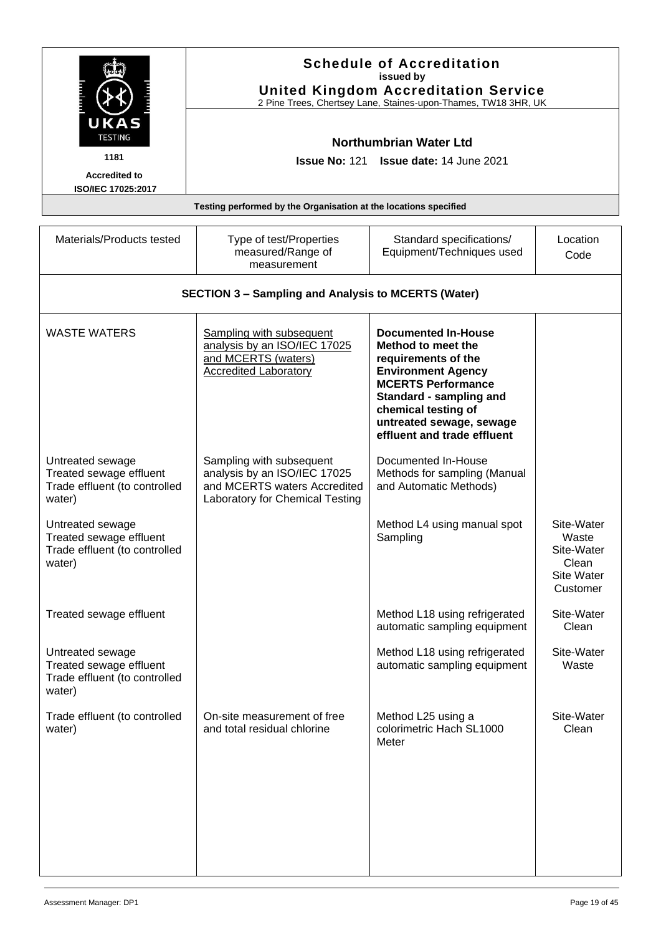<span id="page-18-0"></span>

|                                                                                        | <b>Schedule of Accreditation</b><br>issued by<br><b>United Kingdom Accreditation Service</b><br>2 Pine Trees, Chertsey Lane, Staines-upon-Thames, TW18 3HR, UK |                                                                                                                                                                                                                                                |                                                                             |
|----------------------------------------------------------------------------------------|----------------------------------------------------------------------------------------------------------------------------------------------------------------|------------------------------------------------------------------------------------------------------------------------------------------------------------------------------------------------------------------------------------------------|-----------------------------------------------------------------------------|
| UKAS<br><b>TESTING</b><br>1181<br><b>Accredited to</b><br>ISO/IEC 17025:2017           | <b>Issue No: 121</b>                                                                                                                                           | <b>Northumbrian Water Ltd</b><br><b>Issue date: 14 June 2021</b>                                                                                                                                                                               |                                                                             |
|                                                                                        | Testing performed by the Organisation at the locations specified                                                                                               |                                                                                                                                                                                                                                                |                                                                             |
| Materials/Products tested                                                              | Type of test/Properties<br>measured/Range of<br>measurement                                                                                                    | Standard specifications/<br>Equipment/Techniques used                                                                                                                                                                                          | Location<br>Code                                                            |
|                                                                                        | <b>SECTION 3 - Sampling and Analysis to MCERTS (Water)</b>                                                                                                     |                                                                                                                                                                                                                                                |                                                                             |
| <b>WASTE WATERS</b>                                                                    | <b>Sampling with subsequent</b><br>analysis by an ISO/IEC 17025<br>and MCERTS (waters)<br><b>Accredited Laboratory</b>                                         | <b>Documented In-House</b><br>Method to meet the<br>requirements of the<br><b>Environment Agency</b><br><b>MCERTS Performance</b><br>Standard - sampling and<br>chemical testing of<br>untreated sewage, sewage<br>effluent and trade effluent |                                                                             |
| Untreated sewage<br>Treated sewage effluent<br>Trade effluent (to controlled<br>water) | Sampling with subsequent<br>analysis by an ISO/IEC 17025<br>and MCERTS waters Accredited<br>Laboratory for Chemical Testing                                    | Documented In-House<br>Methods for sampling (Manual<br>and Automatic Methods)                                                                                                                                                                  |                                                                             |
| Untreated sewage<br>Treated sewage effluent<br>Trade effluent (to controlled<br>water) |                                                                                                                                                                | Method L4 using manual spot<br>Sampling                                                                                                                                                                                                        | Site-Water<br>Waste<br>Site-Water<br>Clean<br><b>Site Water</b><br>Customer |
| Treated sewage effluent                                                                |                                                                                                                                                                | Method L18 using refrigerated<br>automatic sampling equipment                                                                                                                                                                                  | Site-Water<br>Clean                                                         |
| Untreated sewage<br>Treated sewage effluent<br>Trade effluent (to controlled<br>water) |                                                                                                                                                                | Method L18 using refrigerated<br>automatic sampling equipment                                                                                                                                                                                  | Site-Water<br>Waste                                                         |
| Trade effluent (to controlled<br>water)                                                | On-site measurement of free<br>and total residual chlorine                                                                                                     | Method L25 using a<br>colorimetric Hach SL1000<br>Meter                                                                                                                                                                                        | Site-Water<br>Clean                                                         |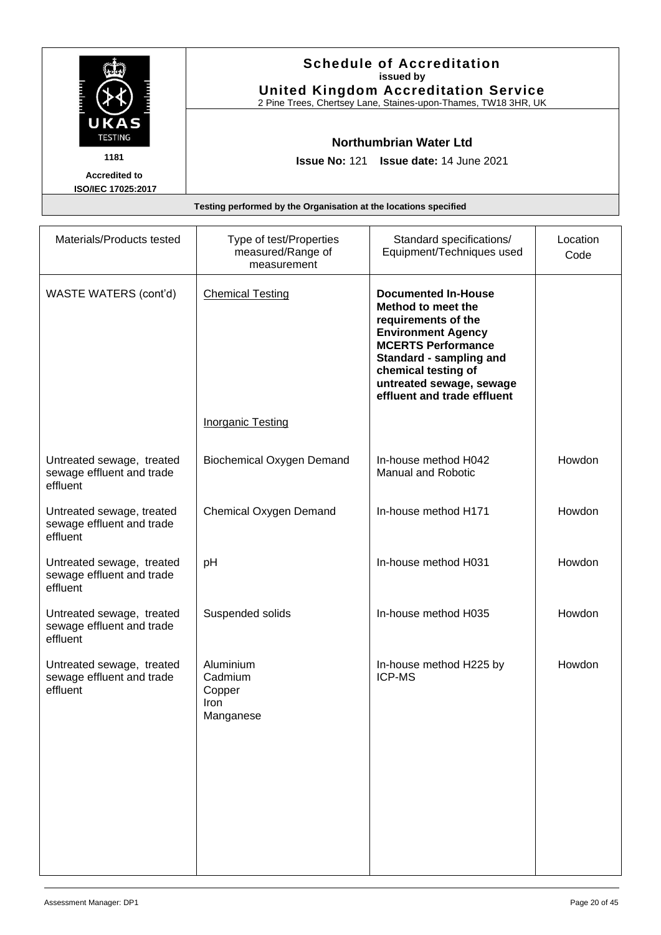|                                            | <b>Schedule of Accreditation</b><br>issued by<br><b>United Kingdom Accreditation Service</b><br>2 Pine Trees, Chertsey Lane, Staines-upon-Thames, TW18 3HR, UK |
|--------------------------------------------|----------------------------------------------------------------------------------------------------------------------------------------------------------------|
| UKAS<br><b>TESTING</b>                     | <b>Northumbrian Water Ltd</b>                                                                                                                                  |
| 1181                                       | <b>Issue No: 121 Issue date: 14 June 2021</b>                                                                                                                  |
| <b>Accredited to</b><br>ISO/IEC 17025:2017 |                                                                                                                                                                |
|                                            | Testing performed by the Organisation at the locations specified                                                                                               |

| Materials/Products tested                                          | Type of test/Properties<br>measured/Range of<br>measurement | Standard specifications/<br>Equipment/Techniques used                                                                                                                                                                                          | Location<br>Code |
|--------------------------------------------------------------------|-------------------------------------------------------------|------------------------------------------------------------------------------------------------------------------------------------------------------------------------------------------------------------------------------------------------|------------------|
| WASTE WATERS (cont'd)                                              | <b>Chemical Testing</b>                                     | <b>Documented In-House</b><br>Method to meet the<br>requirements of the<br><b>Environment Agency</b><br><b>MCERTS Performance</b><br>Standard - sampling and<br>chemical testing of<br>untreated sewage, sewage<br>effluent and trade effluent |                  |
|                                                                    | <b>Inorganic Testing</b>                                    |                                                                                                                                                                                                                                                |                  |
| Untreated sewage, treated<br>sewage effluent and trade<br>effluent | <b>Biochemical Oxygen Demand</b>                            | In-house method H042<br><b>Manual and Robotic</b>                                                                                                                                                                                              | Howdon           |
| Untreated sewage, treated<br>sewage effluent and trade<br>effluent | Chemical Oxygen Demand                                      | In-house method H171                                                                                                                                                                                                                           | Howdon           |
| Untreated sewage, treated<br>sewage effluent and trade<br>effluent | pH                                                          | In-house method H031                                                                                                                                                                                                                           | Howdon           |
| Untreated sewage, treated<br>sewage effluent and trade<br>effluent | Suspended solids                                            | In-house method H035                                                                                                                                                                                                                           | Howdon           |
| Untreated sewage, treated<br>sewage effluent and trade<br>effluent | Aluminium<br>Cadmium<br>Copper<br>Iron<br>Manganese         | In-house method H225 by<br><b>ICP-MS</b>                                                                                                                                                                                                       | Howdon           |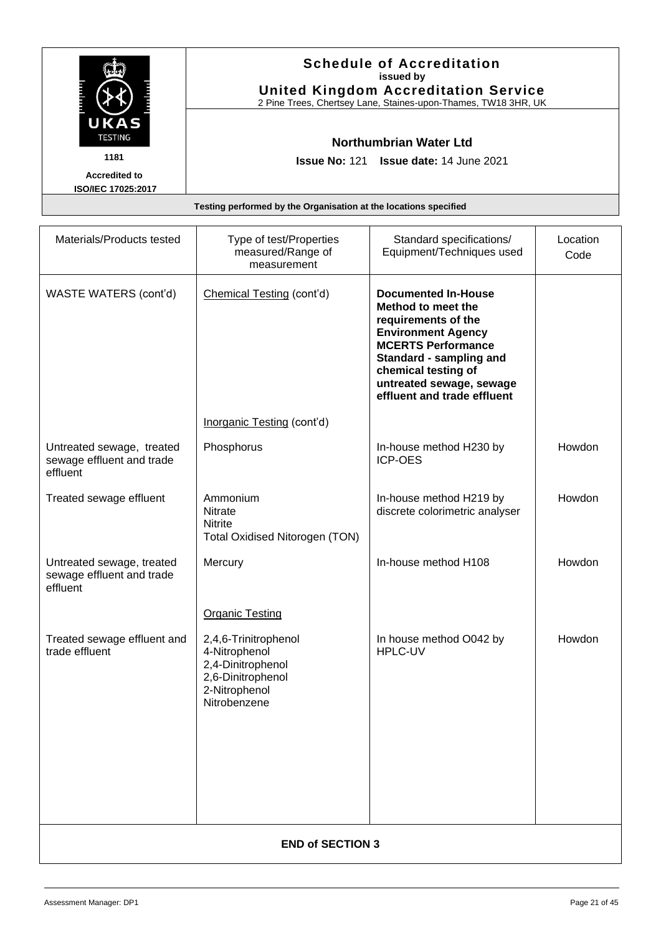|                                            | <b>Schedule of Accreditation</b><br>issued by<br><b>United Kingdom Accreditation Service</b><br>2 Pine Trees, Chertsey Lane, Staines-upon-Thames, TW18 3HR, UK |  |
|--------------------------------------------|----------------------------------------------------------------------------------------------------------------------------------------------------------------|--|
| UKAS<br><b>TESTING</b>                     | Northumbrian Water Ltd                                                                                                                                         |  |
| 1181                                       | <b>Issue No: 121 Issue date: 14 June 2021</b>                                                                                                                  |  |
| <b>Accredited to</b><br>ISO/IEC 17025:2017 |                                                                                                                                                                |  |
|                                            | Testing performed by the Organisation at the locations specified                                                                                               |  |

| Materials/Products tested                                          | Type of test/Properties<br>measured/Range of<br>measurement                                                      | Standard specifications/<br>Equipment/Techniques used                                                                                                                                                                                          | Location<br>Code |
|--------------------------------------------------------------------|------------------------------------------------------------------------------------------------------------------|------------------------------------------------------------------------------------------------------------------------------------------------------------------------------------------------------------------------------------------------|------------------|
| WASTE WATERS (cont'd)                                              | Chemical Testing (cont'd)                                                                                        | <b>Documented In-House</b><br>Method to meet the<br>requirements of the<br><b>Environment Agency</b><br><b>MCERTS Performance</b><br>Standard - sampling and<br>chemical testing of<br>untreated sewage, sewage<br>effluent and trade effluent |                  |
|                                                                    | Inorganic Testing (cont'd)                                                                                       |                                                                                                                                                                                                                                                |                  |
| Untreated sewage, treated<br>sewage effluent and trade<br>effluent | Phosphorus                                                                                                       | In-house method H230 by<br><b>ICP-OES</b>                                                                                                                                                                                                      | Howdon           |
| Treated sewage effluent                                            | Ammonium<br><b>Nitrate</b><br><b>Nitrite</b><br><b>Total Oxidised Nitorogen (TON)</b>                            | In-house method H219 by<br>discrete colorimetric analyser                                                                                                                                                                                      | Howdon           |
| Untreated sewage, treated<br>sewage effluent and trade<br>effluent | Mercury                                                                                                          | In-house method H108                                                                                                                                                                                                                           | Howdon           |
|                                                                    | <b>Organic Testing</b>                                                                                           |                                                                                                                                                                                                                                                |                  |
| Treated sewage effluent and<br>trade effluent                      | 2,4,6-Trinitrophenol<br>4-Nitrophenol<br>2,4-Dinitrophenol<br>2,6-Dinitrophenol<br>2-Nitrophenol<br>Nitrobenzene | In house method O042 by<br>HPLC-UV                                                                                                                                                                                                             | Howdon           |
|                                                                    | <b>END of SECTION 3</b>                                                                                          |                                                                                                                                                                                                                                                |                  |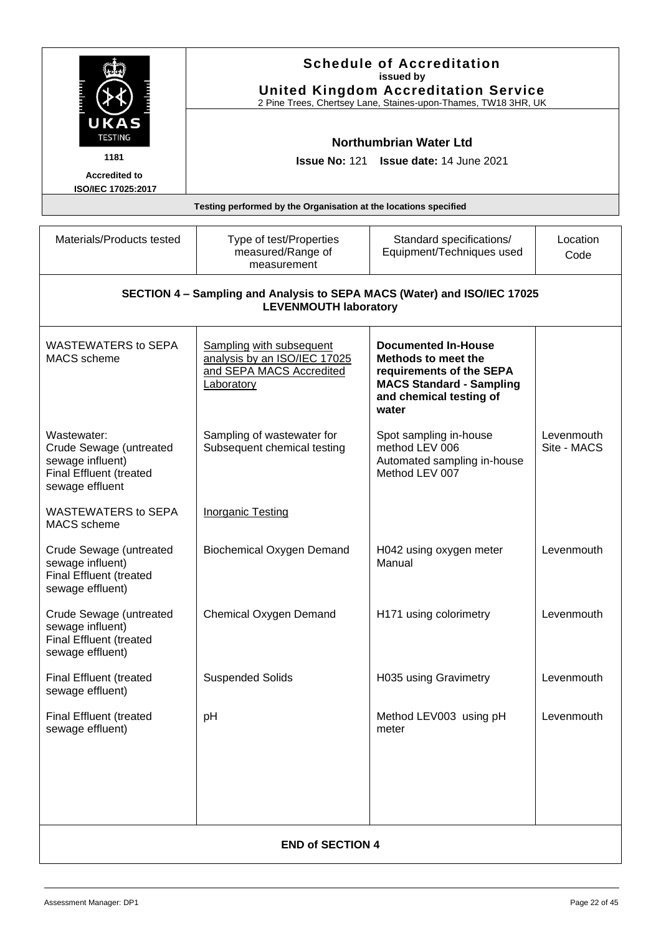<span id="page-21-0"></span>

|                                                                                                          |                                                                                                           | <b>Schedule of Accreditation</b><br>issued by<br><b>United Kingdom Accreditation Service</b><br>2 Pine Trees, Chertsey Lane, Staines-upon-Thames, TW18 3HR, UK |                           |
|----------------------------------------------------------------------------------------------------------|-----------------------------------------------------------------------------------------------------------|----------------------------------------------------------------------------------------------------------------------------------------------------------------|---------------------------|
| <b>TESTING</b><br>1181                                                                                   |                                                                                                           | <b>Northumbrian Water Ltd</b><br><b>Issue No: 121 Issue date: 14 June 2021</b>                                                                                 |                           |
| <b>Accredited to</b>                                                                                     |                                                                                                           |                                                                                                                                                                |                           |
| ISO/IEC 17025:2017                                                                                       | Testing performed by the Organisation at the locations specified                                          |                                                                                                                                                                |                           |
| Materials/Products tested                                                                                | Type of test/Properties<br>measured/Range of<br>measurement                                               | Standard specifications/<br>Equipment/Techniques used                                                                                                          | Location<br>Code          |
|                                                                                                          | SECTION 4 - Sampling and Analysis to SEPA MACS (Water) and ISO/IEC 17025<br><b>LEVENMOUTH laboratory</b>  |                                                                                                                                                                |                           |
| <b>WASTEWATERS to SEPA</b><br>MACS scheme                                                                | <b>Sampling with subsequent</b><br>analysis by an ISO/IEC 17025<br>and SEPA MACS Accredited<br>Laboratory | <b>Documented In-House</b><br>Methods to meet the<br>requirements of the SEPA<br><b>MACS Standard - Sampling</b><br>and chemical testing of<br>water           |                           |
| Wastewater:<br>Crude Sewage (untreated<br>sewage influent)<br>Final Effluent (treated<br>sewage effluent | Sampling of wastewater for<br>Subsequent chemical testing                                                 | Spot sampling in-house<br>method LEV 006<br>Automated sampling in-house<br>Method LEV 007                                                                      | Levenmouth<br>Site - MACS |
| <b>WASTEWATERS to SEPA</b><br><b>MACS</b> scheme                                                         | Inorganic Testing                                                                                         |                                                                                                                                                                |                           |
| Crude Sewage (untreated<br>sewage influent)<br>Final Effluent (treated<br>sewage effluent)               | <b>Biochemical Oxygen Demand</b>                                                                          | H042 using oxygen meter<br>Manual                                                                                                                              | Levenmouth                |
| Crude Sewage (untreated<br>sewage influent)<br>Final Effluent (treated<br>sewage effluent)               | Chemical Oxygen Demand                                                                                    | H171 using colorimetry                                                                                                                                         | Levenmouth                |
| Final Effluent (treated<br>sewage effluent)                                                              | <b>Suspended Solids</b>                                                                                   | H035 using Gravimetry                                                                                                                                          | Levenmouth                |
| Final Effluent (treated<br>sewage effluent)                                                              | pH                                                                                                        | Method LEV003 using pH<br>meter                                                                                                                                | Levenmouth                |
| <b>END of SECTION 4</b>                                                                                  |                                                                                                           |                                                                                                                                                                |                           |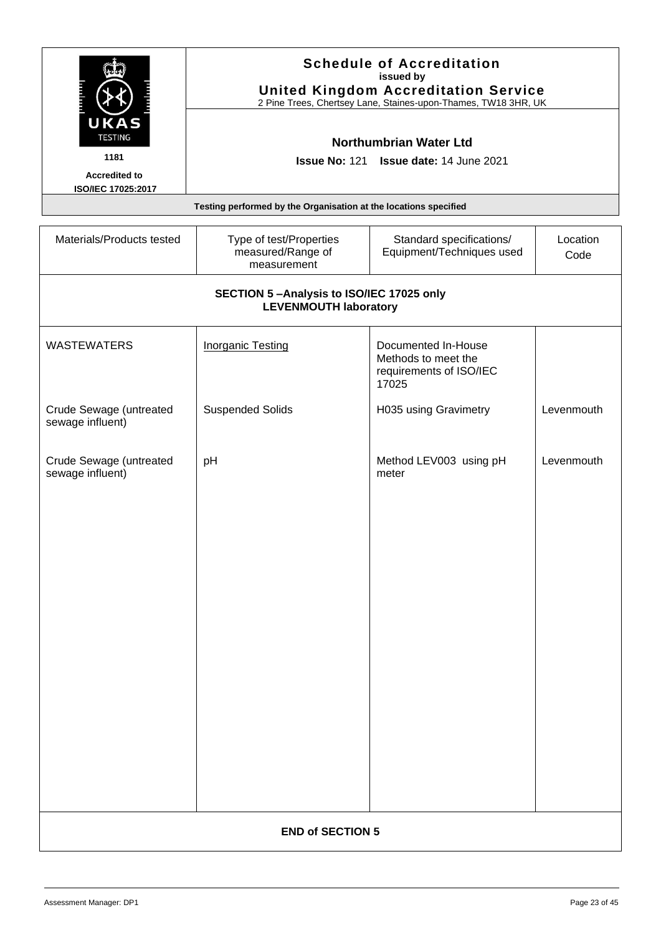|                        | <b>Schedule of Accreditation</b><br>issued by<br><b>United Kingdom Accreditation Service</b><br>2 Pine Trees, Chertsey Lane, Staines-upon-Thames, TW18 3HR, UK |
|------------------------|----------------------------------------------------------------------------------------------------------------------------------------------------------------|
| UKAS<br><b>TESTING</b> | Northumbrian Water Ltd                                                                                                                                         |
| 1181                   | <b>Issue No: 121 Issue date: 14 June 2021</b>                                                                                                                  |
| <b>Accredited to</b>   |                                                                                                                                                                |
| ISO/IEC 17025:2017     |                                                                                                                                                                |
|                        | Testing performed by the Organisation at the locations specified                                                                                               |

<span id="page-22-0"></span>

| Materials/Products tested                   | Type of test/Properties<br>measured/Range of<br>measurement              | Standard specifications/<br>Equipment/Techniques used                          | Location<br>Code |
|---------------------------------------------|--------------------------------------------------------------------------|--------------------------------------------------------------------------------|------------------|
|                                             | SECTION 5-Analysis to ISO/IEC 17025 only<br><b>LEVENMOUTH laboratory</b> |                                                                                |                  |
| <b>WASTEWATERS</b>                          | <b>Inorganic Testing</b>                                                 | Documented In-House<br>Methods to meet the<br>requirements of ISO/IEC<br>17025 |                  |
| Crude Sewage (untreated<br>sewage influent) | <b>Suspended Solids</b>                                                  | H035 using Gravimetry                                                          | Levenmouth       |
| Crude Sewage (untreated<br>sewage influent) | pH                                                                       | Method LEV003 using pH<br>meter                                                | Levenmouth       |
| <b>END of SECTION 5</b>                     |                                                                          |                                                                                |                  |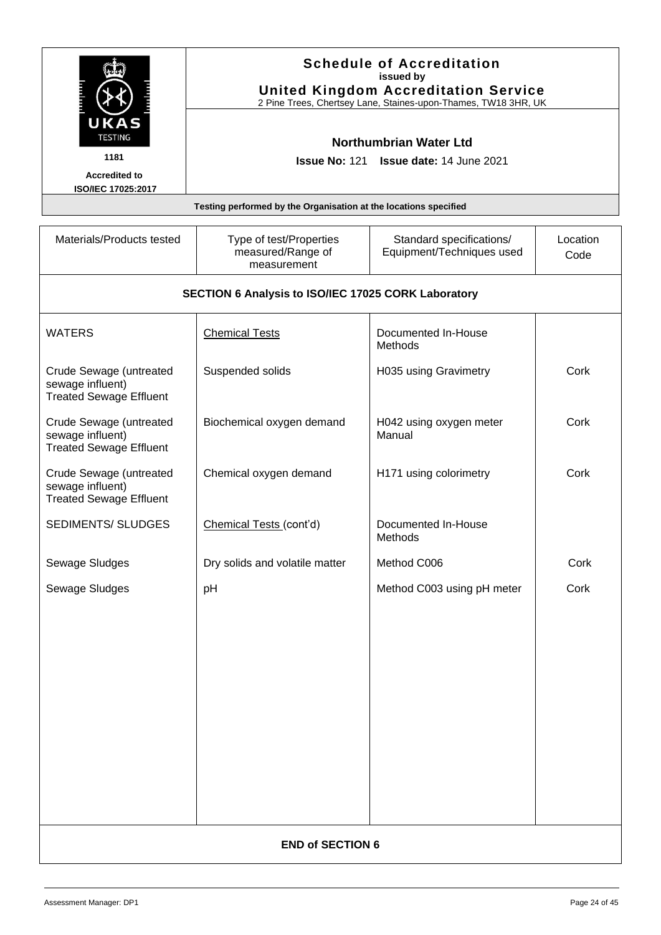<span id="page-23-0"></span>

| <b>UKAS</b>                                                                   |                                                                  | <b>Schedule of Accreditation</b><br>issued by<br><b>United Kingdom Accreditation Service</b><br>2 Pine Trees, Chertsey Lane, Staines-upon-Thames, TW18 3HR, UK |                  |
|-------------------------------------------------------------------------------|------------------------------------------------------------------|----------------------------------------------------------------------------------------------------------------------------------------------------------------|------------------|
| <b>TESTING</b>                                                                |                                                                  | Northumbrian Water Ltd                                                                                                                                         |                  |
| 1181                                                                          |                                                                  | Issue No: 121 Issue date: 14 June 2021                                                                                                                         |                  |
| <b>Accredited to</b><br>ISO/IEC 17025:2017                                    |                                                                  |                                                                                                                                                                |                  |
|                                                                               | Testing performed by the Organisation at the locations specified |                                                                                                                                                                |                  |
|                                                                               |                                                                  |                                                                                                                                                                |                  |
| Materials/Products tested                                                     | Type of test/Properties<br>measured/Range of<br>measurement      | Standard specifications/<br>Equipment/Techniques used                                                                                                          | Location<br>Code |
|                                                                               | SECTION 6 Analysis to ISO/IEC 17025 CORK Laboratory              |                                                                                                                                                                |                  |
| <b>WATERS</b>                                                                 | <b>Chemical Tests</b>                                            | Documented In-House<br>Methods                                                                                                                                 |                  |
| Crude Sewage (untreated<br>sewage influent)<br><b>Treated Sewage Effluent</b> | Suspended solids                                                 | H035 using Gravimetry                                                                                                                                          | Cork             |
| Crude Sewage (untreated<br>sewage influent)<br><b>Treated Sewage Effluent</b> | Biochemical oxygen demand                                        | H042 using oxygen meter<br>Manual                                                                                                                              | Cork             |
| Crude Sewage (untreated<br>sewage influent)<br><b>Treated Sewage Effluent</b> | Chemical oxygen demand                                           | H171 using colorimetry                                                                                                                                         | Cork             |
| <b>SEDIMENTS/ SLUDGES</b>                                                     | Chemical Tests (cont'd)                                          | Documented In-House<br>Methods                                                                                                                                 |                  |
| Sewage Sludges                                                                | Dry solids and volatile matter                                   | Method C006                                                                                                                                                    | Cork             |
| Sewage Sludges                                                                | pH                                                               | Method C003 using pH meter                                                                                                                                     | Cork             |
|                                                                               |                                                                  |                                                                                                                                                                |                  |
|                                                                               |                                                                  |                                                                                                                                                                |                  |
|                                                                               |                                                                  |                                                                                                                                                                |                  |
|                                                                               |                                                                  |                                                                                                                                                                |                  |
|                                                                               |                                                                  |                                                                                                                                                                |                  |
|                                                                               |                                                                  |                                                                                                                                                                |                  |
|                                                                               |                                                                  |                                                                                                                                                                |                  |
|                                                                               |                                                                  |                                                                                                                                                                |                  |
|                                                                               |                                                                  |                                                                                                                                                                |                  |
|                                                                               |                                                                  |                                                                                                                                                                |                  |
|                                                                               |                                                                  |                                                                                                                                                                |                  |
| <b>END of SECTION 6</b>                                                       |                                                                  |                                                                                                                                                                |                  |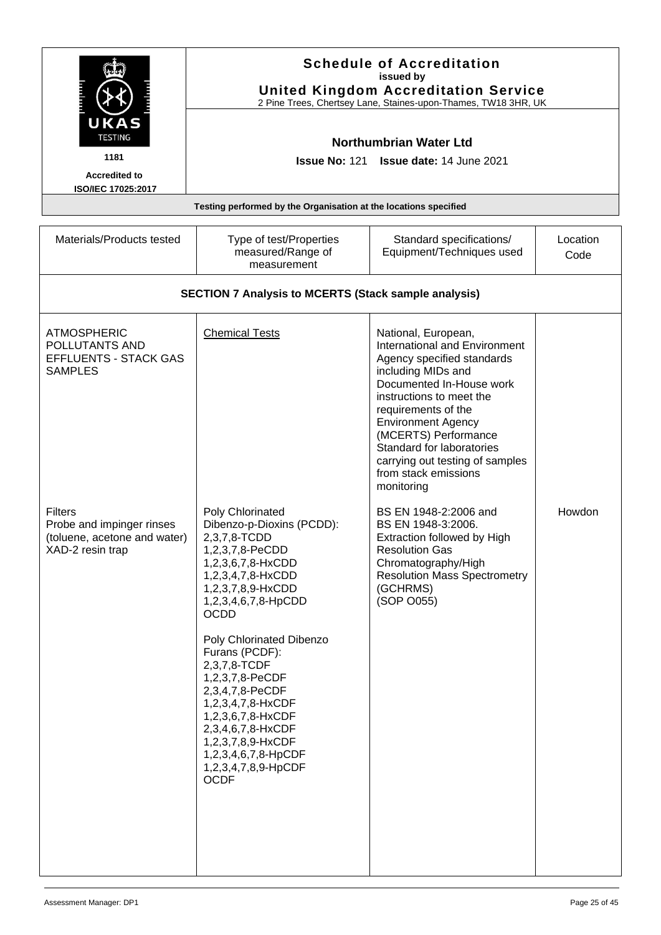<span id="page-24-0"></span>

|                                                                                                 |                                                                                                                                                                                                                                                                                                                                                                                                                                            | <b>Schedule of Accreditation</b><br>issued by<br><b>United Kingdom Accreditation Service</b><br>2 Pine Trees, Chertsey Lane, Staines-upon-Thames, TW18 3HR, UK                                                                                                                                                                                            |                  |
|-------------------------------------------------------------------------------------------------|--------------------------------------------------------------------------------------------------------------------------------------------------------------------------------------------------------------------------------------------------------------------------------------------------------------------------------------------------------------------------------------------------------------------------------------------|-----------------------------------------------------------------------------------------------------------------------------------------------------------------------------------------------------------------------------------------------------------------------------------------------------------------------------------------------------------|------------------|
| UKAS<br><b>TESTING</b><br>1181<br><b>Accredited to</b><br>ISO/IEC 17025:2017                    | <b>Issue No: 121</b>                                                                                                                                                                                                                                                                                                                                                                                                                       | <b>Northumbrian Water Ltd</b><br>Issue date: 14 June 2021                                                                                                                                                                                                                                                                                                 |                  |
|                                                                                                 | Testing performed by the Organisation at the locations specified                                                                                                                                                                                                                                                                                                                                                                           |                                                                                                                                                                                                                                                                                                                                                           |                  |
| Materials/Products tested                                                                       | Type of test/Properties<br>measured/Range of<br>measurement                                                                                                                                                                                                                                                                                                                                                                                | Standard specifications/<br>Equipment/Techniques used                                                                                                                                                                                                                                                                                                     | Location<br>Code |
|                                                                                                 | <b>SECTION 7 Analysis to MCERTS (Stack sample analysis)</b>                                                                                                                                                                                                                                                                                                                                                                                |                                                                                                                                                                                                                                                                                                                                                           |                  |
| <b>ATMOSPHERIC</b><br>POLLUTANTS AND<br><b>EFFLUENTS - STACK GAS</b><br><b>SAMPLES</b>          | <b>Chemical Tests</b>                                                                                                                                                                                                                                                                                                                                                                                                                      | National, European,<br><b>International and Environment</b><br>Agency specified standards<br>including MIDs and<br>Documented In-House work<br>instructions to meet the<br>requirements of the<br><b>Environment Agency</b><br>(MCERTS) Performance<br>Standard for laboratories<br>carrying out testing of samples<br>from stack emissions<br>monitoring |                  |
| <b>Filters</b><br>Probe and impinger rinses<br>(toluene, acetone and water)<br>XAD-2 resin trap | Poly Chlorinated<br>Dibenzo-p-Dioxins (PCDD):<br>2,3,7,8-TCDD<br>1,2,3,7,8-PeCDD<br>1,2,3,6,7,8-HxCDD<br>1,2,3,4,7,8-HxCDD<br>1,2,3,7,8,9-HxCDD<br>1,2,3,4,6,7,8-HpCDD<br><b>OCDD</b><br>Poly Chlorinated Dibenzo<br>Furans (PCDF):<br>2,3,7,8-TCDF<br>1,2,3,7,8-PeCDF<br>2,3,4,7,8-PeCDF<br>1,2,3,4,7,8-HxCDF<br>1,2,3,6,7,8-HxCDF<br>2,3,4,6,7,8-HxCDF<br>1,2,3,7,8,9-HxCDF<br>1,2,3,4,6,7,8-HpCDF<br>1,2,3,4,7,8,9-HpCDF<br><b>OCDF</b> | BS EN 1948-2:2006 and<br>BS EN 1948-3:2006.<br><b>Extraction followed by High</b><br><b>Resolution Gas</b><br>Chromatography/High<br><b>Resolution Mass Spectrometry</b><br>(GCHRMS)<br>(SOP O055)                                                                                                                                                        | Howdon           |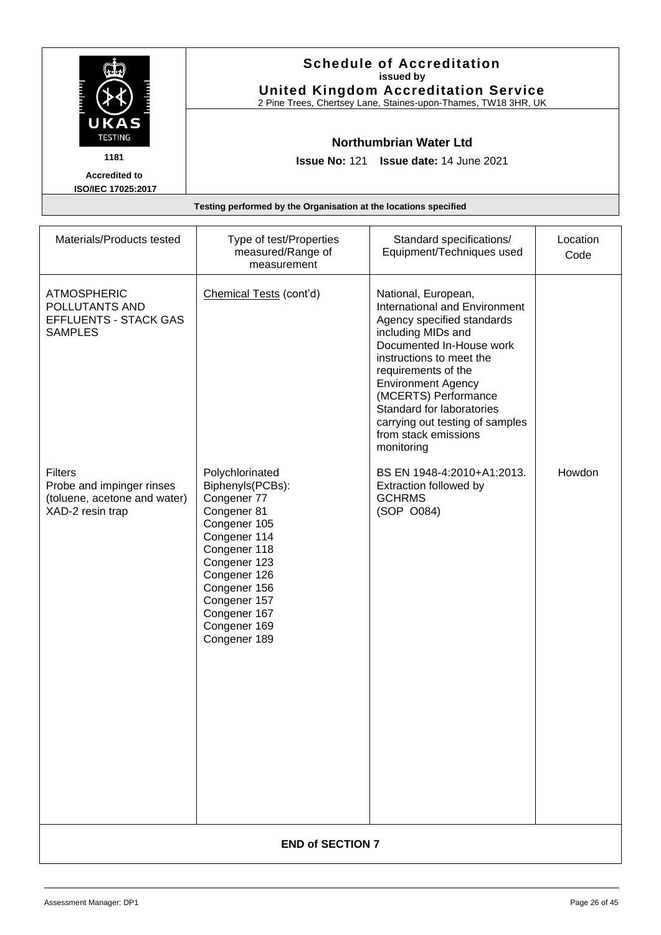|                                                   | <b>Schedule of Accreditation</b><br>issued by<br><b>United Kingdom Accreditation Service</b><br>2 Pine Trees, Chertsey Lane, Staines-upon-Thames, TW18 3HR, UK |
|---------------------------------------------------|----------------------------------------------------------------------------------------------------------------------------------------------------------------|
| UKAS<br><b>TESTING</b>                            | Northumbrian Water Ltd                                                                                                                                         |
| 1181                                              | <b>Issue No: 121 Issue date: 14 June 2021</b>                                                                                                                  |
| <b>Accredited to</b><br><b>ISO/IEC 17025:2017</b> |                                                                                                                                                                |
|                                                   | Testing performed by the Organisation at the locations specified                                                                                               |

| Materials/Products tested                                                                       | Type of test/Properties<br>measured/Range of<br>measurement                                                                                                                                                                       | Standard specifications/<br>Equipment/Techniques used                                                                                                                                                                                                                                                                                              | Location<br>Code |
|-------------------------------------------------------------------------------------------------|-----------------------------------------------------------------------------------------------------------------------------------------------------------------------------------------------------------------------------------|----------------------------------------------------------------------------------------------------------------------------------------------------------------------------------------------------------------------------------------------------------------------------------------------------------------------------------------------------|------------------|
| <b>ATMOSPHERIC</b><br>POLLUTANTS AND<br>EFFLUENTS - STACK GAS<br><b>SAMPLES</b>                 | Chemical Tests (cont'd)                                                                                                                                                                                                           | National, European,<br>International and Environment<br>Agency specified standards<br>including MIDs and<br>Documented In-House work<br>instructions to meet the<br>requirements of the<br><b>Environment Agency</b><br>(MCERTS) Performance<br>Standard for laboratories<br>carrying out testing of samples<br>from stack emissions<br>monitoring |                  |
| <b>Filters</b><br>Probe and impinger rinses<br>(toluene, acetone and water)<br>XAD-2 resin trap | Polychlorinated<br>Biphenyls(PCBs):<br>Congener 77<br>Congener 81<br>Congener 105<br>Congener 114<br>Congener 118<br>Congener 123<br>Congener 126<br>Congener 156<br>Congener 157<br>Congener 167<br>Congener 169<br>Congener 189 | BS EN 1948-4:2010+A1:2013.<br>Extraction followed by<br><b>GCHRMS</b><br>(SOP O084)                                                                                                                                                                                                                                                                | Howdon           |
| <b>END of SECTION 7</b>                                                                         |                                                                                                                                                                                                                                   |                                                                                                                                                                                                                                                                                                                                                    |                  |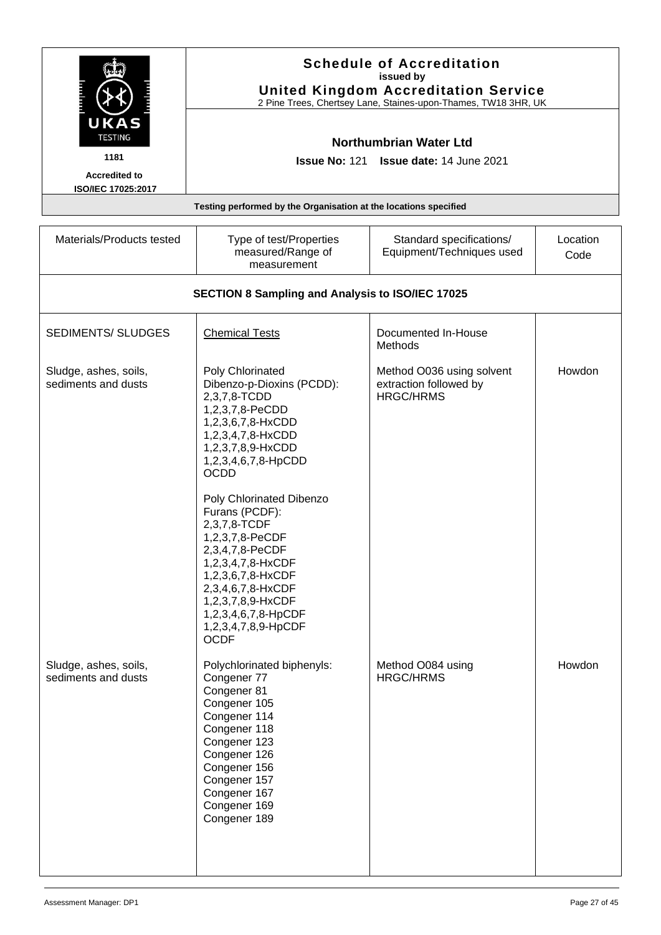| UKAS<br><b>TESTING</b>                       |                                                                                                                                                                                                                   | <b>Schedule of Accreditation</b><br>issued by<br><b>United Kingdom Accreditation Service</b><br>2 Pine Trees, Chertsey Lane, Staines-upon-Thames, TW18 3HR, UK |                  |
|----------------------------------------------|-------------------------------------------------------------------------------------------------------------------------------------------------------------------------------------------------------------------|----------------------------------------------------------------------------------------------------------------------------------------------------------------|------------------|
| 1181                                         |                                                                                                                                                                                                                   | <b>Northumbrian Water Ltd</b><br><b>Issue No: 121 Issue date: 14 June 2021</b>                                                                                 |                  |
| <b>Accredited to</b><br>ISO/IEC 17025:2017   |                                                                                                                                                                                                                   |                                                                                                                                                                |                  |
|                                              | Testing performed by the Organisation at the locations specified                                                                                                                                                  |                                                                                                                                                                |                  |
| Materials/Products tested                    | Type of test/Properties<br>measured/Range of<br>measurement                                                                                                                                                       | Standard specifications/<br>Equipment/Techniques used                                                                                                          | Location<br>Code |
|                                              | SECTION 8 Sampling and Analysis to ISO/IEC 17025                                                                                                                                                                  |                                                                                                                                                                |                  |
| <b>SEDIMENTS/ SLUDGES</b>                    | <b>Chemical Tests</b>                                                                                                                                                                                             | Documented In-House<br><b>Methods</b>                                                                                                                          |                  |
| Sludge, ashes, soils,<br>sediments and dusts | Poly Chlorinated<br>Dibenzo-p-Dioxins (PCDD):<br>2,3,7,8-TCDD<br>1,2,3,7,8-PeCDD<br>1,2,3,6,7,8-HxCDD<br>1,2,3,4,7,8-HxCDD<br>1,2,3,7,8,9-HxCDD<br>1,2,3,4,6,7,8-HpCDD<br><b>OCDD</b><br>Poly Chlorinated Dibenzo | Method O036 using solvent<br>extraction followed by<br><b>HRGC/HRMS</b>                                                                                        | Howdon           |

|                                              | 1,2,3,7,8-PeCDF<br>2,3,4,7,8-PeCDF<br>1,2,3,4,7,8-HxCDF<br>1,2,3,6,7,8-HxCDF<br>2,3,4,6,7,8-HxCDF<br>1,2,3,7,8,9-HxCDF<br>1,2,3,4,6,7,8-HpCDF<br>1,2,3,4,7,8,9-HpCDF<br><b>OCDF</b>                                      |                                       |        |
|----------------------------------------------|--------------------------------------------------------------------------------------------------------------------------------------------------------------------------------------------------------------------------|---------------------------------------|--------|
| Sludge, ashes, soils,<br>sediments and dusts | Polychlorinated biphenyls:<br>Congener 77<br>Congener 81<br>Congener 105<br>Congener 114<br>Congener 118<br>Congener 123<br>Congener 126<br>Congener 156<br>Congener 157<br>Congener 167<br>Congener 169<br>Congener 189 | Method O084 using<br><b>HRGC/HRMS</b> | Howdon |
|                                              |                                                                                                                                                                                                                          |                                       |        |

<span id="page-26-0"></span>Furans (PCDF): 2,3,7,8-TCDF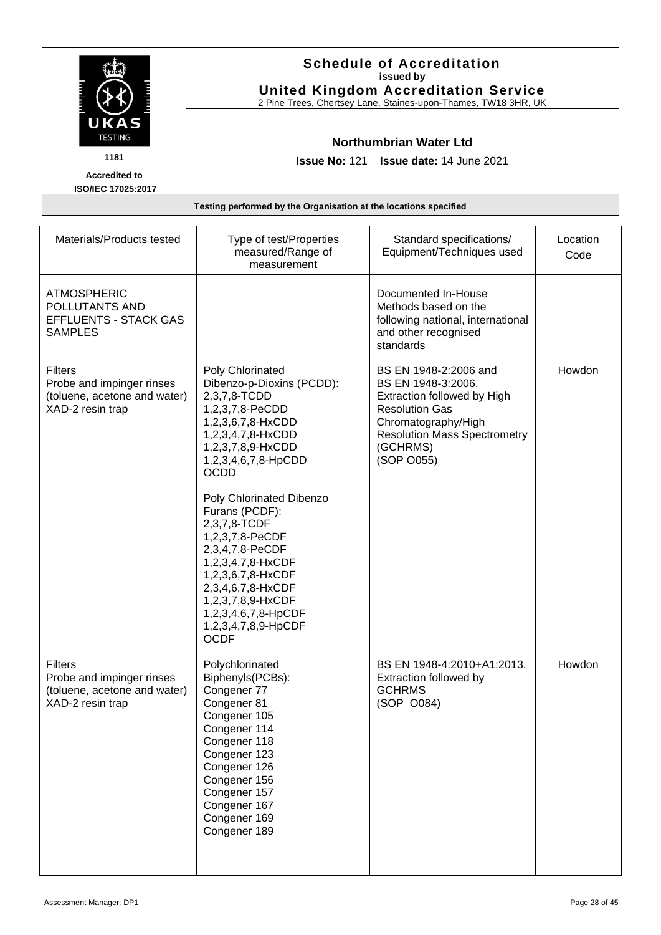|                                                   | <b>Schedule of Accreditation</b><br>issued by<br><b>United Kingdom Accreditation Service</b><br>2 Pine Trees, Chertsey Lane, Staines-upon-Thames, TW18 3HR, UK |
|---------------------------------------------------|----------------------------------------------------------------------------------------------------------------------------------------------------------------|
| UKAS<br><b>TESTING</b>                            | Northumbrian Water Ltd                                                                                                                                         |
| 1181                                              | <b>Issue No: 121 Issue date: 14 June 2021</b>                                                                                                                  |
| <b>Accredited to</b><br><b>ISO/IEC 17025:2017</b> |                                                                                                                                                                |
|                                                   | Testing performed by the Organisation at the locations specified                                                                                               |

| Materials/Products tested                                                                       | Type of test/Properties<br>measured/Range of<br>measurement                                                                                                                                                                                       | Standard specifications/<br>Equipment/Techniques used                                                                                                                                       | Location<br>Code |
|-------------------------------------------------------------------------------------------------|---------------------------------------------------------------------------------------------------------------------------------------------------------------------------------------------------------------------------------------------------|---------------------------------------------------------------------------------------------------------------------------------------------------------------------------------------------|------------------|
| <b>ATMOSPHERIC</b><br>POLLUTANTS AND<br><b>EFFLUENTS - STACK GAS</b><br><b>SAMPLES</b>          |                                                                                                                                                                                                                                                   | Documented In-House<br>Methods based on the<br>following national, international<br>and other recognised<br>standards                                                                       |                  |
| <b>Filters</b><br>Probe and impinger rinses<br>(toluene, acetone and water)<br>XAD-2 resin trap | Poly Chlorinated<br>Dibenzo-p-Dioxins (PCDD):<br>2,3,7,8-TCDD<br>1,2,3,7,8-PeCDD<br>1,2,3,6,7,8-HxCDD<br>1,2,3,4,7,8-HxCDD<br>1,2,3,7,8,9-HxCDD<br>1,2,3,4,6,7,8-HpCDD<br><b>OCDD</b>                                                             | BS EN 1948-2:2006 and<br>BS EN 1948-3:2006.<br>Extraction followed by High<br><b>Resolution Gas</b><br>Chromatography/High<br><b>Resolution Mass Spectrometry</b><br>(GCHRMS)<br>(SOP O055) | Howdon           |
|                                                                                                 | Poly Chlorinated Dibenzo<br>Furans (PCDF):<br>2,3,7,8-TCDF<br>1,2,3,7,8-PeCDF<br>2,3,4,7,8-PeCDF<br>1,2,3,4,7,8-HxCDF<br>1,2,3,6,7,8-HxCDF<br>2,3,4,6,7,8-HxCDF<br>1,2,3,7,8,9-HxCDF<br>1,2,3,4,6,7,8-HpCDF<br>1,2,3,4,7,8,9-HpCDF<br><b>OCDF</b> |                                                                                                                                                                                             |                  |
| <b>Filters</b><br>Probe and impinger rinses<br>(toluene, acetone and water)<br>XAD-2 resin trap | Polychlorinated<br>Biphenyls(PCBs):<br>Congener 77<br>Congener 81<br>Congener 105<br>Congener 114<br>Congener 118<br>Congener 123<br>Congener 126<br>Congener 156<br>Congener 157<br>Congener 167<br>Congener 169<br>Congener 189                 | BS EN 1948-4:2010+A1:2013.<br>Extraction followed by<br><b>GCHRMS</b><br>(SOP 0084)                                                                                                         | Howdon           |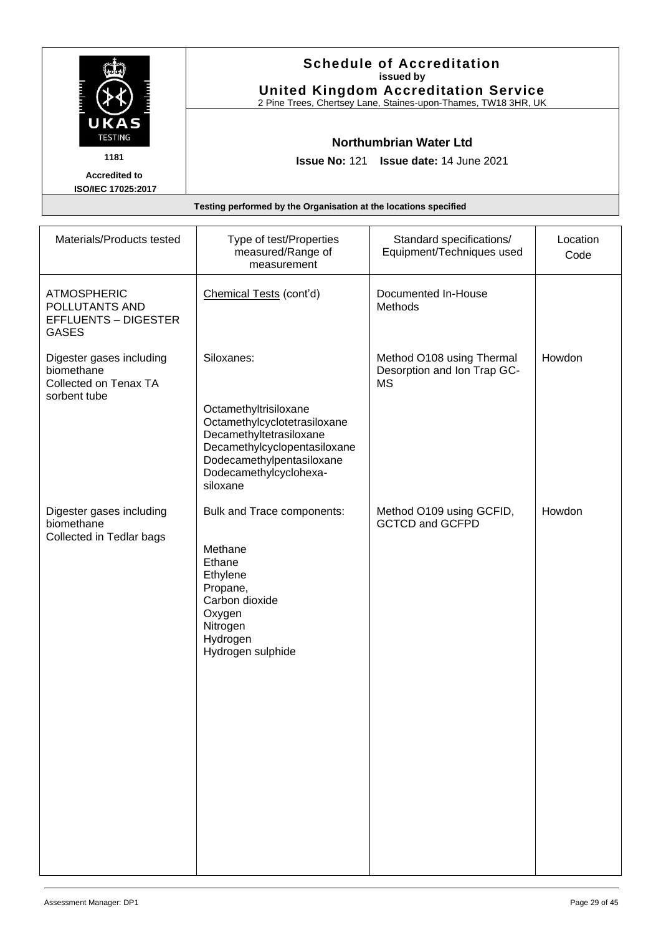|                        | <b>Schedule of Accreditation</b><br>issued by<br><b>United Kingdom Accreditation Service</b><br>2 Pine Trees, Chertsey Lane, Staines-upon-Thames, TW18 3HR, UK |
|------------------------|----------------------------------------------------------------------------------------------------------------------------------------------------------------|
| UKAS<br><b>TESTING</b> | Northumbrian Water Ltd                                                                                                                                         |
| 1181                   | <b>Issue No: 121 Issue date: 14 June 2021</b>                                                                                                                  |
| <b>Accredited to</b>   |                                                                                                                                                                |
| ISO/IEC 17025:2017     |                                                                                                                                                                |
|                        | Testing performed by the Organisation at the locations specified                                                                                               |

| Materials/Products tested                                                           | Type of test/Properties<br>measured/Range of<br>measurement                                                                                                | Standard specifications/<br>Equipment/Techniques used                 | Location<br>Code |
|-------------------------------------------------------------------------------------|------------------------------------------------------------------------------------------------------------------------------------------------------------|-----------------------------------------------------------------------|------------------|
| <b>ATMOSPHERIC</b><br>POLLUTANTS AND<br><b>EFFLUENTS - DIGESTER</b><br><b>GASES</b> | Chemical Tests (cont'd)                                                                                                                                    | Documented In-House<br>Methods                                        |                  |
| Digester gases including<br>biomethane<br>Collected on Tenax TA<br>sorbent tube     | Siloxanes:<br>Octamethyltrisiloxane                                                                                                                        | Method O108 using Thermal<br>Desorption and Ion Trap GC-<br><b>MS</b> | Howdon           |
|                                                                                     | Octamethylcyclotetrasiloxane<br>Decamethyltetrasiloxane<br>Decamethylcyclopentasiloxane<br>Dodecamethylpentasiloxane<br>Dodecamethylcyclohexa-<br>siloxane |                                                                       |                  |
| Digester gases including<br>biomethane<br>Collected in Tedlar bags                  | Bulk and Trace components:<br>Methane<br>Ethane<br>Ethylene<br>Propane,<br>Carbon dioxide<br>Oxygen<br>Nitrogen<br>Hydrogen<br>Hydrogen sulphide           | Method O109 using GCFID,<br><b>GCTCD and GCFPD</b>                    | Howdon           |
|                                                                                     |                                                                                                                                                            |                                                                       |                  |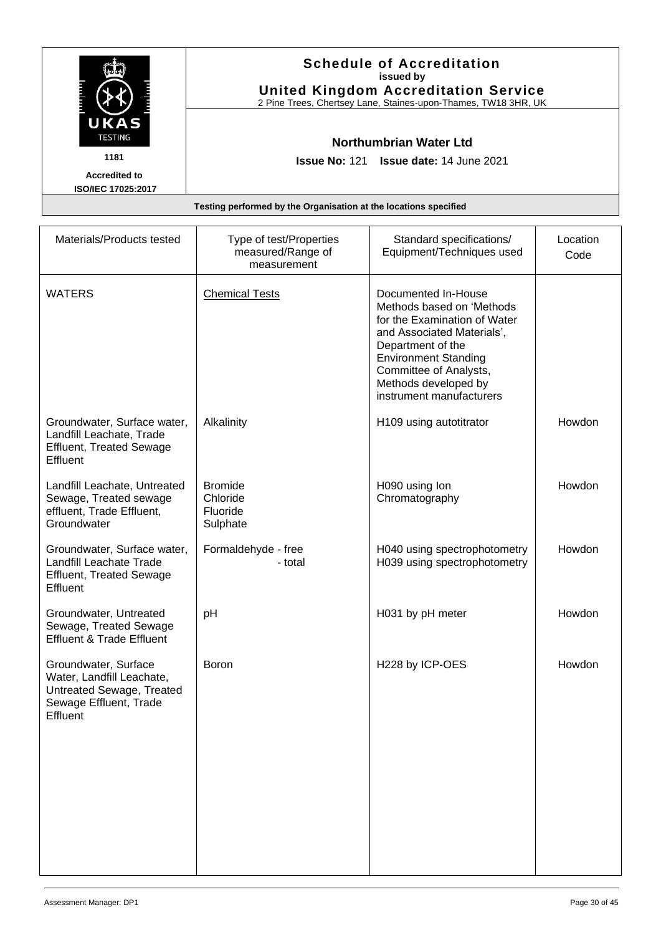|                                                                  | <b>Schedule of Accreditation</b><br>issued by<br><b>United Kingdom Accreditation Service</b><br>2 Pine Trees, Chertsey Lane, Staines-upon-Thames, TW18 3HR, UK |
|------------------------------------------------------------------|----------------------------------------------------------------------------------------------------------------------------------------------------------------|
| UKAS<br><b>TESTING</b>                                           | Northumbrian Water Ltd                                                                                                                                         |
| 1181                                                             | <b>Issue No: 121 Issue date: 14 June 2021</b>                                                                                                                  |
| <b>Accredited to</b><br>ISO/IEC 17025:2017                       |                                                                                                                                                                |
| Testing performed by the Organisation at the locations specified |                                                                                                                                                                |

| Materials/Products tested                                                                                            | Type of test/Properties<br>measured/Range of<br>measurement | Standard specifications/<br>Equipment/Techniques used                                                                                                                                                                                            | Location<br>Code |
|----------------------------------------------------------------------------------------------------------------------|-------------------------------------------------------------|--------------------------------------------------------------------------------------------------------------------------------------------------------------------------------------------------------------------------------------------------|------------------|
| <b>WATERS</b>                                                                                                        | <b>Chemical Tests</b>                                       | Documented In-House<br>Methods based on 'Methods<br>for the Examination of Water<br>and Associated Materials',<br>Department of the<br><b>Environment Standing</b><br>Committee of Analysts,<br>Methods developed by<br>instrument manufacturers |                  |
| Groundwater, Surface water,<br>Landfill Leachate, Trade<br><b>Effluent, Treated Sewage</b><br>Effluent               | Alkalinity                                                  | H109 using autotitrator                                                                                                                                                                                                                          | Howdon           |
| Landfill Leachate, Untreated<br>Sewage, Treated sewage<br>effluent, Trade Effluent,<br>Groundwater                   | <b>Bromide</b><br>Chloride<br>Fluoride<br>Sulphate          | H090 using lon<br>Chromatography                                                                                                                                                                                                                 | Howdon           |
| Groundwater, Surface water,<br>Landfill Leachate Trade<br><b>Effluent, Treated Sewage</b><br>Effluent                | Formaldehyde - free<br>- total                              | H040 using spectrophotometry<br>H039 using spectrophotometry                                                                                                                                                                                     | Howdon           |
| Groundwater, Untreated<br>Sewage, Treated Sewage<br><b>Effluent &amp; Trade Effluent</b>                             | pH                                                          | H031 by pH meter                                                                                                                                                                                                                                 | Howdon           |
| Groundwater, Surface<br>Water, Landfill Leachate,<br>Untreated Sewage, Treated<br>Sewage Effluent, Trade<br>Effluent | <b>Boron</b>                                                | H228 by ICP-OES                                                                                                                                                                                                                                  | Howdon           |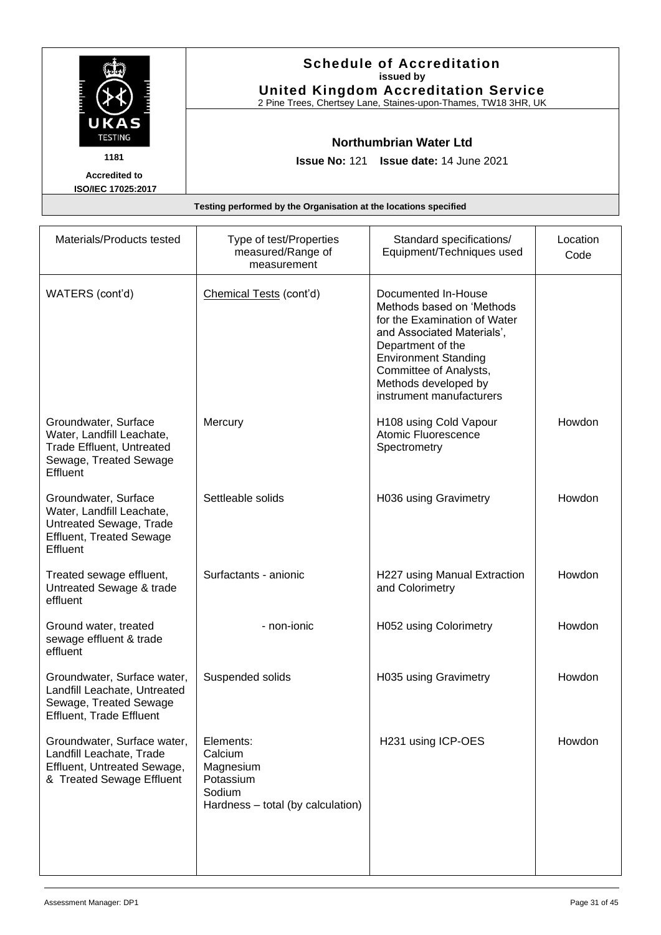|                                                                  | <b>Schedule of Accreditation</b><br>issued by<br><b>United Kingdom Accreditation Service</b><br>2 Pine Trees, Chertsey Lane, Staines-upon-Thames, TW18 3HR, UK |
|------------------------------------------------------------------|----------------------------------------------------------------------------------------------------------------------------------------------------------------|
| UKAS<br><b>TESTING</b>                                           | Northumbrian Water Ltd                                                                                                                                         |
| 1181                                                             | <b>Issue No: 121 Issue date: 14 June 2021</b>                                                                                                                  |
| <b>Accredited to</b><br>ISO/IEC 17025:2017                       |                                                                                                                                                                |
| Testing performed by the Organisation at the locations specified |                                                                                                                                                                |

| Materials/Products tested                                                                                                   | Type of test/Properties<br>measured/Range of<br>measurement                                   | Standard specifications/<br>Equipment/Techniques used                                                                                                                                                                                            | Location<br>Code |
|-----------------------------------------------------------------------------------------------------------------------------|-----------------------------------------------------------------------------------------------|--------------------------------------------------------------------------------------------------------------------------------------------------------------------------------------------------------------------------------------------------|------------------|
| WATERS (cont'd)                                                                                                             | Chemical Tests (cont'd)                                                                       | Documented In-House<br>Methods based on 'Methods<br>for the Examination of Water<br>and Associated Materials',<br>Department of the<br><b>Environment Standing</b><br>Committee of Analysts,<br>Methods developed by<br>instrument manufacturers |                  |
| Groundwater, Surface<br>Water, Landfill Leachate,<br><b>Trade Effluent, Untreated</b><br>Sewage, Treated Sewage<br>Effluent | Mercury                                                                                       | H108 using Cold Vapour<br>Atomic Fluorescence<br>Spectrometry                                                                                                                                                                                    | Howdon           |
| Groundwater, Surface<br>Water, Landfill Leachate,<br>Untreated Sewage, Trade<br><b>Effluent, Treated Sewage</b><br>Effluent | Settleable solids                                                                             | H036 using Gravimetry                                                                                                                                                                                                                            | Howdon           |
| Treated sewage effluent,<br>Untreated Sewage & trade<br>effluent                                                            | Surfactants - anionic                                                                         | H227 using Manual Extraction<br>and Colorimetry                                                                                                                                                                                                  | Howdon           |
| Ground water, treated<br>sewage effluent & trade<br>effluent                                                                | - non-ionic                                                                                   | H052 using Colorimetry                                                                                                                                                                                                                           | Howdon           |
| Groundwater, Surface water,<br>Landfill Leachate, Untreated<br>Sewage, Treated Sewage<br><b>Effluent, Trade Effluent</b>    | Suspended solids                                                                              | H035 using Gravimetry                                                                                                                                                                                                                            | Howdon           |
| Groundwater, Surface water,<br>Landfill Leachate, Trade<br>Effluent, Untreated Sewage,<br>& Treated Sewage Effluent         | Elements:<br>Calcium<br>Magnesium<br>Potassium<br>Sodium<br>Hardness - total (by calculation) | H231 using ICP-OES                                                                                                                                                                                                                               | Howdon           |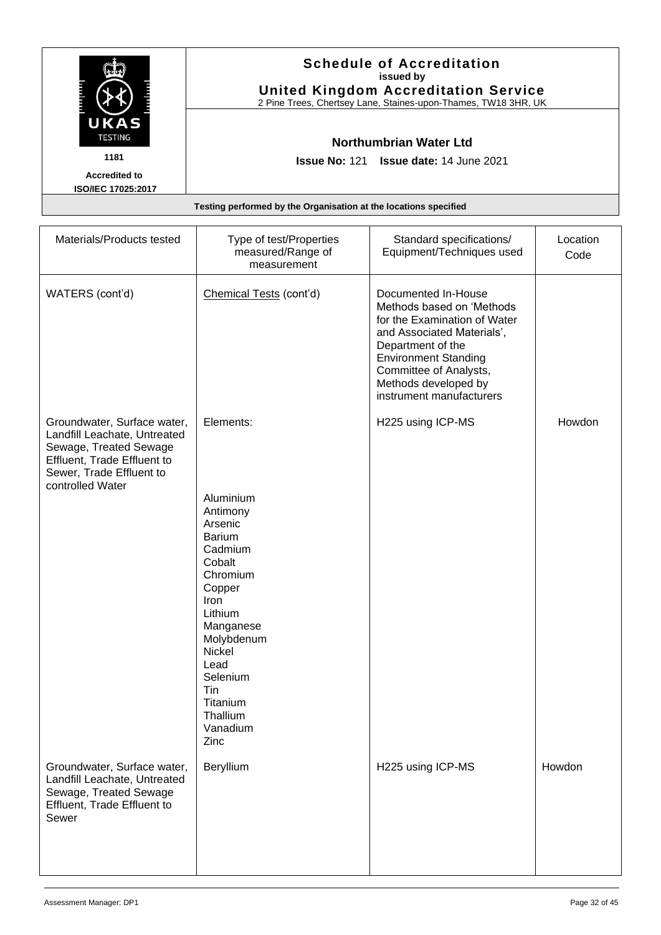|                                                                  | <b>Schedule of Accreditation</b><br>issued by<br><b>United Kingdom Accreditation Service</b><br>2 Pine Trees, Chertsey Lane, Staines-upon-Thames, TW18 3HR, UK |
|------------------------------------------------------------------|----------------------------------------------------------------------------------------------------------------------------------------------------------------|
| UKAS<br><b>TESTING</b>                                           | Northumbrian Water Ltd                                                                                                                                         |
| 1181                                                             | <b>Issue No: 121 Issue date: 14 June 2021</b>                                                                                                                  |
| <b>Accredited to</b><br>ISO/IEC 17025:2017                       |                                                                                                                                                                |
| Testing performed by the Organisation at the locations specified |                                                                                                                                                                |

| Materials/Products tested                                                                                                                                            | Type of test/Properties<br>measured/Range of<br>measurement                                                                                                                                                          | Standard specifications/<br>Equipment/Techniques used                                                                                                                                                                                            | Location<br>Code |
|----------------------------------------------------------------------------------------------------------------------------------------------------------------------|----------------------------------------------------------------------------------------------------------------------------------------------------------------------------------------------------------------------|--------------------------------------------------------------------------------------------------------------------------------------------------------------------------------------------------------------------------------------------------|------------------|
| WATERS (cont'd)                                                                                                                                                      | Chemical Tests (cont'd)                                                                                                                                                                                              | Documented In-House<br>Methods based on 'Methods<br>for the Examination of Water<br>and Associated Materials',<br>Department of the<br><b>Environment Standing</b><br>Committee of Analysts,<br>Methods developed by<br>instrument manufacturers |                  |
| Groundwater, Surface water,<br>Landfill Leachate, Untreated<br>Sewage, Treated Sewage<br>Effluent, Trade Effluent to<br>Sewer, Trade Effluent to<br>controlled Water | Elements:                                                                                                                                                                                                            | H225 using ICP-MS                                                                                                                                                                                                                                | Howdon           |
|                                                                                                                                                                      | Aluminium<br>Antimony<br>Arsenic<br>Barium<br>Cadmium<br>Cobalt<br>Chromium<br>Copper<br>Iron<br>Lithium<br>Manganese<br>Molybdenum<br>Nickel<br>Lead<br>Selenium<br>Tin<br>Titanium<br>Thallium<br>Vanadium<br>Zinc |                                                                                                                                                                                                                                                  |                  |
| Groundwater, Surface water,<br>Landfill Leachate, Untreated<br>Sewage, Treated Sewage<br>Effluent, Trade Effluent to<br>Sewer                                        | Beryllium                                                                                                                                                                                                            | H225 using ICP-MS                                                                                                                                                                                                                                | Howdon           |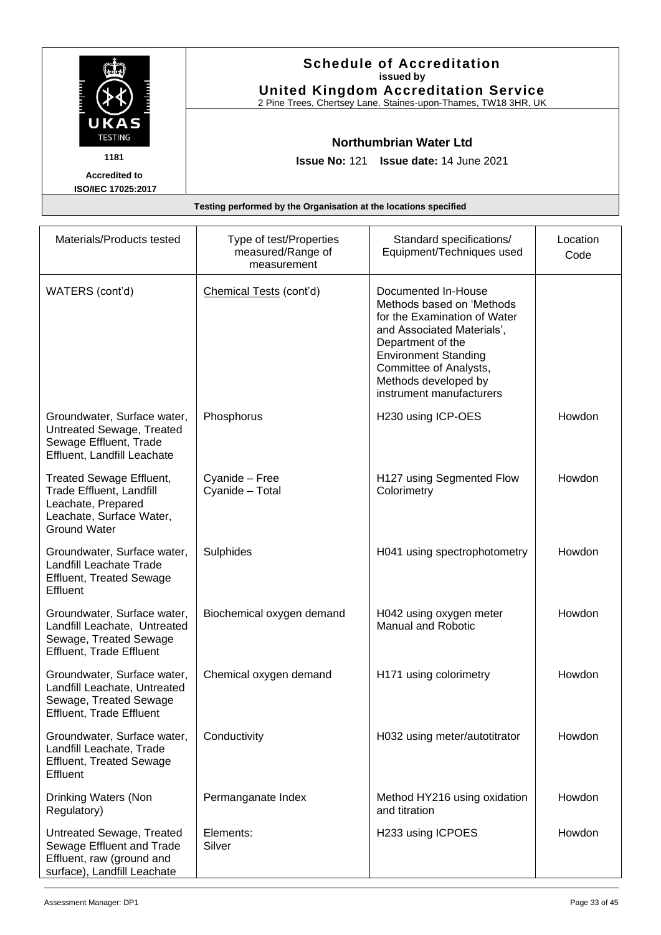|                        | <b>Schedule of Accreditation</b><br>issued by<br><b>United Kingdom Accreditation Service</b><br>2 Pine Trees, Chertsey Lane, Staines-upon-Thames, TW18 3HR, UK |
|------------------------|----------------------------------------------------------------------------------------------------------------------------------------------------------------|
| UKAS<br><b>TESTING</b> | Northumbrian Water Ltd                                                                                                                                         |
| 1181                   | <b>Issue No: 121 Issue date: 14 June 2021</b>                                                                                                                  |
| <b>Accredited to</b>   |                                                                                                                                                                |
| ISO/IEC 17025:2017     |                                                                                                                                                                |
|                        | Testing performed by the Organisation at the locations specified                                                                                               |

| Materials/Products tested                                                                                                     | Type of test/Properties<br>measured/Range of<br>measurement | Standard specifications/<br>Equipment/Techniques used                                                                                                                                                                                            | Location<br>Code |
|-------------------------------------------------------------------------------------------------------------------------------|-------------------------------------------------------------|--------------------------------------------------------------------------------------------------------------------------------------------------------------------------------------------------------------------------------------------------|------------------|
| WATERS (cont'd)                                                                                                               | Chemical Tests (cont'd)                                     | Documented In-House<br>Methods based on 'Methods<br>for the Examination of Water<br>and Associated Materials',<br>Department of the<br><b>Environment Standing</b><br>Committee of Analysts,<br>Methods developed by<br>instrument manufacturers |                  |
| Groundwater, Surface water,<br>Untreated Sewage, Treated<br>Sewage Effluent, Trade<br>Effluent, Landfill Leachate             | Phosphorus                                                  | H230 using ICP-OES                                                                                                                                                                                                                               | Howdon           |
| Treated Sewage Effluent,<br>Trade Effluent, Landfill<br>Leachate, Prepared<br>Leachate, Surface Water,<br><b>Ground Water</b> | Cyanide - Free<br>Cyanide - Total                           | H127 using Segmented Flow<br>Colorimetry                                                                                                                                                                                                         | <b>Howdon</b>    |
| Groundwater, Surface water,<br>Landfill Leachate Trade<br><b>Effluent, Treated Sewage</b><br>Effluent                         | Sulphides                                                   | H041 using spectrophotometry                                                                                                                                                                                                                     | Howdon           |
| Groundwater, Surface water,<br>Landfill Leachate, Untreated<br>Sewage, Treated Sewage<br><b>Effluent, Trade Effluent</b>      | Biochemical oxygen demand                                   | H042 using oxygen meter<br><b>Manual and Robotic</b>                                                                                                                                                                                             | Howdon           |
| Groundwater, Surface water,<br>Landfill Leachate, Untreated<br>Sewage, Treated Sewage<br><b>Effluent, Trade Effluent</b>      | Chemical oxygen demand                                      | H171 using colorimetry                                                                                                                                                                                                                           | <b>Howdon</b>    |
| Groundwater, Surface water,<br>Landfill Leachate, Trade<br><b>Effluent, Treated Sewage</b><br>Effluent                        | Conductivity                                                | H032 using meter/autotitrator                                                                                                                                                                                                                    | Howdon           |
| Drinking Waters (Non<br>Regulatory)                                                                                           | Permanganate Index                                          | Method HY216 using oxidation<br>and titration                                                                                                                                                                                                    | Howdon           |
| Untreated Sewage, Treated<br>Sewage Effluent and Trade<br>Effluent, raw (ground and<br>surface), Landfill Leachate            | Elements:<br>Silver                                         | H233 using ICPOES                                                                                                                                                                                                                                | Howdon           |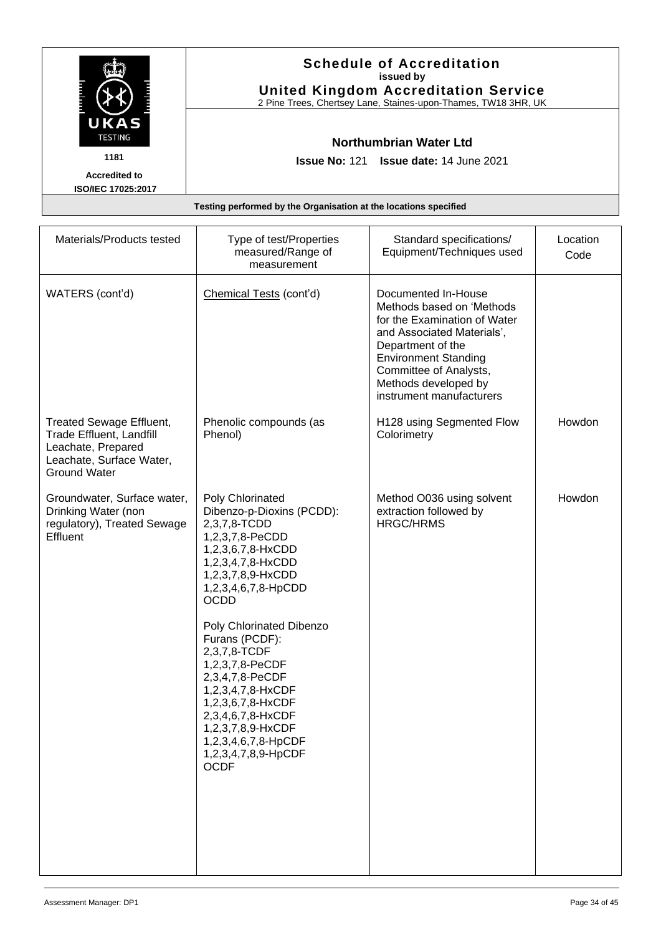|                                                                  | <b>Schedule of Accreditation</b><br>issued by<br><b>United Kingdom Accreditation Service</b><br>2 Pine Trees, Chertsey Lane, Staines-upon-Thames, TW18 3HR, UK |
|------------------------------------------------------------------|----------------------------------------------------------------------------------------------------------------------------------------------------------------|
| UKAS<br><b>TESTING</b>                                           | Northumbrian Water Ltd                                                                                                                                         |
| 1181                                                             | <b>Issue No: 121 Issue date: 14 June 2021</b>                                                                                                                  |
| <b>Accredited to</b><br>ISO/IEC 17025:2017                       |                                                                                                                                                                |
| Testing performed by the Organisation at the locations specified |                                                                                                                                                                |

| Materials/Products tested                                                                                                            | Type of test/Properties<br>measured/Range of<br>measurement                                                                                                                                                                                                                                                                                                                                                                                | Standard specifications/<br>Equipment/Techniques used                                                                                                                                                                                            | Location<br>Code |
|--------------------------------------------------------------------------------------------------------------------------------------|--------------------------------------------------------------------------------------------------------------------------------------------------------------------------------------------------------------------------------------------------------------------------------------------------------------------------------------------------------------------------------------------------------------------------------------------|--------------------------------------------------------------------------------------------------------------------------------------------------------------------------------------------------------------------------------------------------|------------------|
| WATERS (cont'd)                                                                                                                      | Chemical Tests (cont'd)                                                                                                                                                                                                                                                                                                                                                                                                                    | Documented In-House<br>Methods based on 'Methods<br>for the Examination of Water<br>and Associated Materials',<br>Department of the<br><b>Environment Standing</b><br>Committee of Analysts,<br>Methods developed by<br>instrument manufacturers |                  |
| <b>Treated Sewage Effluent,</b><br>Trade Effluent, Landfill<br>Leachate, Prepared<br>Leachate, Surface Water,<br><b>Ground Water</b> | Phenolic compounds (as<br>Phenol)                                                                                                                                                                                                                                                                                                                                                                                                          | H128 using Segmented Flow<br>Colorimetry                                                                                                                                                                                                         | Howdon           |
| Groundwater, Surface water,<br>Drinking Water (non<br>regulatory), Treated Sewage<br>Effluent                                        | Poly Chlorinated<br>Dibenzo-p-Dioxins (PCDD):<br>2,3,7,8-TCDD<br>1,2,3,7,8-PeCDD<br>1,2,3,6,7,8-HxCDD<br>1,2,3,4,7,8-HxCDD<br>1,2,3,7,8,9-HxCDD<br>1,2,3,4,6,7,8-HpCDD<br><b>OCDD</b><br>Poly Chlorinated Dibenzo<br>Furans (PCDF):<br>2,3,7,8-TCDF<br>1,2,3,7,8-PeCDF<br>2,3,4,7,8-PeCDF<br>1,2,3,4,7,8-HxCDF<br>1,2,3,6,7,8-HxCDF<br>2,3,4,6,7,8-HxCDF<br>1,2,3,7,8,9-HxCDF<br>1,2,3,4,6,7,8-HpCDF<br>1,2,3,4,7,8,9-HpCDF<br><b>OCDF</b> | Method O036 using solvent<br>extraction followed by<br><b>HRGC/HRMS</b>                                                                                                                                                                          | Howdon           |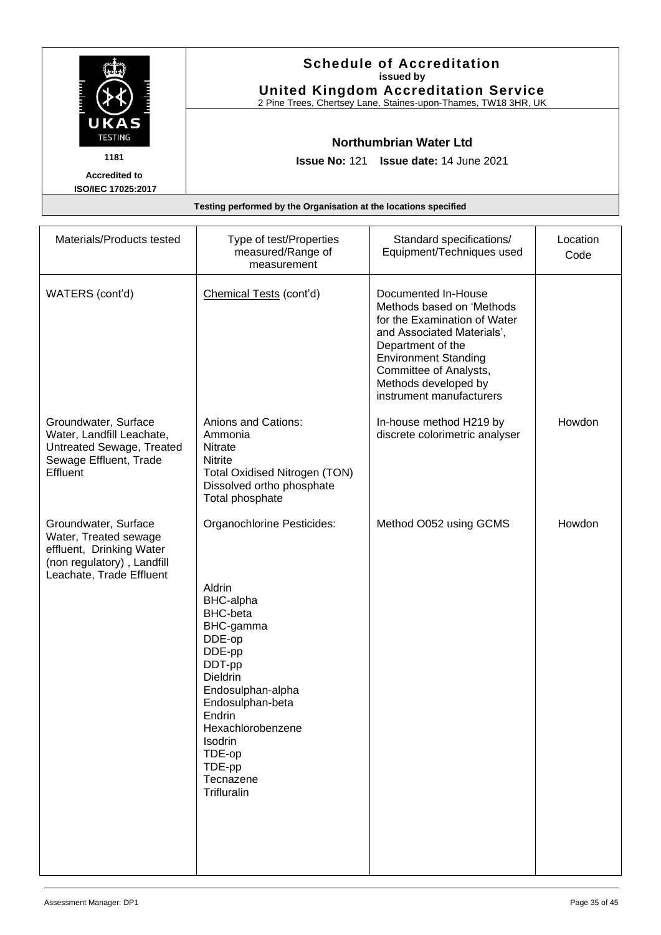|                           | <b>Schedule of Accreditation</b><br>issued by<br><b>United Kingdom Accreditation Service</b><br>2 Pine Trees, Chertsey Lane, Staines-upon-Thames, TW18 3HR, UK |
|---------------------------|----------------------------------------------------------------------------------------------------------------------------------------------------------------|
| UKAS<br><b>TESTING</b>    | <b>Northumbrian Water Ltd</b>                                                                                                                                  |
| 1181                      | <b>Issue No: 121 Issue date: 14 June 2021</b>                                                                                                                  |
| <b>Accredited to</b>      |                                                                                                                                                                |
| <b>ISO/IEC 17025:2017</b> |                                                                                                                                                                |
|                           | Testing performed by the Organisation at the locations specified                                                                                               |

| Materials/Products tested                                                                                                           | Type of test/Properties<br>measured/Range of<br>measurement                                                                                                                                                                                                                  | Standard specifications/<br>Equipment/Techniques used                                                                                                                                                                                            | Location<br>Code |
|-------------------------------------------------------------------------------------------------------------------------------------|------------------------------------------------------------------------------------------------------------------------------------------------------------------------------------------------------------------------------------------------------------------------------|--------------------------------------------------------------------------------------------------------------------------------------------------------------------------------------------------------------------------------------------------|------------------|
| WATERS (cont'd)                                                                                                                     | Chemical Tests (cont'd)                                                                                                                                                                                                                                                      | Documented In-House<br>Methods based on 'Methods<br>for the Examination of Water<br>and Associated Materials',<br>Department of the<br><b>Environment Standing</b><br>Committee of Analysts,<br>Methods developed by<br>instrument manufacturers |                  |
| Groundwater, Surface<br>Water, Landfill Leachate,<br>Untreated Sewage, Treated<br>Sewage Effluent, Trade<br>Effluent                | Anions and Cations:<br>Ammonia<br>Nitrate<br>Nitrite<br><b>Total Oxidised Nitrogen (TON)</b><br>Dissolved ortho phosphate<br>Total phosphate                                                                                                                                 | In-house method H219 by<br>discrete colorimetric analyser                                                                                                                                                                                        | Howdon           |
| Groundwater, Surface<br>Water, Treated sewage<br>effluent, Drinking Water<br>(non regulatory), Landfill<br>Leachate, Trade Effluent | Organochlorine Pesticides:<br>Aldrin<br><b>BHC-alpha</b><br><b>BHC-beta</b><br>BHC-gamma<br>DDE-op<br>DDE-pp<br>DDT-pp<br>Dieldrin<br>Endosulphan-alpha<br>Endosulphan-beta<br>Endrin<br>Hexachlorobenzene<br><b>Isodrin</b><br>TDE-op<br>TDE-pp<br>Tecnazene<br>Trifluralin | Method O052 using GCMS                                                                                                                                                                                                                           | Howdon           |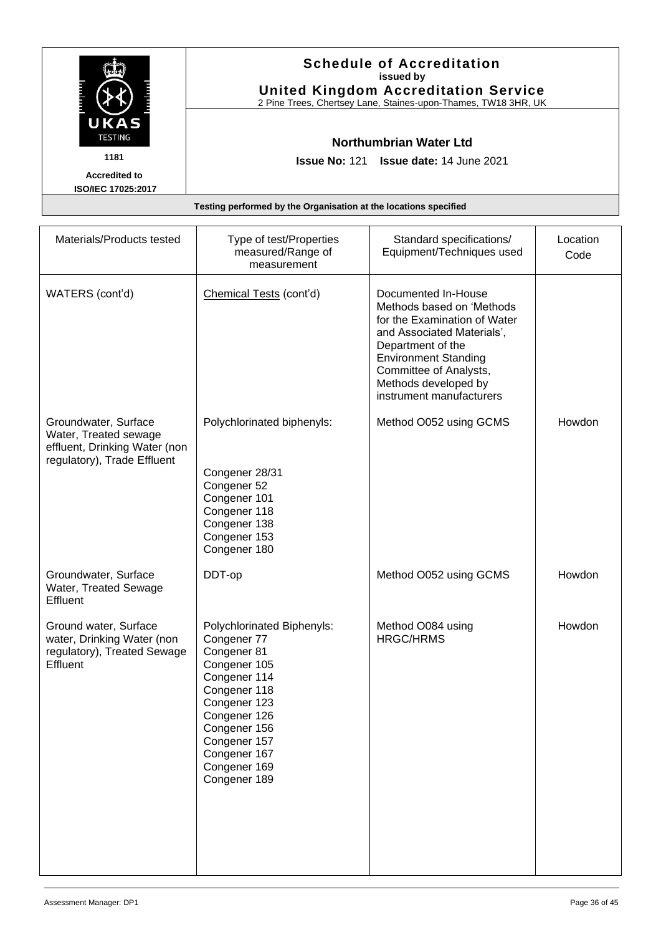|                                                                  | <b>Schedule of Accreditation</b><br>issued by<br><b>United Kingdom Accreditation Service</b><br>2 Pine Trees, Chertsey Lane, Staines-upon-Thames, TW18 3HR, UK |
|------------------------------------------------------------------|----------------------------------------------------------------------------------------------------------------------------------------------------------------|
| UKAS<br><b>TESTING</b>                                           | Northumbrian Water Ltd                                                                                                                                         |
| 1181                                                             | <b>Issue No: 121 Issue date: 14 June 2021</b>                                                                                                                  |
| <b>Accredited to</b><br>ISO/IEC 17025:2017                       |                                                                                                                                                                |
| Testing performed by the Organisation at the locations specified |                                                                                                                                                                |

| Materials/Products tested                                                                                     | Type of test/Properties<br>measured/Range of<br>measurement                                                                                                                                                              | Standard specifications/<br>Equipment/Techniques used                                                                                                                                                                                            | Location<br>Code |
|---------------------------------------------------------------------------------------------------------------|--------------------------------------------------------------------------------------------------------------------------------------------------------------------------------------------------------------------------|--------------------------------------------------------------------------------------------------------------------------------------------------------------------------------------------------------------------------------------------------|------------------|
| WATERS (cont'd)                                                                                               | Chemical Tests (cont'd)                                                                                                                                                                                                  | Documented In-House<br>Methods based on 'Methods<br>for the Examination of Water<br>and Associated Materials',<br>Department of the<br><b>Environment Standing</b><br>Committee of Analysts,<br>Methods developed by<br>instrument manufacturers |                  |
| Groundwater, Surface<br>Water, Treated sewage<br>effluent, Drinking Water (non<br>regulatory), Trade Effluent | Polychlorinated biphenyls:<br>Congener 28/31<br>Congener 52<br>Congener 101<br>Congener 118<br>Congener 138<br>Congener 153<br>Congener 180                                                                              | Method O052 using GCMS                                                                                                                                                                                                                           | Howdon           |
| Groundwater, Surface<br>Water, Treated Sewage<br>Effluent                                                     | DDT-op                                                                                                                                                                                                                   | Method O052 using GCMS                                                                                                                                                                                                                           | Howdon           |
| Ground water, Surface<br>water, Drinking Water (non<br>regulatory), Treated Sewage<br>Effluent                | Polychlorinated Biphenyls:<br>Congener 77<br>Congener 81<br>Congener 105<br>Congener 114<br>Congener 118<br>Congener 123<br>Congener 126<br>Congener 156<br>Congener 157<br>Congener 167<br>Congener 169<br>Congener 189 | Method O084 using<br><b>HRGC/HRMS</b>                                                                                                                                                                                                            | Howdon           |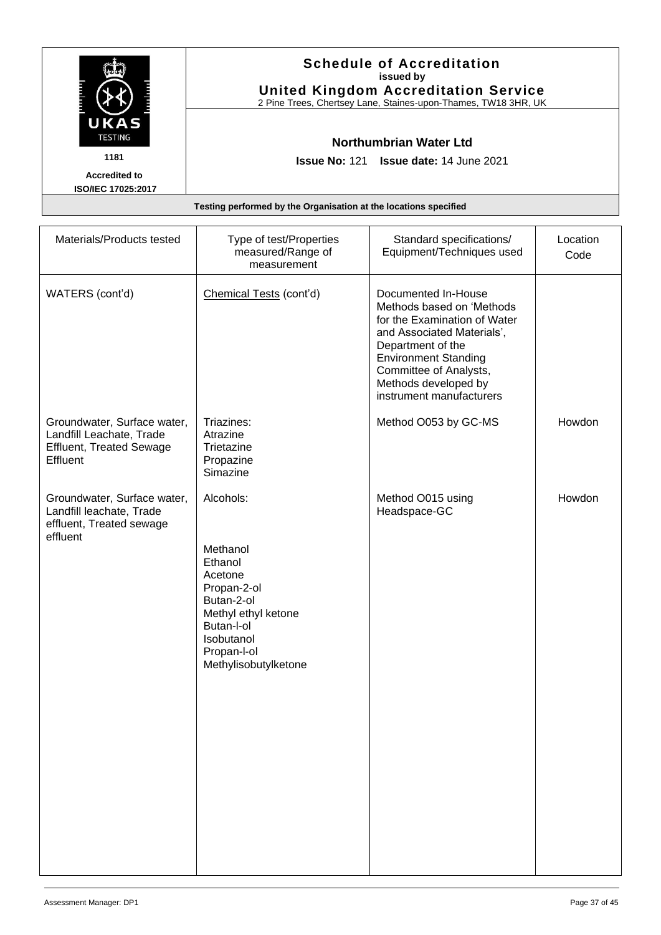|                                                                  | <b>Schedule of Accreditation</b><br>issued by<br><b>United Kingdom Accreditation Service</b><br>2 Pine Trees, Chertsey Lane, Staines-upon-Thames, TW18 3HR, UK |
|------------------------------------------------------------------|----------------------------------------------------------------------------------------------------------------------------------------------------------------|
| UKAS<br><b>TESTING</b>                                           | Northumbrian Water Ltd                                                                                                                                         |
| 1181                                                             | <b>Issue No: 121 Issue date: 14 June 2021</b>                                                                                                                  |
| <b>Accredited to</b><br>ISO/IEC 17025:2017                       |                                                                                                                                                                |
| Testing performed by the Organisation at the locations specified |                                                                                                                                                                |

| Materials/Products tested                                                                              | Type of test/Properties<br>measured/Range of<br>measurement                                                                                           | Standard specifications/<br>Equipment/Techniques used                                                                                                                                                                                            | Location<br>Code |
|--------------------------------------------------------------------------------------------------------|-------------------------------------------------------------------------------------------------------------------------------------------------------|--------------------------------------------------------------------------------------------------------------------------------------------------------------------------------------------------------------------------------------------------|------------------|
| WATERS (cont'd)                                                                                        | Chemical Tests (cont'd)                                                                                                                               | Documented In-House<br>Methods based on 'Methods<br>for the Examination of Water<br>and Associated Materials',<br>Department of the<br><b>Environment Standing</b><br>Committee of Analysts,<br>Methods developed by<br>instrument manufacturers |                  |
| Groundwater, Surface water,<br>Landfill Leachate, Trade<br><b>Effluent, Treated Sewage</b><br>Effluent | Triazines:<br>Atrazine<br>Trietazine<br>Propazine<br>Simazine                                                                                         | Method O053 by GC-MS                                                                                                                                                                                                                             | Howdon           |
| Groundwater, Surface water,<br>Landfill leachate, Trade<br>effluent, Treated sewage<br>effluent        | Alcohols:                                                                                                                                             | Method O015 using<br>Headspace-GC                                                                                                                                                                                                                | Howdon           |
|                                                                                                        | Methanol<br>Ethanol<br>Acetone<br>Propan-2-ol<br>Butan-2-ol<br>Methyl ethyl ketone<br>Butan-l-ol<br>Isobutanol<br>Propan-I-ol<br>Methylisobutylketone |                                                                                                                                                                                                                                                  |                  |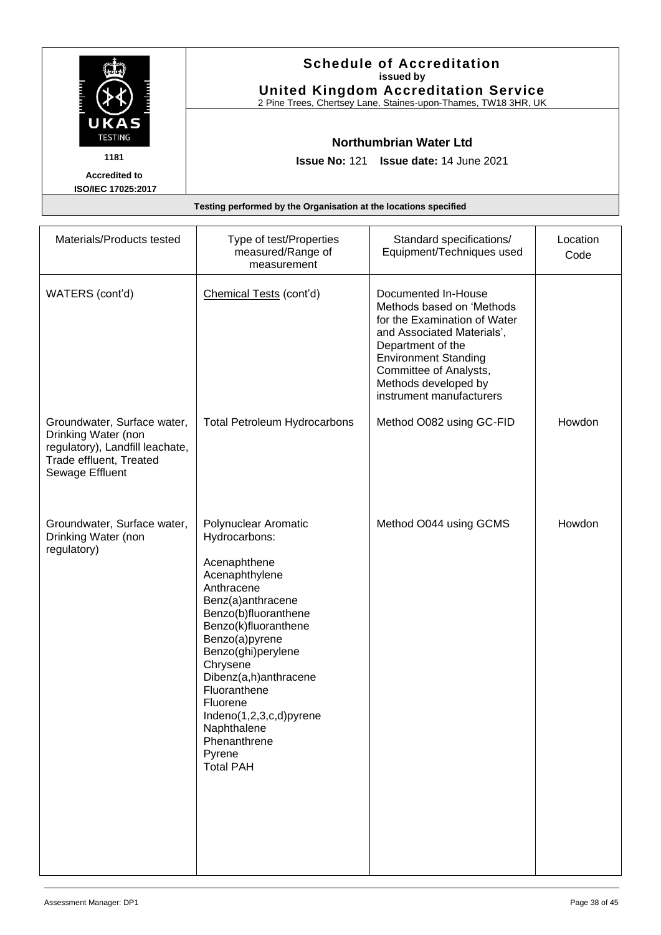|                                                                  | <b>Schedule of Accreditation</b><br>issued by<br><b>United Kingdom Accreditation Service</b><br>2 Pine Trees, Chertsey Lane, Staines-upon-Thames, TW18 3HR, UK |
|------------------------------------------------------------------|----------------------------------------------------------------------------------------------------------------------------------------------------------------|
| UKAS<br><b>TESTING</b>                                           | Northumbrian Water Ltd                                                                                                                                         |
| 1181                                                             | <b>Issue No: 121 Issue date: 14 June 2021</b>                                                                                                                  |
| <b>Accredited to</b><br>ISO/IEC 17025:2017                       |                                                                                                                                                                |
| Testing performed by the Organisation at the locations specified |                                                                                                                                                                |

| Materials/Products tested                                                                                                           | Type of test/Properties<br>measured/Range of<br>measurement                                                                                                                                                                                                                                                                                                 | Standard specifications/<br>Equipment/Techniques used                                                                                                                                                                                            | Location<br>Code |
|-------------------------------------------------------------------------------------------------------------------------------------|-------------------------------------------------------------------------------------------------------------------------------------------------------------------------------------------------------------------------------------------------------------------------------------------------------------------------------------------------------------|--------------------------------------------------------------------------------------------------------------------------------------------------------------------------------------------------------------------------------------------------|------------------|
| WATERS (cont'd)                                                                                                                     | Chemical Tests (cont'd)                                                                                                                                                                                                                                                                                                                                     | Documented In-House<br>Methods based on 'Methods<br>for the Examination of Water<br>and Associated Materials',<br>Department of the<br><b>Environment Standing</b><br>Committee of Analysts,<br>Methods developed by<br>instrument manufacturers |                  |
| Groundwater, Surface water,<br>Drinking Water (non<br>regulatory), Landfill leachate,<br>Trade effluent, Treated<br>Sewage Effluent | <b>Total Petroleum Hydrocarbons</b>                                                                                                                                                                                                                                                                                                                         | Method O082 using GC-FID                                                                                                                                                                                                                         | Howdon           |
| Groundwater, Surface water,<br>Drinking Water (non<br>regulatory)                                                                   | Polynuclear Aromatic<br>Hydrocarbons:<br>Acenaphthene<br>Acenaphthylene<br>Anthracene<br>Benz(a)anthracene<br>Benzo(b)fluoranthene<br>Benzo(k)fluoranthene<br>Benzo(a)pyrene<br>Benzo(ghi)perylene<br>Chrysene<br>Dibenz(a,h)anthracene<br>Fluoranthene<br>Fluorene<br>Indeno(1,2,3,c,d)pyrene<br>Naphthalene<br>Phenanthrene<br>Pyrene<br><b>Total PAH</b> | Method O044 using GCMS                                                                                                                                                                                                                           | Howdon           |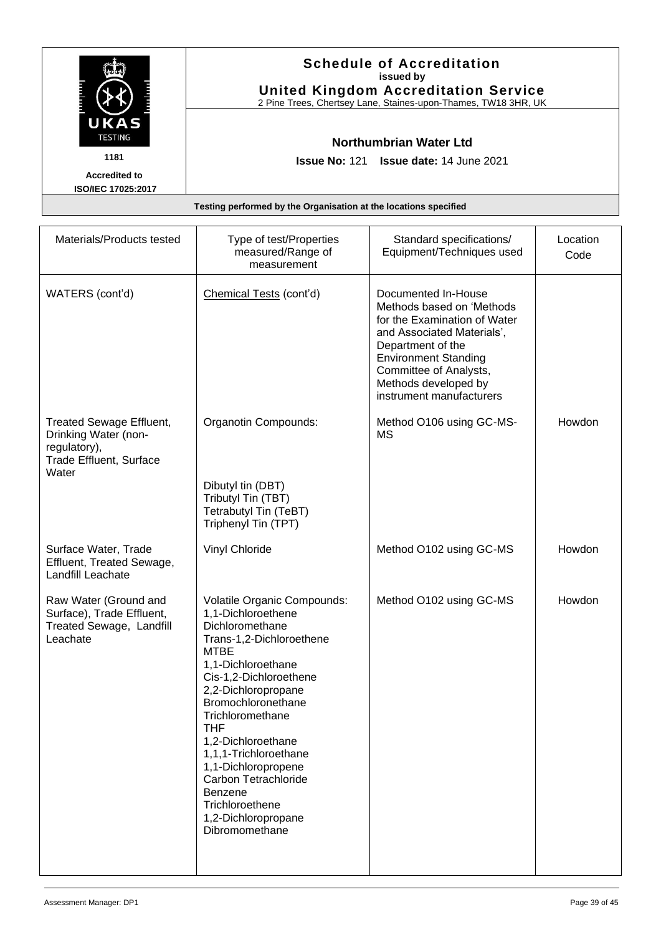|                                                                  | <b>Schedule of Accreditation</b><br>issued by<br><b>United Kingdom Accreditation Service</b><br>2 Pine Trees, Chertsey Lane, Staines-upon-Thames, TW18 3HR, UK |
|------------------------------------------------------------------|----------------------------------------------------------------------------------------------------------------------------------------------------------------|
| UKAS<br><b>TESTING</b>                                           | Northumbrian Water Ltd                                                                                                                                         |
| 1181                                                             | <b>Issue No: 121 Issue date: 14 June 2021</b>                                                                                                                  |
| <b>Accredited to</b><br>ISO/IEC 17025:2017                       |                                                                                                                                                                |
| Testing performed by the Organisation at the locations specified |                                                                                                                                                                |

| Materials/Products tested                                                                                   | Type of test/Properties<br>measured/Range of<br>measurement                                                                                                                                                                                                                                                                                                                                                  | Standard specifications/<br>Equipment/Techniques used                                                                                                                                                                                            | Location<br>Code |
|-------------------------------------------------------------------------------------------------------------|--------------------------------------------------------------------------------------------------------------------------------------------------------------------------------------------------------------------------------------------------------------------------------------------------------------------------------------------------------------------------------------------------------------|--------------------------------------------------------------------------------------------------------------------------------------------------------------------------------------------------------------------------------------------------|------------------|
| WATERS (cont'd)                                                                                             | Chemical Tests (cont'd)                                                                                                                                                                                                                                                                                                                                                                                      | Documented In-House<br>Methods based on 'Methods<br>for the Examination of Water<br>and Associated Materials',<br>Department of the<br><b>Environment Standing</b><br>Committee of Analysts,<br>Methods developed by<br>instrument manufacturers |                  |
| <b>Treated Sewage Effluent,</b><br>Drinking Water (non-<br>regulatory),<br>Trade Effluent, Surface<br>Water | Organotin Compounds:<br>Dibutyl tin (DBT)<br>Tributyl Tin (TBT)<br>Tetrabutyl Tin (TeBT)<br>Triphenyl Tin (TPT)                                                                                                                                                                                                                                                                                              | Method O106 using GC-MS-<br>MS                                                                                                                                                                                                                   | Howdon           |
| Surface Water, Trade<br>Effluent, Treated Sewage,<br><b>Landfill Leachate</b>                               | Vinyl Chloride                                                                                                                                                                                                                                                                                                                                                                                               | Method O102 using GC-MS                                                                                                                                                                                                                          | Howdon           |
| Raw Water (Ground and<br>Surface), Trade Effluent,<br>Treated Sewage, Landfill<br>Leachate                  | Volatile Organic Compounds:<br>1,1-Dichloroethene<br>Dichloromethane<br>Trans-1,2-Dichloroethene<br><b>MTBE</b><br>1,1-Dichloroethane<br>Cis-1,2-Dichloroethene<br>2,2-Dichloropropane<br>Bromochloronethane<br>Trichloromethane<br>THF<br>1,2-Dichloroethane<br>1,1,1-Trichloroethane<br>1,1-Dichloropropene<br>Carbon Tetrachloride<br>Benzene<br>Trichloroethene<br>1,2-Dichloropropane<br>Dibromomethane | Method O102 using GC-MS                                                                                                                                                                                                                          | Howdon           |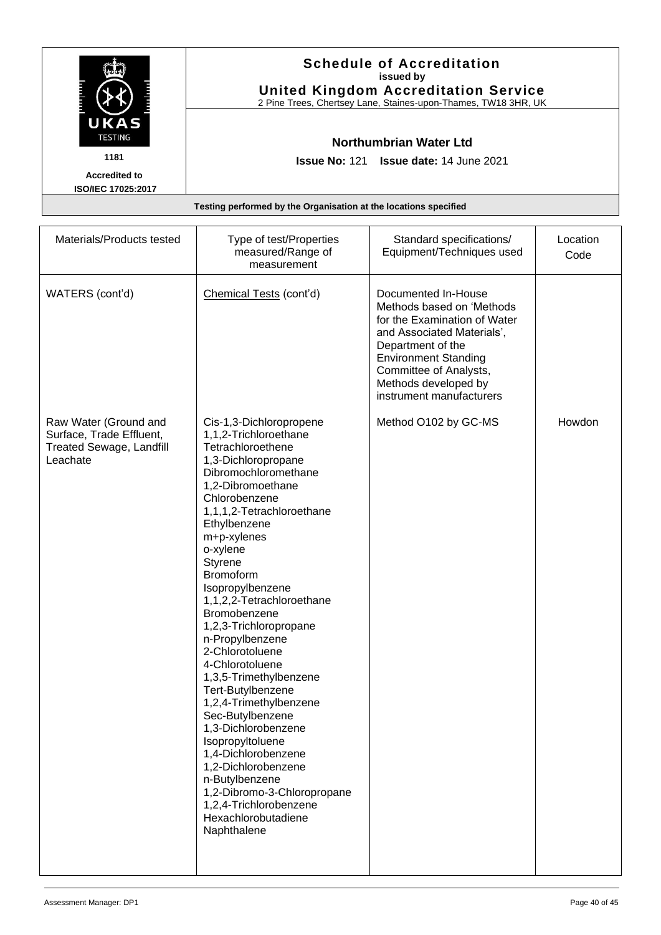|                           | <b>Schedule of Accreditation</b><br>issued by<br><b>United Kingdom Accreditation Service</b><br>2 Pine Trees, Chertsey Lane, Staines-upon-Thames, TW18 3HR, UK |
|---------------------------|----------------------------------------------------------------------------------------------------------------------------------------------------------------|
| UKAS<br><b>TESTING</b>    | Northumbrian Water Ltd                                                                                                                                         |
| 1181                      | <b>Issue No: 121 Issue date: 14 June 2021</b>                                                                                                                  |
| <b>Accredited to</b>      |                                                                                                                                                                |
| <b>ISO/IEC 17025:2017</b> |                                                                                                                                                                |
|                           | Testing performed by the Organisation at the locations specified                                                                                               |

| Materials/Products tested                                                                        | Type of test/Properties<br>measured/Range of<br>measurement                                                                                                                                                                                                                                                                                                                                                                                                                                                                                                                                                                                                                                                                  | Standard specifications/<br>Equipment/Techniques used                                                                                                                                                                                            | Location<br>Code |
|--------------------------------------------------------------------------------------------------|------------------------------------------------------------------------------------------------------------------------------------------------------------------------------------------------------------------------------------------------------------------------------------------------------------------------------------------------------------------------------------------------------------------------------------------------------------------------------------------------------------------------------------------------------------------------------------------------------------------------------------------------------------------------------------------------------------------------------|--------------------------------------------------------------------------------------------------------------------------------------------------------------------------------------------------------------------------------------------------|------------------|
| WATERS (cont'd)                                                                                  | Chemical Tests (cont'd)                                                                                                                                                                                                                                                                                                                                                                                                                                                                                                                                                                                                                                                                                                      | Documented In-House<br>Methods based on 'Methods<br>for the Examination of Water<br>and Associated Materials',<br>Department of the<br><b>Environment Standing</b><br>Committee of Analysts,<br>Methods developed by<br>instrument manufacturers |                  |
| Raw Water (Ground and<br>Surface, Trade Effluent,<br><b>Treated Sewage, Landfill</b><br>Leachate | Cis-1,3-Dichloropropene<br>1,1,2-Trichloroethane<br>Tetrachloroethene<br>1,3-Dichloropropane<br>Dibromochloromethane<br>1,2-Dibromoethane<br>Chlorobenzene<br>1,1,1,2-Tetrachloroethane<br>Ethylbenzene<br>m+p-xylenes<br>o-xylene<br>Styrene<br><b>Bromoform</b><br>Isopropylbenzene<br>1,1,2,2-Tetrachloroethane<br>Bromobenzene<br>1,2,3-Trichloropropane<br>n-Propylbenzene<br>2-Chlorotoluene<br>4-Chlorotoluene<br>1,3,5-Trimethylbenzene<br>Tert-Butylbenzene<br>1,2,4-Trimethylbenzene<br>Sec-Butylbenzene<br>1,3-Dichlorobenzene<br>Isopropyltoluene<br>1,4-Dichlorobenzene<br>1,2-Dichlorobenzene<br>n-Butylbenzene<br>1,2-Dibromo-3-Chloropropane<br>1,2,4-Trichlorobenzene<br>Hexachlorobutadiene<br>Naphthalene | Method O102 by GC-MS                                                                                                                                                                                                                             | Howdon           |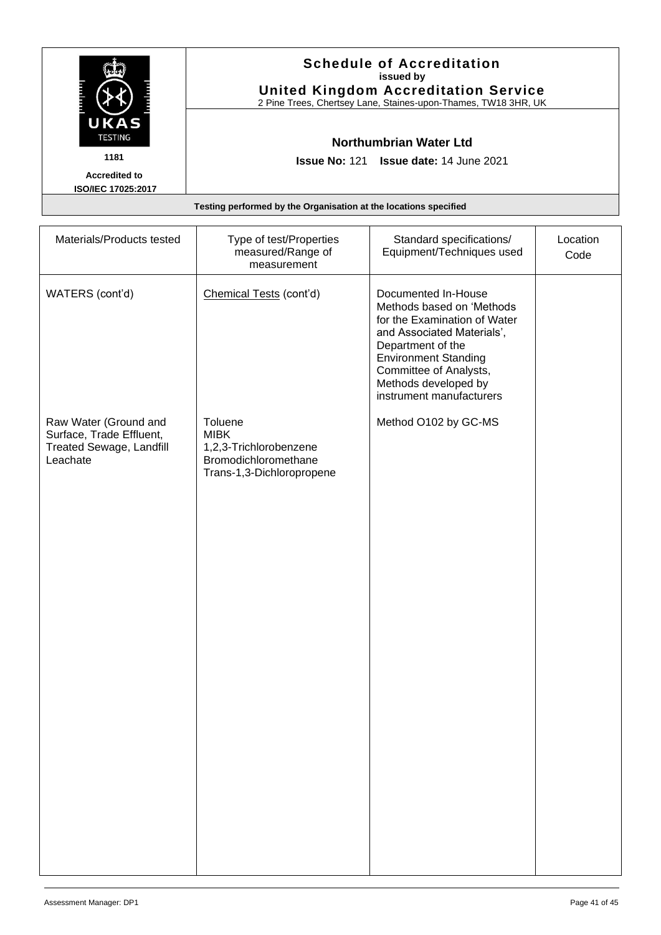|                        | <b>Schedule of Accreditation</b><br>issued by<br><b>United Kingdom Accreditation Service</b><br>2 Pine Trees, Chertsey Lane, Staines-upon-Thames, TW18 3HR, UK |  |
|------------------------|----------------------------------------------------------------------------------------------------------------------------------------------------------------|--|
| UKAS<br><b>TESTING</b> | Northumbrian Water Ltd                                                                                                                                         |  |
| 1181                   | <b>Issue No: 121 Issue date: 14 June 2021</b>                                                                                                                  |  |
| <b>Accredited to</b>   |                                                                                                                                                                |  |
| ISO/IEC 17025:2017     |                                                                                                                                                                |  |
|                        | Testing performed by the Organisation at the locations specified                                                                                               |  |

| Materials/Products tested                                                                 | Type of test/Properties<br>measured/Range of<br>measurement                                           | Standard specifications/<br>Equipment/Techniques used                                                                                                                                                                                            | Location<br>Code |
|-------------------------------------------------------------------------------------------|-------------------------------------------------------------------------------------------------------|--------------------------------------------------------------------------------------------------------------------------------------------------------------------------------------------------------------------------------------------------|------------------|
| WATERS (cont'd)                                                                           | Chemical Tests (cont'd)                                                                               | Documented In-House<br>Methods based on 'Methods<br>for the Examination of Water<br>and Associated Materials',<br>Department of the<br><b>Environment Standing</b><br>Committee of Analysts,<br>Methods developed by<br>instrument manufacturers |                  |
| Raw Water (Ground and<br>Surface, Trade Effluent,<br>Treated Sewage, Landfill<br>Leachate | Toluene<br><b>MIBK</b><br>1,2,3-Trichlorobenzene<br>Bromodichloromethane<br>Trans-1,3-Dichloropropene | Method O102 by GC-MS                                                                                                                                                                                                                             |                  |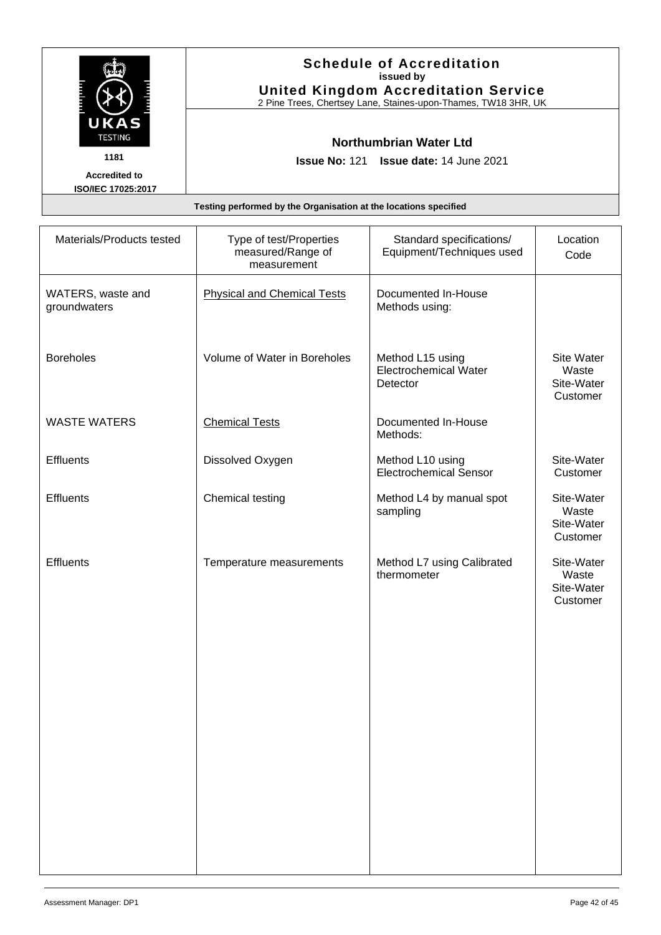|                                            | <b>Schedule of Accreditation</b><br>issued by<br><b>United Kingdom Accreditation Service</b><br>2 Pine Trees, Chertsey Lane, Staines-upon-Thames, TW18 3HR, UK |
|--------------------------------------------|----------------------------------------------------------------------------------------------------------------------------------------------------------------|
| UKAS<br><b>TESTING</b>                     | <b>Northumbrian Water Ltd</b>                                                                                                                                  |
| 1181                                       | <b>Issue No: 121 Issue date: 14 June 2021</b>                                                                                                                  |
| <b>Accredited to</b><br>ISO/IEC 17025:2017 |                                                                                                                                                                |
|                                            | Testing performed by the Organisation at the locations specified                                                                                               |

| Materials/Products tested         | Type of test/Properties<br>measured/Range of<br>measurement | Standard specifications/<br>Equipment/Techniques used        | Location<br>Code                              |
|-----------------------------------|-------------------------------------------------------------|--------------------------------------------------------------|-----------------------------------------------|
| WATERS, waste and<br>groundwaters | <b>Physical and Chemical Tests</b>                          | Documented In-House<br>Methods using:                        |                                               |
| <b>Boreholes</b>                  | Volume of Water in Boreholes                                | Method L15 using<br><b>Electrochemical Water</b><br>Detector | Site Water<br>Waste<br>Site-Water<br>Customer |
| <b>WASTE WATERS</b>               | <b>Chemical Tests</b>                                       | Documented In-House<br>Methods:                              |                                               |
| <b>Effluents</b>                  | Dissolved Oxygen                                            | Method L10 using<br><b>Electrochemical Sensor</b>            | Site-Water<br>Customer                        |
| <b>Effluents</b>                  | Chemical testing                                            | Method L4 by manual spot<br>sampling                         | Site-Water<br>Waste<br>Site-Water<br>Customer |
| Effluents                         | Temperature measurements                                    | Method L7 using Calibrated<br>thermometer                    | Site-Water<br>Waste<br>Site-Water<br>Customer |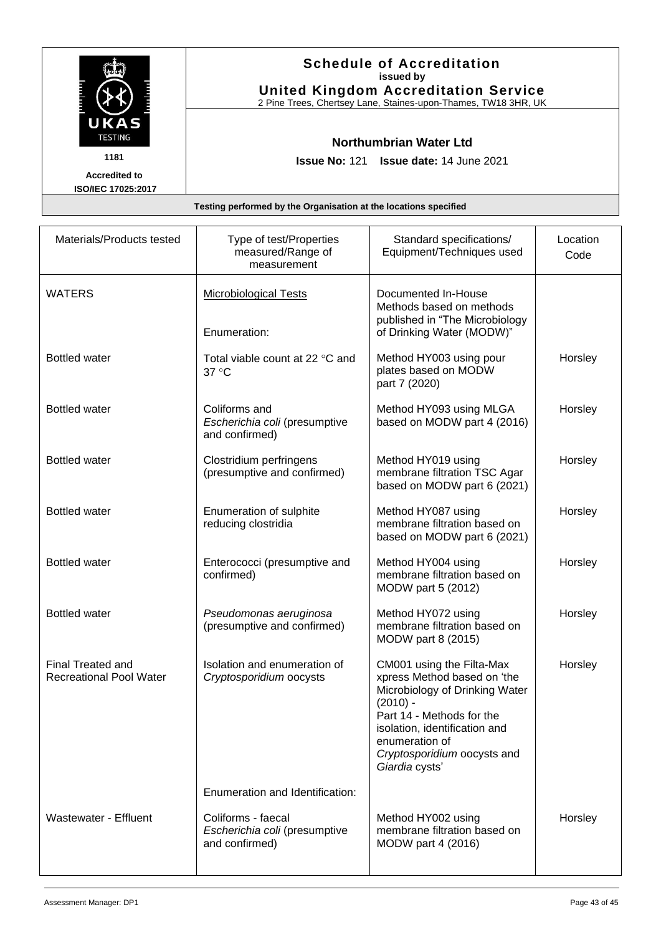|                                            | <b>Schedule of Accreditation</b><br>issued by<br><b>United Kingdom Accreditation Service</b><br>2 Pine Trees, Chertsey Lane, Staines-upon-Thames, TW18 3HR, UK |
|--------------------------------------------|----------------------------------------------------------------------------------------------------------------------------------------------------------------|
| UKAS<br><b>TESTING</b>                     | Northumbrian Water Ltd                                                                                                                                         |
| 1181                                       | <b>Issue No: 121 Issue date: 14 June 2021</b>                                                                                                                  |
| <b>Accredited to</b><br>ISO/IEC 17025:2017 |                                                                                                                                                                |
|                                            | Testing performed by the Organisation at the locations specified                                                                                               |

| Materials/Products tested                           | Type of test/Properties<br>measured/Range of<br>measurement      | Standard specifications/<br>Equipment/Techniques used                                                                                                                                                                                     | Location<br>Code |
|-----------------------------------------------------|------------------------------------------------------------------|-------------------------------------------------------------------------------------------------------------------------------------------------------------------------------------------------------------------------------------------|------------------|
| WATERS                                              | <b>Microbiological Tests</b><br>Enumeration:                     | Documented In-House<br>Methods based on methods<br>published in "The Microbiology<br>of Drinking Water (MODW)"                                                                                                                            |                  |
| <b>Bottled water</b>                                | Total viable count at 22 °C and<br>37 °C                         | Method HY003 using pour<br>plates based on MODW<br>part 7 (2020)                                                                                                                                                                          | Horsley          |
| <b>Bottled water</b>                                | Coliforms and<br>Escherichia coli (presumptive<br>and confirmed) | Method HY093 using MLGA<br>based on MODW part 4 (2016)                                                                                                                                                                                    | Horsley          |
| <b>Bottled water</b>                                | Clostridium perfringens<br>(presumptive and confirmed)           | Method HY019 using<br>membrane filtration TSC Agar<br>based on MODW part 6 (2021)                                                                                                                                                         | Horsley          |
| <b>Bottled water</b>                                | Enumeration of sulphite<br>reducing clostridia                   | Method HY087 using<br>membrane filtration based on<br>based on MODW part 6 (2021)                                                                                                                                                         | Horsley          |
| <b>Bottled water</b>                                | Enterococci (presumptive and<br>confirmed)                       | Method HY004 using<br>membrane filtration based on<br>MODW part 5 (2012)                                                                                                                                                                  | Horsley          |
| <b>Bottled water</b>                                | Pseudomonas aeruginosa<br>(presumptive and confirmed)            | Method HY072 using<br>membrane filtration based on<br>MODW part 8 (2015)                                                                                                                                                                  | Horsley          |
| Final Treated and<br><b>Recreational Pool Water</b> | Isolation and enumeration of<br>Cryptosporidium oocysts          | CM001 using the Filta-Max<br>xpress Method based on 'the<br>Microbiology of Drinking Water<br>$(2010) -$<br>Part 14 - Methods for the<br>isolation, identification and<br>enumeration of<br>Cryptosporidium oocysts and<br>Giardia cysts' | Horsley          |

Enumeration and Identification:

Method HY002 using

MODW part 4 (2016)

membrane filtration based on

*Escherichia coli* (presumptive

and confirmed)

Wastewater - Effluent

Horsley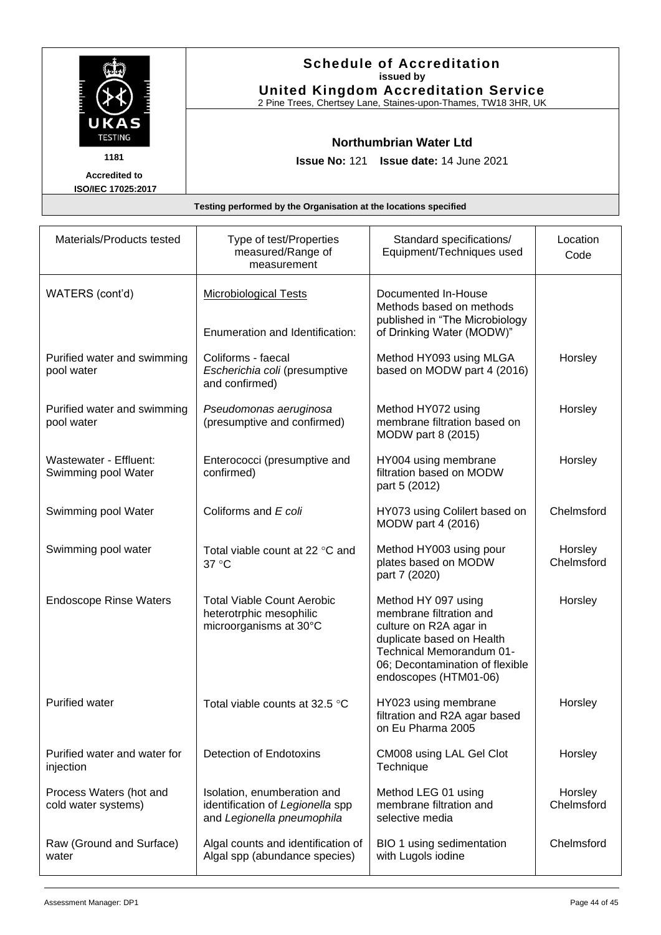|                        | <b>Schedule of Accreditation</b><br>issued by<br><b>United Kingdom Accreditation Service</b><br>2 Pine Trees, Chertsey Lane, Staines-upon-Thames, TW18 3HR, UK |  |
|------------------------|----------------------------------------------------------------------------------------------------------------------------------------------------------------|--|
| UKAS<br><b>TESTING</b> | <b>Northumbrian Water Ltd</b>                                                                                                                                  |  |
| 1181                   | <b>Issue No: 121 Issue date: 14 June 2021</b>                                                                                                                  |  |
| <b>Accredited to</b>   |                                                                                                                                                                |  |
| ISO/IEC 17025:2017     |                                                                                                                                                                |  |
|                        |                                                                                                                                                                |  |

| Testing performed by the Organisation at the locations specified |  |
|------------------------------------------------------------------|--|
|------------------------------------------------------------------|--|

| Materials/Products tested                      | Type of test/Properties<br>measured/Range of<br>measurement                                   | Standard specifications/<br>Equipment/Techniques used                                                                                                                                         | Location<br>Code      |
|------------------------------------------------|-----------------------------------------------------------------------------------------------|-----------------------------------------------------------------------------------------------------------------------------------------------------------------------------------------------|-----------------------|
| WATERS (cont'd)                                | <b>Microbiological Tests</b><br>Enumeration and Identification:                               | Documented In-House<br>Methods based on methods<br>published in "The Microbiology<br>of Drinking Water (MODW)"                                                                                |                       |
| Purified water and swimming<br>pool water      | Coliforms - faecal<br>Escherichia coli (presumptive<br>and confirmed)                         | Method HY093 using MLGA<br>based on MODW part 4 (2016)                                                                                                                                        | Horsley               |
| Purified water and swimming<br>pool water      | Pseudomonas aeruginosa<br>(presumptive and confirmed)                                         | Method HY072 using<br>membrane filtration based on<br>MODW part 8 (2015)                                                                                                                      | Horsley               |
| Wastewater - Effluent:<br>Swimming pool Water  | Enterococci (presumptive and<br>confirmed)                                                    | HY004 using membrane<br>filtration based on MODW<br>part 5 (2012)                                                                                                                             | Horsley               |
| Swimming pool Water                            | Coliforms and E coli                                                                          | HY073 using Colilert based on<br>MODW part 4 (2016)                                                                                                                                           | Chelmsford            |
| Swimming pool water                            | Total viable count at 22 °C and<br>37 °C                                                      | Method HY003 using pour<br>plates based on MODW<br>part 7 (2020)                                                                                                                              | Horsley<br>Chelmsford |
| <b>Endoscope Rinse Waters</b>                  | <b>Total Viable Count Aerobic</b><br>heterotrphic mesophilic<br>microorganisms at 30°C        | Method HY 097 using<br>membrane filtration and<br>culture on R2A agar in<br>duplicate based on Health<br>Technical Memorandum 01-<br>06; Decontamination of flexible<br>endoscopes (HTM01-06) | Horsley               |
| <b>Purified water</b>                          | Total viable counts at 32.5 °C                                                                | HY023 using membrane<br>filtration and R2A agar based<br>on Eu Pharma 2005                                                                                                                    | Horsley               |
| Purified water and water for<br>injection      | <b>Detection of Endotoxins</b>                                                                | CM008 using LAL Gel Clot<br>Technique                                                                                                                                                         | Horsley               |
| Process Waters (hot and<br>cold water systems) | Isolation, enumberation and<br>identification of Legionella spp<br>and Legionella pneumophila | Method LEG 01 using<br>membrane filtration and<br>selective media                                                                                                                             | Horsley<br>Chelmsford |
| Raw (Ground and Surface)<br>water              | Algal counts and identification of<br>Algal spp (abundance species)                           | BIO 1 using sedimentation<br>with Lugols iodine                                                                                                                                               | Chelmsford            |